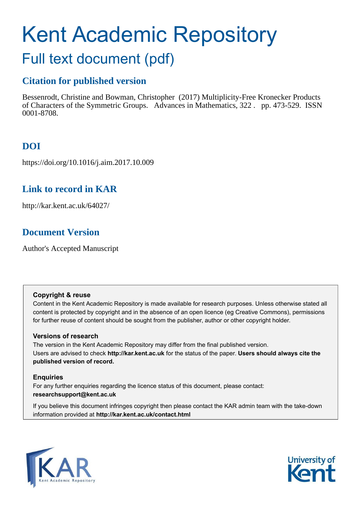# Kent Academic Repository

# Full text document (pdf)

# **Citation for published version**

Bessenrodt, Christine and Bowman, Christopher (2017) Multiplicity-Free Kronecker Products of Characters of the Symmetric Groups. Advances in Mathematics, 322 . pp. 473-529. ISSN 0001-8708.

# **DOI**

https://doi.org/10.1016/j.aim.2017.10.009

# **Link to record in KAR**

http://kar.kent.ac.uk/64027/

# **Document Version**

Author's Accepted Manuscript

# **Copyright & reuse**

Content in the Kent Academic Repository is made available for research purposes. Unless otherwise stated all content is protected by copyright and in the absence of an open licence (eg Creative Commons), permissions for further reuse of content should be sought from the publisher, author or other copyright holder.

# **Versions of research**

The version in the Kent Academic Repository may differ from the final published version. Users are advised to check **http://kar.kent.ac.uk** for the status of the paper. **Users should always cite the published version of record.**

# **Enquiries**

For any further enquiries regarding the licence status of this document, please contact: **researchsupport@kent.ac.uk**

If you believe this document infringes copyright then please contact the KAR admin team with the take-down information provided at **http://kar.kent.ac.uk/contact.html**



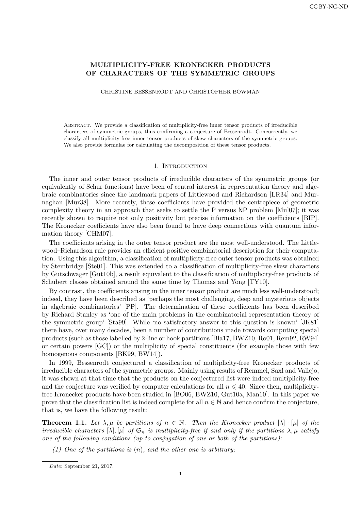## MULTIPLICITY-FREE KRONECKER PRODUCTS OF CHARACTERS OF THE SYMMETRIC GROUPS

CHRISTINE BESSENRODT AND CHRISTOPHER BOWMAN

Abstract. We provide a classification of multiplicity-free inner tensor products of irreducible characters of symmetric groups, thus confirming a conjecture of Bessenrodt. Concurrently, we classify all multiplicity-free inner tensor products of skew characters of the symmetric groups. We also provide formulae for calculating the decomposition of these tensor products.

#### 1. INTRODUCTION

The inner and outer tensor products of irreducible characters of the symmetric groups (or equivalently of Schur functions) have been of central interest in representation theory and algebraic combinatorics since the landmark papers of Littlewood and Richardson [LR34] and Murnaghan [Mur38]. More recently, these coefficients have provided the centrepiece of geometric complexity theory in an approach that seeks to settle the P versus NP problem [Mul07]; it was recently shown to require not only positivity but precise information on the coefficients [BIP]. The Kronecker coefficients have also been found to have deep connections with quantum information theory [CHM07].

The coefficients arising in the outer tensor product are the most well-understood. The Littlewood–Richardson rule provides an efficient positive combinatorial description for their computation. Using this algorithm, a classification of multiplicity-free outer tensor products was obtained by Stembridge [Ste01]. This was extended to a classification of multiplicity-free skew characters by Gutschwager [Gut10b], a result equivalent to the classification of multiplicity-free products of Schubert classes obtained around the same time by Thomas and Yong [TY10].

By contrast, the coefficients arising in the inner tensor product are much less well-understood; indeed, they have been described as 'perhaps the most challenging, deep and mysterious objects in algebraic combinatorics' [PP]. The determination of these coefficients has been described by Richard Stanley as 'one of the main problems in the combinatorial representation theory of the symmetric group' [Sta99]. While 'no satisfactory answer to this question is known' [JK81] there have, over many decades, been a number of contributions made towards computing special products (such as those labelled by 2-line or hook partitions [Bla17, BWZ10, Ro01, Rem92, RW94] or certain powers [GC]) or the multiplicity of special constituents (for example those with few homogenous components [BK99, BW14]).

In 1999, Bessenrodt conjectured a classification of multiplicity-free Kronecker products of irreducible characters of the symmetric groups. Mainly using results of Remmel, Saxl and Vallejo, it was shown at that time that the products on the conjectured list were indeed multiplicity-free and the conjecture was verified by computer calculations for all  $n \leq 40$ . Since then, multiplicityfree Kronecker products have been studied in [BO06, BWZ10, Gut10a, Man10]. In this paper we prove that the classification list is indeed complete for all  $n \in \mathbb{N}$  and hence confirm the conjecture, that is, we have the following result:

**Theorem 1.1.** Let  $\lambda, \mu$  be partitions of  $n \in \mathbb{N}$ . Then the Kronecker product  $[\lambda] \cdot [\mu]$  of the irreducible characters  $[\lambda], [\mu]$  of  $\mathfrak{S}_n$  is multiplicity-free if and only if the partitions  $\lambda, \mu$  satisfy one of the following conditions (up to conjugation of one or both of the partitions):

(1) One of the partitions is  $(n)$ , and the other one is arbitrary;

Date: September 21, 2017.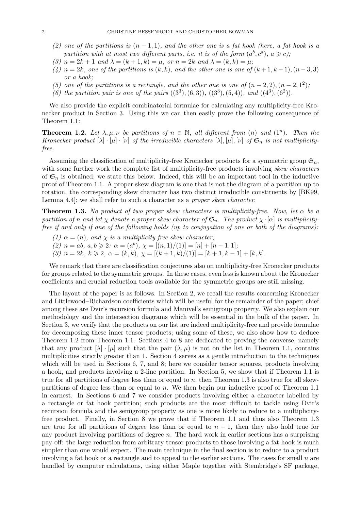- (2) one of the partitions is  $(n-1,1)$ , and the other one is a fat hook (here, a fat hook is a partition with at most two different parts, i.e. it is of the form  $(a^b, c^d)$ ,  $a \geq c$ );
- (3)  $n = 2k + 1$  and  $\lambda = (k + 1, k) = \mu$ , or  $n = 2k$  and  $\lambda = (k, k) = \mu$ ;
- (4)  $n = 2k$ , one of the partitions is  $(k, k)$ , and the other one is one of  $(k + 1, k 1), (n 3, 3)$ or a hook;
- (5) one of the partitions is a rectangle, and the other one is one of  $(n-2, 2), (n-2, 1^2)$ ,
- (6) the partition pair is one of the pairs  $((3^3), (6, 3)), ((3^3), (5, 4)),$  and  $((4^3), (6^2)).$

We also provide the explicit combinatorial formulae for calculating any multiplicity-free Kronecker product in Section 3. Using this we can then easily prove the following consequence of Theorem 1.1:

**Theorem 1.2.** Let  $\lambda, \mu, \nu$  be partitions of  $n \in \mathbb{N}$ , all different from  $(n)$  and  $(1^n)$ . Then the Kronecker product  $[\lambda] \cdot [\mu] \cdot [\nu]$  of the irreducible characters  $[\lambda], [\mu], [\nu]$  of  $\mathfrak{S}_n$  is not multiplicityfree.

Assuming the classification of multiplicity-free Kronecker products for a symmetric group  $\mathfrak{S}_n$ , with some further work the complete list of multiplicity-free products involving skew characters of  $\mathfrak{S}_n$  is obtained; we state this below. Indeed, this will be an important tool in the inductive proof of Theorem 1.1. A proper skew diagram is one that is not the diagram of a partition up to rotation, the corresponding skew character has two distinct irreducible constituents by [BK99, Lemma 4.4; we shall refer to such a character as a *proper skew character*.

**Theorem 1.3.** No product of two proper skew characters is multiplicity-free. Now, let  $\alpha$  be a partition of n and let  $\chi$  denote a proper skew character of  $\mathfrak{S}_n$ . The product  $\chi \cdot [\alpha]$  is multiplicityfree if and only if one of the following holds (up to conjugation of one or both of the diagrams):

- (1)  $\alpha = (n)$ , and  $\chi$  is a multiplicity-free skew character;
- (2)  $n = ab, a, b \geq 2$ :  $\alpha = (a^b), \chi = [(n, 1)/(1)] = [n] + [n-1, 1]$ ;
- (3)  $n = 2k, k \geq 2, \alpha = (k, k), \chi = [(k + 1, k)/(1)] = [k + 1, k 1] + [k, k].$

We remark that there are classification conjectures also on multiplicity-free Kronecker products for groups related to the symmetric groups. In these cases, even less is known about the Kronecker coefficients and crucial reduction tools available for the symmetric groups are still missing.

The layout of the paper is as follows. In Section 2, we recall the results concerning Kronecker and Littlewood–Richardson coefficients which will be useful for the remainder of the paper; chief among these are Dvir's recursion formula and Manivel's semigroup property. We also explain our methodology and the intersection diagrams which will be essential in the bulk of the paper. In Section 3, we verify that the products on our list are indeed multiplicity-free and provide formulae for decomposing these inner tensor products; using some of these, we also show how to deduce Theorem 1.2 from Theorem 1.1. Sections 4 to 8 are dedicated to proving the converse, namely that any product  $[\lambda] \cdot [\mu]$  such that the pair  $(\lambda, \mu)$  is not on the list in Theorem 1.1, contains multiplicities strictly greater than 1. Section 4 serves as a gentle introduction to the techniques which will be used in Sections 6, 7, and 8; here we consider tensor squares, products involving a hook, and products involving a 2-line partition. In Section 5, we show that if Theorem 1.1 is true for all partitions of degree less than or equal to n, then Theorem 1.3 is also true for all skewpartitions of degree less than or equal to  $n$ . We then begin our inductive proof of Theorem 1.1 in earnest. In Sections 6 and 7 we consider products involving either a character labelled by a rectangle or fat hook partition; such products are the most difficult to tackle using Dvir's recursion formula and the semigroup property as one is more likely to reduce to a multiplicityfree product. Finally, in Section 8 we prove that if Theorem 1.1 and thus also Theorem 1.3 are true for all partitions of degree less than or equal to  $n-1$ , then they also hold true for any product involving partitions of degree  $n$ . The hard work in earlier sections has a surprising pay-off: the large reduction from arbitrary tensor products to those involving a fat hook is much simpler than one would expect. The main technique in the final section is to reduce to a product involving a fat hook or a rectangle and to appeal to the earlier sections. The cases for small n are handled by computer calculations, using either Maple together with Stembridge's SF package,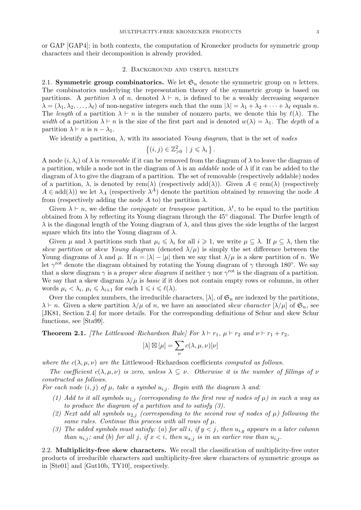or GAP [GAP4]; in both contexts, the computation of Kronecker products for symmetric group characters and their decomposition is already provided.

#### 2. Background and useful results

2.1. Symmetric group combinatorics. We let  $\mathfrak{S}_n$  denote the symmetric group on n letters. The combinatorics underlying the representation theory of the symmetric group is based on partitions. A partition  $\lambda$  of n, denoted  $\lambda \vdash n$ , is defined to be a weakly decreasing sequence  $\lambda = (\lambda_1, \lambda_2, \dots, \lambda_\ell)$  of non-negative integers such that the sum  $|\lambda| = \lambda_1 + \lambda_2 + \dots + \lambda_\ell$  equals n. The length of a partition  $\lambda \vdash n$  is the number of nonzero parts, we denote this by  $\ell(\lambda)$ . The width of a partition  $\lambda \vdash n$  is the size of the first part and is denoted  $w(\lambda) = \lambda_1$ . The depth of a partition  $\lambda \vdash n$  is  $n - \lambda_1$ .

We identify a partition,  $\lambda$ , with its associated Young diagram, that is the set of nodes

$$
\{(i,j)\in\mathbb{Z}_{>0}^2\mid j\leqslant\lambda_i\}.
$$

A node  $(i, \lambda_i)$  of  $\lambda$  is removable if it can be removed from the diagram of  $\lambda$  to leave the diagram of a partition, while a node not in the diagram of  $\lambda$  is an *addable* node of  $\lambda$  if it can be added to the diagram of  $\lambda$  to give the diagram of a partition. The set of removable (respectively addable) nodes of a partition,  $\lambda$ , is denoted by rem( $\lambda$ ) (respectively add( $\lambda$ )). Given  $A \in \text{rem}(\lambda)$  (respectively  $A \in \text{add}(\lambda)$ ) we let  $\lambda_A$  (respectively  $\lambda^A$ ) denote the partition obtained by removing the node A from (respectively adding the node A to) the partition  $\lambda$ .

Given  $\lambda \vdash n$ , we define the *conjugate* or *transpose* partition,  $\lambda^t$ , to be equal to the partition obtained from  $\lambda$  by reflecting its Young diagram through the 45 $\degree$  diagonal. The Durfee length of  $\lambda$  is the diagonal length of the Young diagram of  $\lambda$ , and thus gives the side lengths of the largest square which fits into the Young diagram of  $\lambda$ .

Given  $\mu$  and  $\lambda$  partitions such that  $\mu_i \leq \lambda_i$  for all  $i \geq 1$ , we write  $\mu \subseteq \lambda$ . If  $\mu \subseteq \lambda$ , then the skew partition or skew Young diagram (denoted  $\lambda/\mu$ ) is simply the set difference between the Young diagrams of  $\lambda$  and  $\mu$ . If  $n = |\lambda| - |\mu|$  then we say that  $\lambda/\mu$  is a skew partition of n. We let  $\gamma^{\rm rot}$  denote the diagram obtained by rotating the Young diagram of  $\gamma$  through 180°. We say that a skew diagram  $\gamma$  is a *proper skew diagram* if neither  $\gamma$  nor  $\gamma^{\text{rot}}$  is the diagram of a partition. We say that a skew diagram  $\lambda/\mu$  is *basic* if it does not contain empty rows or columns, in other words  $\mu_i < \lambda_i$ ,  $\mu_i \leq \lambda_{i+1}$  for each  $1 \leq i \leq \ell(\lambda)$ .

Over the complex numbers, the irreducible characters,  $[\lambda]$ , of  $\mathfrak{S}_n$  are indexed by the partitions,  $\lambda \vdash n$ . Given a skew partition  $\lambda/\mu$  of n, we have an associated skew character  $[\lambda/\mu]$  of  $\mathfrak{S}_n$ , see [JK81, Section 2.4] for more details. For the corresponding definitions of Schur and skew Schur functions, see [Sta99].

**Theorem 2.1.** [The Littlewood–Richardson Rule] For  $\lambda \vdash r_1$ ,  $\mu \vdash r_2$  and  $\nu \vdash r_1 + r_2$ ,

$$
[\lambda] \boxtimes [\mu] = \sum_{\nu} c(\lambda, \mu, \nu)[\nu]
$$

where the  $c(\lambda, \mu, \nu)$  are the Littlewood–Richardson coefficients *computed as follows*.

The coefficient  $c(\lambda, \mu, \nu)$  is zero, unless  $\lambda \subseteq \nu$ . Otherwise it is the number of fillings of  $\nu$ constructed as follows.

For each node  $(i, j)$  of  $\mu$ , take a symbol  $u_{i,j}$ . Begin with the diagram  $\lambda$  and:

- (1) Add to it all symbols  $u_{1,j}$  (corresponding to the first row of nodes of  $\mu$ ) in such a way as to produce the diagram of a partition and to satisfy (3).
- (2) Next add all symbols  $u_{2,j}$  (corresponding to the second row of nodes of  $\mu$ ) following the same rules. Continue this process with all rows of  $\mu$ .
- (3) The added symbols must satisfy: (a) for all i, if  $y < j$ , then  $u_{i,y}$  appears in a later column than  $u_{i,j}$ ; and (b) for all j, if  $x < i$ , then  $u_{x,j}$  is in an earlier row than  $u_{i,j}$ .

2.2. Multiplicity-free skew characters. We recall the classification of multiplicity-free outer products of irreducible characters and multiplicity-free skew characters of symmetric groups as in [Ste01] and [Gut10b, TY10], respectively.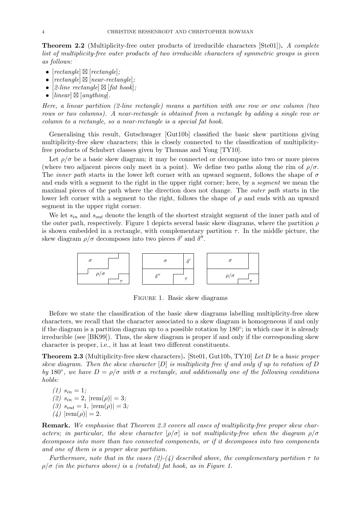**Theorem 2.2** (Multiplicity-free outer products of irreducible characters [Ste01]). A complete list of multiplicity-free outer products of two irreducible characters of symmetric groups is given as follows:

- $[rectangle] \boxtimes [rectangle];$
- $[rectangle] \boxtimes [near-rectangle]$ ;
- [2-line rectangle]  $\boxtimes$  [fat hook];
- $[linear] \boxtimes [anything].$

Here, a linear partition (2-line rectangle) means a partition with one row or one column (two rows or two columns). A near-rectangle is obtained from a rectangle by adding a single row or column to a rectangle, so a near-rectangle is a special fat hook.

Generalising this result, Gutschwager [Gut10b] classified the basic skew partitions giving multiplicity-free skew characters; this is closely connected to the classification of multiplicityfree products of Schubert classes given by Thomas and Yong [TY10].

Let  $\rho/\sigma$  be a basic skew diagram; it may be connected or decompose into two or more pieces (where two adjacent pieces only meet in a point). We define two paths along the rim of  $\rho/\sigma$ . The *inner path* starts in the lower left corner with an upward segment, follows the shape of  $\sigma$ and ends with a segment to the right in the upper right corner; here, by a *segment* we mean the maximal pieces of the path where the direction does not change. The outer path starts in the lower left corner with a segment to the right, follows the shape of  $\rho$  and ends with an upward segment in the upper right corner.

We let  $s_{in}$  and  $s_{out}$  denote the length of the shortest straight segment of the inner path and of the outer path, respectively. Figure 1 depicts several basic skew diagrams, where the partition  $\rho$ is shown embedded in a rectangle, with complementary partition  $\tau$ . In the middle picture, the skew diagram  $\rho/\sigma$  decomposes into two pieces  $\delta'$  and  $\delta''$ .



FIGURE 1. Basic skew diagrams

Before we state the classification of the basic skew diagrams labelling multiplicity-free skew characters, we recall that the character associated to a skew diagram is homogeneous if and only if the diagram is a partition diagram up to a possible rotation by 180◦ ; in which case it is already irreducible (see [BK99]). Thus, the skew diagram is proper if and only if the corresponding skew character is proper, i.e., it has at least two different constituents.

**Theorem 2.3** (Multiplicity-free skew characters). [Ste01, Gut10b, TY10] Let D be a basic proper skew diagram. Then the skew character  $[D]$  is multiplicity free if and only if up to rotation of  $D$ by 180°, we have  $D = \rho/\sigma$  with  $\sigma$  a rectangle, and additionally one of the following conditions holds:

 $(1)$   $s_{in} = 1$ ; (2)  $s_{in} = 2$ ,  $|\text{rem}(\rho)| = 3$ ; (3)  $s_{out} = 1$ ,  $|\text{rem}(\rho)| = 3$ ; (4)  $|rem(\rho)| = 2$ .

Remark. We emphasise that Theorem 2.3 covers all cases of multiplicity-free proper skew characters; in particular, the skew character  $[\rho/\sigma]$  is not multiplicity-free when the diagram  $\rho/\sigma$ decomposes into more than two connected components, or if it decomposes into two components and one of them is a proper skew partition.

Furthermore, note that in the cases (2)-(4) described above, the complementary partition  $\tau$  to  $\rho/\sigma$  (in the pictures above) is a (rotated) fat hook, as in Figure 1.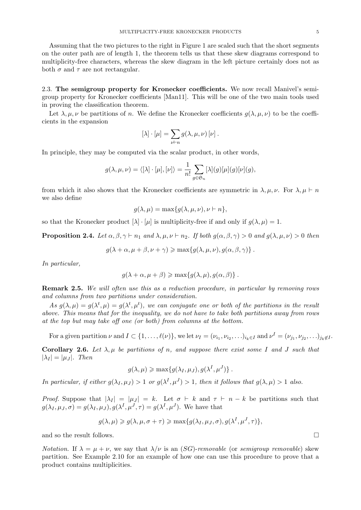Assuming that the two pictures to the right in Figure 1 are scaled such that the short segments on the outer path are of length 1, the theorem tells us that these skew diagrams correspond to multiplicity-free characters, whereas the skew diagram in the left picture certainly does not as both  $\sigma$  and  $\tau$  are not rectangular.

2.3. The semigroup property for Kronecker coefficients. We now recall Manivel's semigroup property for Kronecker coefficients [Man11]. This will be one of the two main tools used in proving the classification theorem.

Let  $\lambda, \mu, \nu$  be partitions of n. We define the Kronecker coefficients  $q(\lambda, \mu, \nu)$  to be the coefficients in the expansion

$$
[\lambda] \cdot [\mu] = \sum_{\nu \vdash n} g(\lambda, \mu, \nu) [\nu].
$$

In principle, they may be computed via the scalar product, in other words,

$$
g(\lambda, \mu, \nu) = \langle [\lambda] \cdot [\mu], [\nu] \rangle = \frac{1}{n!} \sum_{g \in \mathfrak{S}_n} [\lambda](g) [\mu](g) [\nu](g),
$$

from which it also shows that the Kronecker coefficients are symmetric in  $\lambda, \mu, \nu$ . For  $\lambda, \mu \vdash n$ we also define

$$
g(\lambda, \mu) = \max\{g(\lambda, \mu, \nu), \nu \vdash n\},\
$$

so that the Kronecker product  $[\lambda] \cdot [\mu]$  is multiplicity-free if and only if  $q(\lambda, \mu) = 1$ .

**Proposition 2.4.** Let  $\alpha, \beta, \gamma \vdash n_1$  and  $\lambda, \mu, \nu \vdash n_2$ . If both  $q(\alpha, \beta, \gamma) > 0$  and  $q(\lambda, \mu, \nu) > 0$  then

$$
g(\lambda + \alpha, \mu + \beta, \nu + \gamma) \ge \max\{g(\lambda, \mu, \nu), g(\alpha, \beta, \gamma)\}.
$$

In particular,

$$
g(\lambda + \alpha, \mu + \beta) \ge \max\{g(\lambda, \mu), g(\alpha, \beta)\}.
$$

Remark 2.5. We will often use this as a reduction procedure, in particular by removing rows and columns from two partitions under consideration.

As  $g(\lambda,\mu) = g(\lambda^t,\mu) = g(\lambda^t,\mu^t)$ , we can conjugate one or both of the partitions in the result above. This means that for the inequality, we do not have to take both partitions away from rows at the top but may take off one (or both) from columns at the bottom.

For a given partition  $\nu$  and  $I \subset \{1, \ldots, \ell(\nu)\}\$ , we let  $\nu_I = (\nu_{i_1}, \nu_{i_2}, \ldots)_{i_k \in I}$  and  $\nu^I = (\nu_{j_1}, \nu_{j_2}, \ldots)_{j_k \notin I}$ .

Corollary 2.6. Let  $\lambda, \mu$  be partitions of n, and suppose there exist some I and J such that  $|\lambda_I| = |\mu_J|$ . Then

$$
g(\lambda,\mu) \geqslant \max\{g(\lambda_I,\mu_J),g(\lambda^I,\mu^J)\}.
$$

In particular, if either  $g(\lambda_I, \mu_J) > 1$  or  $g(\lambda^I, \mu^J) > 1$ , then it follows that  $g(\lambda, \mu) > 1$  also.

*Proof.* Suppose that  $|\lambda_I| = |\mu_J| = k$ . Let  $\sigma \vdash k$  and  $\tau \vdash n - k$  be partitions such that  $g(\lambda_I, \mu_J, \sigma) = g(\lambda_I, \mu_J), g(\lambda^I, \mu^J, \tau) = g(\lambda^I, \mu^J)$ . We have that

$$
g(\lambda,\mu) \geqslant g(\lambda,\mu,\sigma+\tau) \geqslant \max\{g(\lambda_I,\mu_J,\sigma),g(\lambda^I,\mu^J,\tau)\},
$$

and so the result follows.

Notation. If  $\lambda = \mu + \nu$ , we say that  $\lambda/\nu$  is an (SG)-removable (or semigroup removable) skew partition. See Example 2.10 for an example of how one can use this procedure to prove that a product contains multiplicities.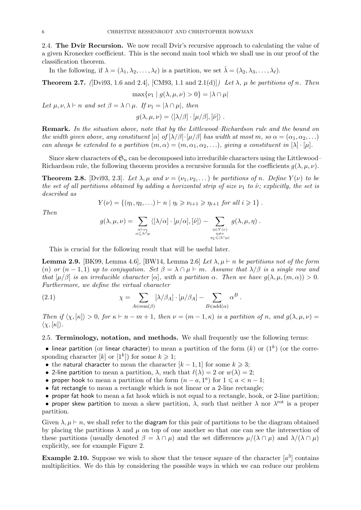2.4. The Dvir Recursion. We now recall Dvir's recursive approach to calculating the value of a given Kronecker coefficient. This is the second main tool which we shall use in our proof of the classification theorem.

In the following, if  $\lambda = (\lambda_1, \lambda_2, \dots, \lambda_\ell)$  is a partition, we set  $\hat{\lambda} = (\lambda_2, \lambda_3, \dots, \lambda_\ell)$ .

**Theorem 2.7.** ([Dvi93, 1.6 and 2.4], [CM93, 1.1 and 2.1(d)]) Let  $\lambda$ ,  $\mu$  be partitions of n. Then

$$
\max\{\nu_1 \mid g(\lambda, \mu, \nu) > 0\} = |\lambda \cap \mu|
$$

Let  $\mu, \nu, \lambda \vdash n$  and set  $\beta = \lambda \cap \mu$ . If  $\nu_1 = |\lambda \cap \mu|$ , then

$$
g(\lambda,\mu,\nu)=\langle [\lambda/\beta]\cdot[\mu/\beta],[\hat{\nu}]\rangle.
$$

Remark. In the situation above, note that by the Littlewood–Richardson rule and the bound on the width given above, any constituent  $[\alpha]$  of  $[\lambda/\beta] \cdot [\mu/\beta]$  has width at most m, so  $\alpha = (\alpha_1, \alpha_2, \ldots)$ can always be extended to a partition  $(m, \alpha) = (m, \alpha_1, \alpha_2, \ldots)$ , giving a constituent in  $[\lambda] \cdot [\mu]$ .

Since skew characters of  $\mathfrak{S}_n$  can be decomposed into irreducible characters using the Littlewood– Richardson rule, the following theorem provides a recursive formula for the coefficients  $g(\lambda, \mu, \nu)$ .

**Theorem 2.8.** [Dvi93, 2.3]. Let  $\lambda, \mu$  and  $\nu = (\nu_1, \nu_2, \dots)$  be partitions of n. Define  $Y(\nu)$  to be the set of all partitions obtained by adding a horizontal strip of size  $\nu_1$  to  $\hat{\nu}$ ; explicitly, the set is described as

$$
Y(\nu) = \{(\eta_1, \eta_2, \ldots) \vdash n \mid \eta_i \geqslant \nu_{i+1} \geqslant \eta_{i+1} \text{ for all } i \geqslant 1\}.
$$

Then

$$
g(\lambda,\mu,\nu) = \sum_{\substack{\alpha \vdash \nu_1 \\ \alpha \subseteq \lambda \cap \mu}} \langle [\lambda/\alpha] \cdot [\mu/\alpha], [\hat{\nu}] \rangle - \sum_{\substack{\eta \in Y(\nu) \\ \eta \neq \nu \\ \eta_1 \leqslant |\lambda \cap \mu|}} g(\lambda,\mu,\eta) .
$$

This is crucial for the following result that will be useful later.

**Lemma 2.9.** [BK99, Lemma 4.6], [BW14, Lemma 2.6] Let  $\lambda, \mu \vdash n$  be partitions not of the form (n) or  $(n-1,1)$  up to conjugation. Set  $\beta = \lambda \cap \mu \vdash m$ . Assume that  $\lambda/\beta$  is a single row and that  $[\mu/\beta]$  is an irreducible character  $[\alpha]$ , with a partition  $\alpha$ . Then we have  $q(\lambda, \mu, (m, \alpha)) > 0$ . Furthermore, we define the virtual character

(2.1) 
$$
\chi = \sum_{A \in \text{rem}(\beta)} [\lambda/\beta_A] \cdot [\mu/\beta_A] - \sum_{B \in \text{add}(\alpha)} \alpha^B.
$$

Then if  $\langle \chi, \kappa | \chi \rangle > 0$ , for  $\kappa \vdash n - m + 1$ , then  $\nu = (m - 1, \kappa)$  is a partition of n, and  $g(\lambda, \mu, \nu) =$  $\langle \chi, [\kappa] \rangle.$ 

#### 2.5. Terminology, notation, and methods. We shall frequently use the following terms:

• linear partition (or linear character) to mean a partition of the form  $(k)$  or  $(1^k)$  (or the corresponding character [k] or  $[1^k]$  for some  $k \geq 1$ ;

- the natural character to mean the character  $[k-1,1]$  for some  $k \geq 3$ ;
- 2-line partition to mean a partition,  $\lambda$ , such that  $\ell(\lambda) = 2$  or  $w(\lambda) = 2$ ;
- proper hook to mean a partition of the form  $(n a, 1^a)$  for  $1 \leq a < n 1$ ;
- fat rectangle to mean a rectangle which is not linear or a 2-line rectangle;
- proper fat hook to mean a fat hook which is not equal to a rectangle, hook, or 2-line partition;

• proper skew partition to mean a skew partition,  $\lambda$ , such that neither  $\lambda$  nor  $\lambda^{\text{rot}}$  is a proper partition.

Given  $\lambda, \mu \vdash n$ , we shall refer to the diagram for this pair of partitions to be the diagram obtained by placing the partitions  $\lambda$  and  $\mu$  on top of one another so that one can see the intersection of these partitions (usually denoted  $\beta = \lambda \cap \mu$ ) and the set differences  $\mu/(\lambda \cap \mu)$  and  $\lambda/(\lambda \cap \mu)$ explicitly, see for example Figure 2.

**Example 2.10.** Suppose we wish to show that the tensor square of the character  $[a^3]$  contains multiplicities. We do this by considering the possible ways in which we can reduce our problem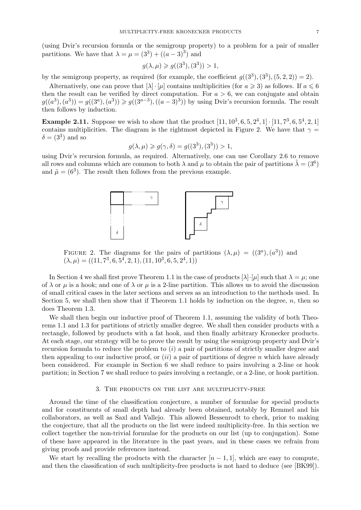(using Dvir's recursion formula or the semigroup property) to a problem for a pair of smaller partitions. We have that  $\lambda = \mu = (3^3) + ((a-3)^3)$  and

$$
g(\lambda, \mu) \ge g((3^3), (3^3)) > 1,
$$

by the semigroup property, as required (for example, the coefficient  $g((3^3), (3^3), (5, 2, 2)) = 2$ ).

Alternatively, one can prove that  $[\lambda] \cdot [\mu]$  contains multiplicities (for  $a \ge 3$ ) as follows. If  $a \le 6$ then the result can be verified by direct computation. For  $a > 6$ , we can conjugate and obtain  $g((a^3), (a^3)) = g((3^a), (a^3)) \geq g((3^{a-3}), ((a-3)^3))$  by using Dvir's recursion formula. The result then follows by induction.

**Example 2.11.** Suppose we wish to show that the product  $[11, 10^3, 6, 5, 2^4, 1] \cdot [11, 7^3, 6, 5^4, 2, 1]$ contains multiplicities. The diagram is the rightmost depicted in Figure 2. We have that  $\gamma =$  $\delta = (3^3)$  and so

$$
g(\lambda, \mu) \ge g(\gamma, \delta) = g((3^3), (3^3)) > 1,
$$

using Dvir's recursion formula, as required. Alternatively, one can use Corollary 2.6 to remove all rows and columns which are common to both  $\lambda$  and  $\mu$  to obtain the pair of partitions  $\tilde{\lambda} = (3^6)$ and  $\tilde{\mu} = (6^3)$ . The result then follows from the previous example.



FIGURE 2. The diagrams for the pairs of partitions  $(\lambda, \mu) = ((3^{\alpha}), (a^3))$  and  $(\lambda, \mu) = ((11, 7^3, 6, 5^4, 2, 1), (11, 10^3, 6, 5, 2^4, 1))$ 

In Section 4 we shall first prove Theorem 1.1 in the case of products  $[\lambda] \cdot [\mu]$  such that  $\lambda = \mu$ ; one of  $\lambda$  or  $\mu$  is a hook; and one of  $\lambda$  or  $\mu$  is a 2-line partition. This allows us to avoid the discussion of small critical cases in the later sections and serves as an introduction to the methods used. In Section 5, we shall then show that if Theorem 1.1 holds by induction on the degree,  $n$ , then so does Theorem 1.3.

We shall then begin our inductive proof of Theorem 1.1, assuming the validity of both Theorems 1.1 and 1.3 for partitions of strictly smaller degree. We shall then consider products with a rectangle, followed by products with a fat hook, and then finally arbitrary Kronecker products. At each stage, our strategy will be to prove the result by using the semigroup property and Dvir's recursion formula to reduce the problem to  $(i)$  a pair of partitions of strictly smaller degree and then appealing to our inductive proof, or  $(ii)$  a pair of partitions of degree n which have already been considered. For example in Section 6 we shall reduce to pairs involving a 2-line or hook partition; in Section 7 we shall reduce to pairs involving a rectangle, or a 2-line, or hook partition.

#### 3. The products on the list are multiplicity-free

Around the time of the classification conjecture, a number of formulae for special products and for constituents of small depth had already been obtained, notably by Remmel and his collaborators, as well as Saxl and Vallejo. This allowed Bessenrodt to check, prior to making the conjecture, that all the products on the list were indeed multiplicity-free. In this section we collect together the non-trivial formulae for the products on our list (up to conjugation). Some of these have appeared in the literature in the past years, and in these cases we refrain from giving proofs and provide references instead.

We start by recalling the products with the character  $[n-1,1]$ , which are easy to compute, and then the classification of such multiplicity-free products is not hard to deduce (see [BK99]).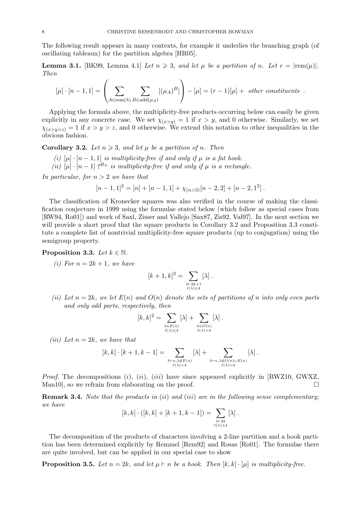The following result appears in many contexts, for example it underlies the branching graph (of oscillating tableaux) for the partition algebra [HR05].

**Lemma 3.1.** [BK99, Lemma 4.1] Let  $n \geq 3$ , and let  $\mu$  be a partition of n. Let  $r = |\text{rem}(\mu)|$ . Then

$$
[\mu] \cdot [n-1, 1] = \left( \sum_{A \in \text{rem}(\lambda)} \sum_{B \in \text{add}(\mu_A)} [(\mu_A)^B] \right) - [\mu] = (r-1)[\mu] + \text{ other constituents}.
$$

Applying the formula above, the multiplicity-free products occurring below can easily be given explicitly in any concrete case. We set  $\chi_{(x>y)} = 1$  if  $x > y$ , and 0 otherwise. Similarly, we set  $\chi_{(x>y>z)} = 1$  if  $x > y > z$ , and 0 otherwise. We extend this notation to other inequalities in the obvious fashion.

**Corollary 3.2.** Let  $n \geq 3$ , and let  $\mu$  be a partition of n. Then

- (i)  $[\mu] \cdot [n-1,1]$  is multiplicity-free if and only if  $\mu$  is a fat hook.
- (ii)  $[\mu] \cdot [n-1] \uparrow^{\mathfrak{S}_n}$  is multiplicity-free if and only if  $\mu$  is a rectangle.

In particular, for  $n > 2$  we have that

$$
[n-1,1]^2 = [n] + [n-1,1] + \chi_{(n>3)}[n-2,2] + [n-2,1^2].
$$

The classification of Kronecker squares was also verified in the course of making the classification conjecture in 1999 using the formulae stated below (which follow as special cases from [RW94, Ro01]) and work of Saxl, Zisser and Vallejo [Sax87, Zis92, Val97]. In the next section we will provide a short proof that the square products in Corollary 3.2 and Proposition 3.3 constitute a complete list of nontrivial multiplicity-free square products (up to conjugation) using the semigroup property.

#### **Proposition 3.3.** Let  $k \in \mathbb{N}$ .

(i) For  $n = 2k + 1$ , we have

$$
[k+1,k]^2 = \sum_{\substack{\lambda \vdash 2k+1 \\ \ell(\lambda)\leqslant 4}} [\lambda] .
$$

(ii) Let  $n = 2k$ , we let  $E(n)$  and  $O(n)$  denote the sets of partitions of n into only even parts and only odd parts, respectively, then

$$
[k,k]^2 = \sum_{\substack{\lambda \in E(n) \\ \ell(\lambda) \leq 4}} [\lambda] + \sum_{\substack{\lambda \in O(n) \\ \ell(\lambda) = 4}} [\lambda].
$$

(iii) Let  $n = 2k$ , we have that

$$
[k,k]\cdot [k+1,k-1]=\sum_{\underset{\ell(\lambda)<4}{\lambda\vdash n, \lambda\not\in E(n)}} [\lambda] + \sum_{\underset{\ell(\lambda)=4}{\lambda\vdash n, \lambda\not\in O(n)\cup E(n)}} [\lambda]\,.
$$

*Proof.* The decompositions (i), (ii), (iii) have since appeared explicitly in [BWZ10, GWXZ, Man10, so we refrain from elaborating on the proof.  $\Box$ 

**Remark 3.4.** Note that the products in  $(ii)$  and  $(iii)$  are in the following sense complementary; we have

$$
[k,k] \cdot ([k,k] + [k+1,k-1]) = \sum_{\substack{\lambda \vdash 2k \\ \ell(\lambda) \leq 4}} [\lambda] .
$$

The decomposition of the products of characters involving a 2-line partition and a hook partition has been determined explicitly by Remmel [Rem92] and Rosas [Ro01]. The formulae there are quite involved, but can be applied in our special case to show

**Proposition 3.5.** Let  $n = 2k$ , and let  $\mu \vdash n$  be a hook. Then  $[k, k] \cdot [\mu]$  is multiplicity-free.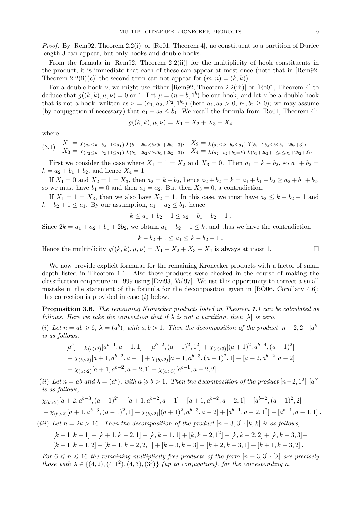*Proof.* By [Rem92, Theorem 2.2(i)] or [Ro01, Theorem 4], no constituent to a partition of Durfee length 3 can appear, but only hooks and double-hooks.

From the formula in  $[Rem92, Theorem 2.2(ii)]$  for the multiplicity of hook constituents in the product, it is immediate that each of these can appear at most once (note that in [Rem92, Theorem 2.2(ii)(c)] the second term can not appear for  $(m, n) = (k, k)$ .

For a double-hook  $\nu$ , we might use either [Rem92, Theorem 2.2(iii)] or [Ro01, Theorem 4] to deduce that  $g((k, k), \mu, \nu) = 0$  or 1. Let  $\mu = (n - b, 1^b)$  be our hook, and let  $\nu$  be a double-hook that is not a hook, written as  $\nu = (a_1, a_2, 2^{b_2}, 1^{b_1})$  (here  $a_1, a_2 > 0, b_1, b_2 \ge 0$ ); we may assume (by conjugation if necessary) that  $a_1 - a_2 \leq b_1$ . We recall the formula from [Ro01, Theorem 4]:

$$
g((k,k), \mu, \nu) = X_1 + X_2 + X_3 - X_4
$$

where

$$
(3.1) \quad\n\begin{aligned}\nX_1 &= \chi_{(a_2 \le k - b_2 - 1 \le a_1)} \chi_{(b_1 + 2b_2 < b < b_1 + 2b_2 + 3)}, \\
X_2 &= \chi_{(a_2 \le k - b_2 \le a_1)} \chi_{(b_1 + 2b_2 < b < b_1 + 2b_2 + 3)}, \\
X_3 &= \chi_{(a_2 \le k - b_2 + 1 \le a_1)} \chi_{(b_1 + 2b_2 < b < b_1 + 2b_2 + 3)}, \\
X_4 &= \chi_{(a_2 + b_2 + b_1 = k)} \chi_{(b_1 + 2b_2 + 1 \le b \le b_1 + 2b_2 + 2)}.\n\end{aligned}
$$

First we consider the case where  $X_1 = 1 = X_2$  and  $X_3 = 0$ . Then  $a_1 = k - b_2$ , so  $a_1 + b_2 =$  $k = a_2 + b_1 + b_2$ , and hence  $X_4 = 1$ .

If  $X_1 = 0$  and  $X_2 = 1 = X_3$ , then  $a_2 = k - b_2$ , hence  $a_2 + b_2 = k = a_1 + b_1 + b_2 \ge a_2 + b_1 + b_2$ , so we must have  $b_1 = 0$  and then  $a_1 = a_2$ . But then  $X_3 = 0$ , a contradiction.

If  $X_1 = 1 = X_3$ , then we also have  $X_2 = 1$ . In this case, we must have  $a_2 \leq k - b_2 - 1$  and  $k - b_2 + 1 \le a_1$ . By our assumption,  $a_1 - a_2 \le b_1$ , hence

$$
k \le a_1 + b_2 - 1 \le a_2 + b_1 + b_2 - 1.
$$

Since  $2k = a_1 + a_2 + b_1 + 2b_2$ , we obtain  $a_1 + b_2 + 1 \leq k$ , and thus we have the contradiction

$$
k - b_2 + 1 \le a_1 \le k - b_2 - 1 \, .
$$

Hence the multiplicity  $g((k, k), \mu, \nu) = X_1 + X_2 + X_3 - X_4$  is always at most 1.

We now provide explicit formulae for the remaining Kronecker products with a factor of small depth listed in Theorem 1.1. Also these products were checked in the course of making the classification conjecture in 1999 using [Dvi93, Val97]. We use this opportunity to correct a small mistake in the statement of the formula for the decomposition given in [BO06, Corollary 4.6]; this correction is provided in case (i) below.

Proposition 3.6. The remaining Kronecker products listed in Theorem 1.1 can be calculated as follows. Here we take the convention that if  $\lambda$  is not a partition, then  $[\lambda]$  is zero.

(i) Let  $n = ab \geq 6$ ,  $\lambda = (a^b)$ , with  $a, b > 1$ . Then the decomposition of the product  $[n-2, 2] \cdot [a^b]$ is as follows,

$$
[a^{b}] + \chi_{(a>2)}[a^{b-1}, a-1, 1] + [a^{b-2}, (a-1)^{2}, 1^{2}] + \chi_{(b>3)}[(a+1)^{2}, a^{b-4}, (a-1)^{2}]
$$
  
+  $\chi_{(b>2)}[a+1, a^{b-2}, a-1] + \chi_{(b>2)}[a+1, a^{b-3}, (a-1)^{2}, 1] + [a+2, a^{b-2}, a-2]$   
+  $\chi_{(a>2)}[a+1, a^{b-2}, a-2, 1] + \chi_{(a>3)}[a^{b-1}, a-2, 2]$ .

(ii) Let  $n = ab$  and  $\lambda = (a^b)$ , with  $a \geq b > 1$ . Then the decomposition of the product  $[n-2, 1^2] \cdot [a^b]$ is as follows,

$$
\chi_{(b>2)}[a+2,a^{b-3},(a-1)^2]+[a+1,a^{b-2},a-1]+[a+1,a^{b-2},a-2,1]+[a^{b-2},(a-1)^2,2]
$$
  
+
$$
\chi_{(b>2)}[a+1,a^{b-3},(a-1)^2,1]+\chi_{(b>2)}[(a+1)^2,a^{b-3},a-2]+[a^{b-1},a-2,1^2]+[a^{b-1},a-1,1].
$$

(iii) Let  $n = 2k > 16$ . Then the decomposition of the product  $[n-3,3] \cdot [k,k]$  is as follows,

$$
[k+1, k-1] + [k+1, k-2, 1] + [k, k-1, 1] + [k, k-2, 1^2] + [k, k-2, 2] + [k, k-3, 3] + [k-1, k-1, 2] + [k-1, k-2, 2, 1] + [k+3, k-3] + [k+2, k-3, 1] + [k+1, k-3, 2].
$$

For  $6 \leq n \leq 16$  the remaining multiplicity-free products of the form  $[n-3,3] \cdot [\lambda]$  are precisely those with  $\lambda \in \{(4,2), (4,1^2), (4,3), (3^3)\}$  (up to conjugation), for the corresponding n.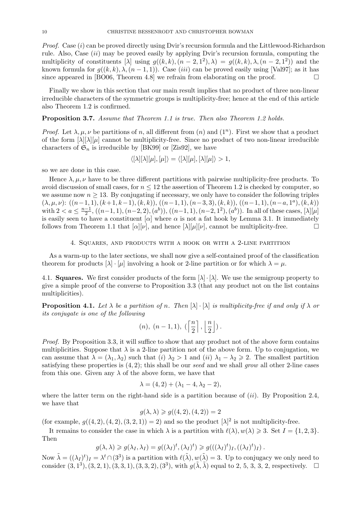*Proof.* Case  $(i)$  can be proved directly using Dvir's recursion formula and the Littlewood-Richardson rule. Also, Case  $(ii)$  may be proved easily by applying Dvir's recursion formula, computing the multiplicity of constituents [ $\lambda$ ] using  $g((k, k), (n - 2, 1^2), \lambda) = g((k, k), \lambda, (n - 2, 1^2))$  and the known formula for  $g((k, k), \lambda, (n - 1, 1))$ . Case *(iii)* can be proved easily using [Val97]; as it has since appeared in [BO06, Theorem 4.8] we refrain from elaborating on the proof.  $\Box$ 

Finally we show in this section that our main result implies that no product of three non-linear irreducible characters of the symmetric groups is multiplicity-free; hence at the end of this article also Theorem 1.2 is confirmed.

**Proposition 3.7.** Assume that Theorem 1.1 is true. Then also Theorem 1.2 holds.

Proof. Let  $\lambda, \mu, \nu$  be partitions of n, all different from  $(n)$  and  $(1^n)$ . First we show that a product of the form  $[\lambda][\lambda][\mu]$  cannot be multiplicity-free. Since no product of two non-linear irreducible characters of  $\mathfrak{S}_n$  is irreducible by [BK99] or [Zis92], we have

$$
\langle [\lambda][\lambda][\mu],[\mu]\rangle = \langle [\lambda][\mu],[\lambda][\mu]\rangle > 1,
$$

so we are done in this case.

Hence  $\lambda, \mu, \nu$  have to be three different partitions with pairwise multiplicity-free products. To avoid discussion of small cases, for  $n \leq 12$  the assertion of Theorem 1.2 is checked by computer, so we assume now  $n \geq 13$ . By conjugating if necessary, we only have to consider the following triples  $(\lambda, \mu, \nu)$ :  $((n-1, 1), (k+1, k-1), (k, k)), ((n-1, 1), (n-3, 3), (k, k)), ((n-1, 1), (n-a, 1^a), (k, k))$ with  $2 < a \leq \frac{n-1}{2}$  $\frac{-1}{2}$ , ((n-1, 1), (n-2, 2), (a<sup>b</sup>)), ((n-1, 1), (n-2, 1<sup>2</sup>), (a<sup>b</sup>)). In all of these cases, [λ][μ] is easily seen to have a constituent  $[\alpha]$  where  $\alpha$  is not a fat hook by Lemma 3.1. It immediately follows from Theorem 1.1 that  $[\alpha][\nu]$ , and hence  $[\lambda][\mu][\nu]$ , cannot be multiplicity-free.

4. Squares, and products with a hook or with a 2-line partition

As a warm-up to the later sections, we shall now give a self-contained proof of the classification theorem for products  $[\lambda] \cdot [\mu]$  involving a hook or 2-line partition or for which  $\lambda = \mu$ .

4.1. **Squares.** We first consider products of the form  $[\lambda] \cdot [\lambda]$ . We use the semigroup property to give a simple proof of the converse to Proposition 3.3 (that any product not on the list contains multiplicities).

**Proposition 4.1.** Let  $\lambda$  be a partition of n. Then  $[\lambda] \cdot [\lambda]$  is multiplicity-free if and only if  $\lambda$  or its conjugate is one of the following

$$
(n),\ (n-1,1),\ \big(\left\lceil\frac{n}{2}\right\rceil,\left\lfloor\frac{n}{2}\right\rfloor\big)\,.
$$

Proof. By Proposition 3.3, it will suffice to show that any product not of the above form contains multiplicities. Suppose that  $\lambda$  is a 2-line partition not of the above form. Up to conjugation, we can assume that  $\lambda = (\lambda_1, \lambda_2)$  such that  $(i)$   $\lambda_2 > 1$  and  $(ii)$   $\lambda_1 - \lambda_2 \geq 2$ . The smallest partition satisfying these properties is  $(4, 2)$ ; this shall be our seed and we shall grow all other 2-line cases from this one. Given any  $\lambda$  of the above form, we have that

$$
\lambda = (4, 2) + (\lambda_1 - 4, \lambda_2 - 2),
$$

where the latter term on the right-hand side is a partition because of  $(ii)$ . By Proposition 2.4, we have that

$$
g(\lambda, \lambda) \geqslant g((4, 2), (4, 2)) = 2
$$

(for example,  $g((4,2),(4,2),(3,2,1))=2$ ) and so the product  $[\lambda]^2$  is not multiplicity-free.

It remains to consider the case in which  $\lambda$  is a partition with  $\ell(\lambda), w(\lambda) \geq 3$ . Set  $I = \{1, 2, 3\}$ . Then

$$
g(\lambda, \lambda) \geq g(\lambda_I, \lambda_I) = g((\lambda_I)^t, (\lambda_I)^t) \geq g(((\lambda_I)^t)_I, ((\lambda_I)^t)_I).
$$

Now  $\tilde{\lambda} = ((\lambda_I)^t)_I = \lambda^t \cap (3^3)$  is a partition with  $\ell(\tilde{\lambda}), w(\tilde{\lambda}) = 3$ . Up to conjugacy we only need to consider  $(3, 1^3), (3, 2, 1), (3, 3, 1), (3, 3, 2), (3^3),$  with  $g(\tilde{\lambda}, \tilde{\lambda})$  equal to 2, 5, 3, 3, 2, respectively.  $\Box$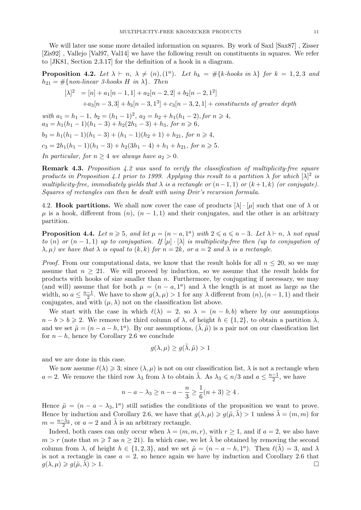We will later use some more detailed information on squares. By work of Saxl [Sax87], Zisser [Zis92] , Vallejo [Val97, Val14] we have the following result on constituents in squares. We refer to [JK81, Section 2.3.17] for the definition of a hook in a diagram.

**Proposition 4.2.** Let  $\lambda \vdash n$ ,  $\lambda \neq (n)$ ,  $(1^n)$ . Let  $h_k = \#\{k\text{-books in } \lambda\}$  for  $k = 1, 2, 3$  and  $h_{21} = \#\{non-linear\ 3\text{-}books\ H\ in\ \lambda\}.$  Then

$$
[\lambda]^2 = [n] + a_1[n-1, 1] + a_2[n-2, 2] + b_2[n-2, 1^2]
$$
  
+
$$
a_3[n-3, 3] + b_3[n-3, 1^3] + c_3[n-3, 2, 1] + \text{constituents of greater depth}
$$

with  $a_1 = h_1 - 1$ ,  $b_2 = (h_1 - 1)^2$ ,  $a_2 = h_2 + h_1(h_1 - 2)$ , for  $n \ge 4$ ,  $a_3 = h_1(h_1 - 1)(h_1 - 3) + h_2(2h_1 - 3) + h_3$ , for  $n \ge 6$ .  $b_3 = h_1(h_1 - 1)(h_1 - 3) + (h_1 - 1)(h_2 + 1) + h_{21}$ , for  $n \ge 4$ ,  $c_3 = 2h_1(h_1 - 1)(h_1 - 3) + h_2(3h_1 - 4) + h_1 + h_{21}$ , for  $n \ge 5$ .

In particular, for  $n > 4$  we always have  $a_2 > 0$ .

Remark 4.3. Proposition 4.2 was used to verify the classification of multiplicity-free square products in Proposition 4.1 prior to 1999. Applying this result to a partition  $\lambda$  for which  $[\lambda]^2$  is multiplicity-free, immediately yields that  $\lambda$  is a rectangle or  $(n-1, 1)$  or  $(k+1, k)$  (or conjugate). Squares of rectangles can then be dealt with using Dvir's recursion formula.

4.2. Hook partitions. We shall now cover the case of products  $[\lambda] \cdot [\mu]$  such that one of  $\lambda$  or  $\mu$  is a hook, different from  $(n)$ ,  $(n-1,1)$  and their conjugates, and the other is an arbitrary partition.

**Proposition 4.4.** Let  $n \ge 5$ , and let  $\mu = (n - a, 1^a)$  with  $2 \le a \le n - 3$ . Let  $\lambda \vdash n$ ,  $\lambda$  not equal to (n) or  $(n-1,1)$  up to conjugation. If  $[\mu] \cdot [\lambda]$  is multiplicity-free then (up to conjugation of  $\lambda, \mu$ ) we have that  $\lambda$  is equal to  $(k, k)$  for  $n = 2k$ , or  $a = 2$  and  $\lambda$  is a rectangle.

*Proof.* From our computational data, we know that the result holds for all  $n \leq 20$ , so we may assume that  $n \geq 21$ . We will proceed by induction, so we assume that the result holds for products with hooks of size smaller than  $n$ . Furthermore, by conjugating if necessary, we may (and will) assume that for both  $\mu = (n - a, 1^a)$  and  $\lambda$  the length is at most as large as the width, so  $a \leq \frac{n-1}{2}$  $\frac{-1}{2}$ . We have to show  $g(\lambda, \mu) > 1$  for any  $\lambda$  different from  $(n)$ ,  $(n-1, 1)$  and their conjugates, and with  $(\mu, \lambda)$  not on the classification list above.

We start with the case in which  $\ell(\lambda) = 2$ , so  $\lambda = (n - b, b)$  where by our assumptions  $n - b > b \ge 2$ . We remove the third column of  $\lambda$ , of height  $h \in \{1, 2\}$ , to obtain a partition  $\lambda$ , and we set  $\tilde{\mu} = (n - a - h, 1^a)$ . By our assumptions,  $(\tilde{\lambda}, \tilde{\mu})$  is a pair not on our classification list for  $n - h$ , hence by Corollary 2.6 we conclude

$$
g(\lambda,\mu) \ge g(\tilde{\lambda},\tilde{\mu}) > 1
$$

and we are done in this case.

We now assume  $\ell(\lambda) \geq 3$ ; since  $(\lambda, \mu)$  is not on our classification list,  $\lambda$  is not a rectangle when  $a = 2$ . We remove the third row  $\lambda_3$  from  $\lambda$  to obtain  $\tilde{\lambda}$ . As  $\lambda_3 \leqslant n/3$  and  $a \leq \frac{n-1}{2}$  $\frac{-1}{2}$ , we have

$$
n - a - \lambda_3 \ge n - a - \frac{n}{3} \ge \frac{1}{6}(n+3) \ge 4.
$$

Hence  $\tilde{\mu} = (n - a - \lambda_3, 1^a)$  still satisfies the conditions of the proposition we want to prove. Hence by induction and Corollary 2.6, we have that  $g(\lambda, \mu) \geq g(\tilde{\mu}, \tilde{\lambda}) > 1$  unless  $\tilde{\lambda} = (m, m)$  for  $m = \frac{n-\lambda_3}{2}$ , or  $a = 2$  and  $\tilde{\lambda}$  is an arbitrary rectangle.

Indeed, both cases can only occur when  $\lambda = (m, m, r)$ , with  $r \ge 1$ , and if  $a = 2$ , we also have  $m > r$  (note that  $m \ge 7$  as  $n \ge 21$ ). In which case, we let  $\tilde{\lambda}$  be obtained by removing the second column from  $\lambda$ , of height  $h \in \{1, 2, 3\}$ , and we set  $\tilde{\mu} = (n - a - h, 1^a)$ . Then  $\ell(\tilde{\lambda}) = 3$ , and  $\lambda$ is not a rectangle in case  $a = 2$ , so hence again we have by induction and Corollary 2.6 that  $g(\lambda, \mu) \geqslant g(\tilde{\mu}, \tilde{\lambda}) > 1.$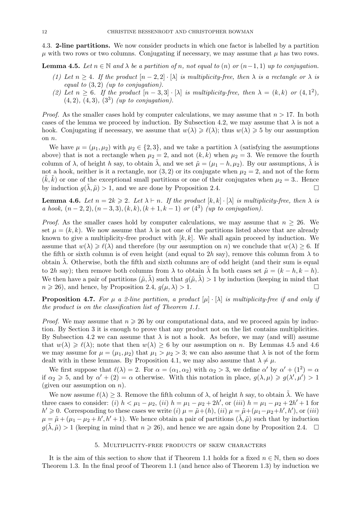4.3. 2-line partitions. We now consider products in which one factor is labelled by a partition  $\mu$  with two rows or two columns. Conjugating if necessary, we may assume that  $\mu$  has two rows.

**Lemma 4.5.** Let  $n \in \mathbb{N}$  and  $\lambda$  be a partition of n, not equal to (n) or  $(n-1,1)$  up to conjugation.

- (1) Let  $n \geq 4$ . If the product  $[n-2,2] \cdot [\lambda]$  is multiplicity-free, then  $\lambda$  is a rectangle or  $\lambda$  is equal to  $(3, 2)$  (up to conjugation).
- (2) Let  $n \geq 6$ . If the product  $[n-3,3] \cdot [\lambda]$  is multiplicity-free, then  $\lambda = (k, k)$  or  $(4, 1^2)$ ,  $(4, 2), (4, 3), (3^3)$  (up to conjugation).

*Proof.* As the smaller cases hold by computer calculations, we may assume that  $n > 17$ . In both cases of the lemma we proceed by induction. By Subsection 4.2, we may assume that  $\lambda$  is not a hook. Conjugating if necessary, we assume that  $w(\lambda) \geq \ell(\lambda)$ ; thus  $w(\lambda) \geq 5$  by our assumption on n.

We have  $\mu = (\mu_1, \mu_2)$  with  $\mu_2 \in \{2, 3\}$ , and we take a partition  $\lambda$  (satisfying the assumptions above) that is not a rectangle when  $\mu_2 = 2$ , and not  $(k, k)$  when  $\mu_2 = 3$ . We remove the fourth column of  $\lambda$ , of height h say, to obtain  $\tilde{\lambda}$ , and we set  $\tilde{\mu} = (\mu_1 - h, \mu_2)$ . By our assumptions,  $\lambda$  is not a hook, neither is it a rectangle, nor  $(3, 2)$  or its conjugate when  $\mu_2 = 2$ , and not of the form  $(\tilde{k}, \tilde{k})$  or one of the exceptional small partitions or one of their conjugates when  $\mu_2 = 3$ . Hence by induction  $q(\lambda, \tilde{\mu}) > 1$ , and we are done by Proposition 2.4.

**Lemma 4.6.** Let  $n = 2k \geq 2$ . Let  $\lambda \vdash n$ . If the product  $[k, k] \cdot [\lambda]$  is multiplicity-free, then  $\lambda$  is a hook,  $(n-2, 2), (n-3, 3), (k, k), (k + 1, k - 1)$  or  $(4^3)$  (up to conjugation).

*Proof.* As the smaller cases hold by computer calculations, we may assume that  $n \geq 26$ . We set  $\mu = (k, k)$ . We now assume that  $\lambda$  is not one of the partitions listed above that are already known to give a multiplicity-free product with  $[k, k]$ . We shall again proceed by induction. We assume that  $w(\lambda) \geq \ell(\lambda)$  and therefore (by our assumption on n) we conclude that  $w(\lambda) \geq 6$ . If the fifth or sixth column is of even height (and equal to  $2h$  say), remove this column from  $\lambda$  to obtain  $\lambda$ . Otherwise, both the fifth and sixth columns are of odd height (and their sum is equal to 2h say); then remove both columns from  $\lambda$  to obtain  $\lambda$  In both cases set  $\tilde{\mu} = (k - h, k - h)$ . We then have a pair of partitions  $(\tilde{\mu}, \tilde{\lambda})$  such that  $g(\tilde{\mu}, \tilde{\lambda}) > 1$  by induction (keeping in mind that  $n \geq 26$ , and hence, by Proposition 2.4,  $g(\mu, \lambda) > 1$ .

**Proposition 4.7.** For  $\mu$  a 2-line partition, a product  $[\mu] \cdot [\lambda]$  is multiplicity-free if and only if the product is on the classification list of Theorem 1.1.

*Proof.* We may assume that  $n \geq 26$  by our computational data, and we proceed again by induction. By Section 3 it is enough to prove that any product not on the list contains multiplicities. By Subsection 4.2 we can assume that  $\lambda$  is not a hook. As before, we may (and will) assume that  $w(\lambda) \geq \ell(\lambda)$ ; note that then  $w(\lambda) \geq 6$  by our assumption on n. By Lemmas 4.5 and 4.6 we may assume for  $\mu = (\mu_1, \mu_2)$  that  $\mu_1 > \mu_2 > 3$ ; we can also assume that  $\lambda$  is not of the form dealt with in these lemmas. By Proposition 4.1, we may also assume that  $\lambda \neq \mu$ .

We first suppose that  $\ell(\lambda) = 2$ . For  $\alpha = (\alpha_1, \alpha_2)$  with  $\alpha_2 > 3$ , we define  $\alpha'$  by  $\alpha' + (1^2) = \alpha$ if  $\alpha_2 \geq 5$ , and by  $\alpha' + (2) = \alpha$  otherwise. With this notation in place,  $g(\lambda, \mu) \geq g(\lambda', \mu') > 1$ (given our assumption on  $n$ ).

We now assume  $\ell(\lambda) \geq 3$ . Remove the fifth column of  $\lambda$ , of height h say, to obtain  $\lambda$ . We have three cases to consider: (i)  $h < \mu_1 - \mu_2$ , (ii)  $h = \mu_1 - \mu_2 + 2h'$ , or (iii)  $h = \mu_1 - \mu_2 + 2h' + 1$  for  $h' \ge 0$ . Corresponding to these cases we write (i)  $\mu = \tilde{\mu} + (h)$ , (ii)  $\mu = \tilde{\mu} + (\mu_1 - \mu_2 + h', h')$ , or (iii)  $\mu = \tilde{\mu} + (\mu_1 - \mu_2 + h', h' + 1)$ . We hence obtain a pair of partitions  $(\tilde{\lambda}, \tilde{\mu})$  such that by induction  $g(\tilde{\lambda}, \tilde{\mu}) > 1$  (keeping in mind that  $n \geq 26$ ), and hence we are again done by Proposition 2.4.  $\Box$ 

#### 5. Multiplicity-free products of skew characters

It is the aim of this section to show that if Theorem 1.1 holds for a fixed  $n \in \mathbb{N}$ , then so does Theorem 1.3. In the final proof of Theorem 1.1 (and hence also of Theorem 1.3) by induction we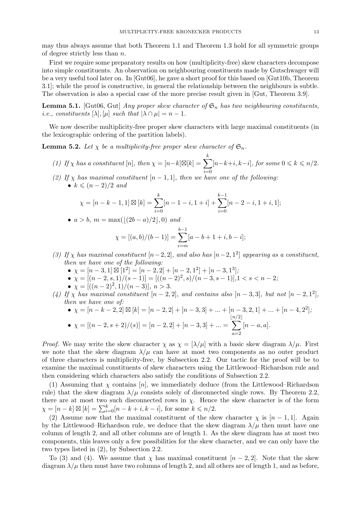may thus always assume that both Theorem 1.1 and Theorem 1.3 hold for all symmetric groups of degree strictly less than n.

First we require some preparatory results on how (multiplicity-free) skew characters decompose into simple constituents. An observation on neighbouring constituents made by Gutschwager will be a very useful tool later on. In [Gut06], he gave a short proof for this based on [Gut10b, Theorem 3.1]; while the proof is constructive, in general the relationship between the neighbours is subtle. The observation is also a special case of the more precise result given in [Gut, Theorem 3.9].

**Lemma 5.1.** [Gut06, Gut] Any proper skew character of  $\mathfrak{S}_n$  has two neighbouring constituents, *i.e.*, constituents  $[\lambda], [\mu]$  such that  $|\lambda \cap \mu| = n - 1$ .

We now describe multiplicity-free proper skew characters with large maximal constituents (in the lexicographic ordering of the partition labels).

**Lemma 5.2.** Let  $\chi$  be a multiplicity-free proper skew character of  $\mathfrak{S}_n$ .

- (1) If  $\chi$  has a constituent [n], then  $\chi = [n-k]\boxtimes [k] = \sum$ k  $i=0$  $[n-k+i, k-i]$ , for some  $0 \leq k \leq n/2$ .
- (2) If  $\chi$  has maximal constituent  $[n-1,1]$ , then we have one of the following: •  $k \leqslant (n-2)/2$  and

$$
\chi = [n - k - 1, 1] \boxtimes [k] = \sum_{i=0}^{k} [n - 1 - i, 1 + i] + \sum_{i=0}^{k-1} [n - 2 - i, 1 + i, 1];
$$

• 
$$
a > b
$$
,  $m = max(\lfloor (2b - a)/2 \rfloor, 0)$  and

$$
\chi = [(a, b)/(b - 1)] = \sum_{i=m}^{b-1} [a - b + 1 + i, b - i];
$$

- (3) If  $\chi$  has maximal constituent  $[n-2, 2]$ , and also has  $[n-2, 1^2]$  appearing as a constituent, then we have one of the following:
	- $\chi = [n-3, 1] \boxtimes [1^2] = [n-2, 2] + [n-2, 1^2] + [n-3, 1^3],$
	- $\chi = [(n-2, s, 1)/(s-1)] = [((n-2)^2, s)/(n-3, s-1)]$ ,  $1 < s < n-2$ ;
	- $\chi = [((n-2)^2, 1)/(n-3)], n > 3.$
- (4) If  $\chi$  has maximal constituent  $[n-2,2]$ , and contains also  $[n-3,3]$ , but not  $[n-2,1^2]$ , then we have one of:

• 
$$
\chi = [n-k-2, 2] \boxtimes [k] = [n-2, 2] + [n-3, 3] + ... + [n-3, 2, 1] + ... + [n-4, 2^2];
$$
  
\n•  $\chi = [(n-2, s+2)/(s)] = [n-2, 2] + [n-3, 3] + ... = \sum_{a=2}^{\lfloor n/2 \rfloor} [n-a, a].$ 

*Proof.* We may write the skew character  $\chi$  as  $\chi = [\lambda/\mu]$  with a basic skew diagram  $\lambda/\mu$ . First we note that the skew diagram  $\lambda/\mu$  can have at most two components as no outer product of three characters is multiplicity-free, by Subsection 2.2. Our tactic for the proof will be to examine the maximal constituents of skew characters using the Littlewood–Richardson rule and then considering which characters also satisfy the conditions of Subsection 2.2.

(1) Assuming that  $\chi$  contains [n], we immediately deduce (from the Littlewood–Richardson rule) that the skew diagram  $\lambda/\mu$  consists solely of disconnected single rows. By Theorem 2.2, there are at most two such disconnected rows in  $\chi$ . Hence the skew character is of the form  $\chi = [n - k] \boxtimes [k] = \sum_{i=0}^{k} [n - k + i, k - i]$ , for some  $k \le n/2$ .

(2) Assume now that the maximal constituent of the skew character  $\chi$  is [n – 1, 1]. Again by the Littlewood–Richardson rule, we deduce that the skew diagram  $\lambda/\mu$  then must have one column of length 2, and all other columns are of length 1. As the skew diagram has at most two components, this leaves only a few possibilities for the skew character, and we can only have the two types listed in (2), by Subsection 2.2.

To (3) and (4). We assume that  $\chi$  has maximal constituent  $[n-2,2]$ . Note that the skew diagram  $\lambda/\mu$  then must have two columns of length 2, and all others are of length 1, and as before,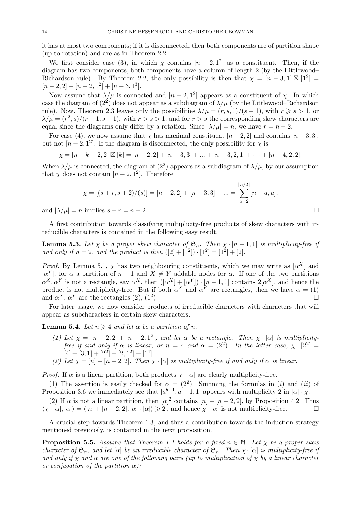it has at most two components; if it is disconnected, then both components are of partition shape (up to rotation) and are as in Theorem 2.2.

We first consider case (3), in which  $\chi$  contains  $[n-2,1^2]$  as a constituent. Then, if the diagram has two components, both components have a column of length 2 (by the Littlewood– Richardson rule). By Theorem 2.2, the only possibility is then that  $\chi = [n-3,1] \boxtimes [1^2] =$  $[n-2,2]+[n-2,1^2]+[n-3,1^3].$ 

Now assume that  $\lambda/\mu$  is connected and  $[n-2,1^2]$  appears as a constituent of  $\chi$ . In which case the diagram of  $(2^2)$  does not appear as a subdiagram of  $\lambda/\mu$  (by the Littlewood–Richardson rule). Now, Theorem 2.3 leaves only the possibilities  $\lambda/\mu = (r, s, 1)/(s - 1)$ , with  $r \geq s > 1$ , or  $\lambda/\mu = (r^2, s)/(r-1, s-1)$ , with  $r > s > 1$ , and for  $r > s$  the corresponding skew characters are equal since the diagrams only differ by a rotation. Since  $|\lambda/\mu| = n$ , we have  $r = n - 2$ .

For case (4), we now assume that  $\chi$  has maximal constituent  $[n-2, 2]$  and contains  $[n-3, 3]$ , but not  $[n-2,1^2]$ . If the diagram is disconnected, the only possibility for  $\chi$  is

$$
\chi = [n-k-2, 2] \boxtimes [k] = [n-2, 2] + [n-3, 3] + \dots + [n-3, 2, 1] + \dots + [n-4, 2, 2].
$$

When  $\lambda/\mu$  is connected, the diagram of  $(2^2)$  appears as a subdiagram of  $\lambda/\mu$ , by our assumption that  $\chi$  does not contain  $[n-2,1^2]$ . Therefore

$$
\chi = [(s+r, s+2)/(s)] = [n-2, 2] + [n-3, 3] + \dots = \sum_{a=2}^{\lfloor n/2 \rfloor} [n-a, a],
$$

and  $|\lambda/\mu| = n$  implies  $s + r = n - 2$ .

A first contribution towards classifying multiplicity-free products of skew characters with irreducible characters is contained in the following easy result.

**Lemma 5.3.** Let  $\chi$  be a proper skew character of  $\mathfrak{S}_n$ . Then  $\chi \cdot [n-1,1]$  is multiplicity-free if and only if  $n = 2$ , and the product is then  $([2] + [1^2]) \cdot [1^2] = [1^2] + [2]$ .

*Proof.* By Lemma 5.1,  $\chi$  has two neighbouring constituents, which we may write as  $[\alpha^X]$  and  $[\alpha^Y]$ , for  $\alpha$  a partition of  $n-1$  and  $X \neq Y$  addable nodes for  $\alpha$ . If one of the two partitions  $\alpha^X, \alpha^Y$  is not a rectangle, say  $\alpha^X$ , then  $([\alpha^X] + [\alpha^Y]) \cdot [n-1,1]$  contains  $2[\alpha^X]$ , and hence the product is not multiplicity-free. But if both  $\alpha^X$  and  $\alpha^Y$  are rectangles, then we have  $\alpha = (1)$ and  $\alpha^X$ ,  $\alpha^Y$  are the rectangles (2), (1<sup>2</sup>) ).  $\qquad \qquad \Box$ 

For later usage, we now consider products of irreducible characters with characters that will appear as subcharacters in certain skew characters.

**Lemma 5.4.** Let  $n \geq 4$  and let  $\alpha$  be a partition of n.

- (1) Let  $\chi = [n-2, 2] + [n-2, 1^2]$ , and let  $\alpha$  be a rectangle. Then  $\chi \cdot [\alpha]$  is multiplicityfree if and only if  $\alpha$  is linear, or  $n = 4$  and  $\alpha = (2^2)$ . In the latter case,  $\chi \cdot [2^2] =$  $[4] + [3, 1] + [2<sup>2</sup>] + [2, 1<sup>2</sup>] + [1<sup>4</sup>].$
- (2) Let  $\chi = [n] + [n-2, 2]$ . Then  $\chi \cdot [\alpha]$  is multiplicity-free if and only if  $\alpha$  is linear.

*Proof.* If  $\alpha$  is a linear partition, both products  $\chi \cdot [\alpha]$  are clearly multiplicity-free.

(1) The assertion is easily checked for  $\alpha = (2^2)$ . Summing the formulas in (i) and (ii) of Proposition 3.6 we immediately see that  $[a^{b-1}, a-1, 1]$  appears with multiplicity 2 in  $[\alpha] \cdot \chi$ .

(2) If  $\alpha$  is not a linear partition, then  $[\alpha]^2$  contains  $[n] + [n-2, 2]$ , by Proposition 4.2. Thus  $\langle \chi \cdot [\alpha], [\alpha] \rangle = \langle [n] + [n-2, 2], [\alpha] \cdot [\alpha] \rangle \geq 2$ , and hence  $\chi \cdot [\alpha]$  is not multiplicity-free.

A crucial step towards Theorem 1.3, and thus a contribution towards the induction strategy mentioned previously, is contained in the next proposition.

**Proposition 5.5.** Assume that Theorem 1.1 holds for a fixed  $n \in \mathbb{N}$ . Let  $\chi$  be a proper skew character of  $\mathfrak{S}_n$ , and let  $[\alpha]$  be an irreducible character of  $\mathfrak{S}_n$ . Then  $\chi \cdot [\alpha]$  is multiplicity-free if and only if  $\chi$  and  $\alpha$  are one of the following pairs (up to multiplication of  $\chi$  by a linear character or conjugation of the partition  $\alpha$ ):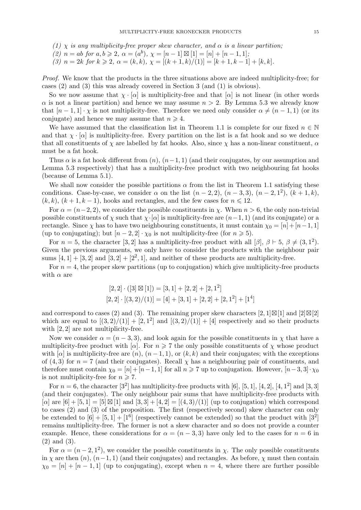(1)  $\chi$  is any multiplicity-free proper skew character, and  $\alpha$  is a linear partition;

(2)  $n = ab$  for  $a, b \ge 2$ ,  $\alpha = (a^b)$ ,  $\chi = [n-1] \boxtimes [1] = [n] + [n-1, 1]$ ;

(3)  $n = 2k$  for  $k \ge 2$ ,  $\alpha = (k, k)$ ,  $\chi = [(k + 1, k)/(1)] = [k + 1, k - 1] + [k, k]$ .

Proof. We know that the products in the three situations above are indeed multiplicity-free; for cases (2) and (3) this was already covered in Section 3 (and (1) is obvious).

So we now assume that  $\chi \cdot [\alpha]$  is multiplicity-free and that  $[\alpha]$  is not linear (in other words  $\alpha$  is not a linear partition) and hence we may assume  $n > 2$ . By Lemma 5.3 we already know that  $[n-1,1] \cdot \chi$  is not multiplicity-free. Therefore we need only consider  $\alpha \neq (n-1,1)$  (or its conjugate) and hence we may assume that  $n \geq 4$ .

We have assumed that the classification list in Theorem 1.1 is complete for our fixed  $n \in \mathbb{N}$ and that  $\chi \cdot [\alpha]$  is multiplicity-free. Every partition on the list is a fat hook and so we deduce that all constituents of  $\chi$  are labelled by fat hooks. Also, since  $\chi$  has a non-linear constituent,  $\alpha$ must be a fat hook.

Thus  $\alpha$  is a fat hook different from  $(n)$ ,  $(n-1, 1)$  (and their conjugates, by our assumption and Lemma 5.3 respectively) that has a multiplicity-free product with two neighbouring fat hooks (because of Lemma 5.1).

We shall now consider the possible partitions  $\alpha$  from the list in Theorem 1.1 satisfying these conditions. Case-by-case, we consider  $\alpha$  on the list  $(n-2, 2)$ ,  $(n-3, 3)$ ,  $(n-2, 1^2)$ ,  $(k+1, k)$ ,  $(k, k), (k + 1, k - 1)$ , hooks and rectangles, and the few cases for  $n \leq 12$ .

For  $\alpha = (n-2, 2)$ , we consider the possible constituents in x. When  $n > 6$ , the only non-trivial possible constituents of  $\chi$  such that  $\chi \cdot [\alpha]$  is multiplicity-free are  $(n-1, 1)$  (and its conjugate) or a rectangle. Since  $\chi$  has to have two neighbouring constituents, it must contain  $\chi_0 = [n]+[n-1, 1]$ (up to conjugating); but  $[n-2,2] \cdot \chi_0$  is not multiplicity-free (for  $n \geq 5$ ).

For  $n = 5$ , the character [3, 2] has a multiplicity-free product with all [ $\beta$ ],  $\beta \vdash 5$ ,  $\beta \neq (3, 1^2)$ . Given the previous arguments, we only have to consider the products with the neighbour pair sums  $[4, 1] + [3, 2]$  and  $[3, 2] + [2^2, 1]$ , and neither of these products are multiplicity-free.

For  $n = 4$ , the proper skew partitions (up to conjugation) which give multiplicity-free products with  $\alpha$  are

$$
[2,2] \cdot ([3] \boxtimes [1]) = [3,1] + [2,2] + [2,12]
$$

$$
[2,2] \cdot [(3,2)/(1)] = [4] + [3,1] + [2,2] + [2,12] + [14]
$$

and correspond to cases (2) and (3). The remaining proper skew characters [2, 1]⊠[1] and [2]⊠[2] which are equal to  $[(3,2)/(1)] + [2,1^2]$  and  $[(3,2)/(1)] + [4]$  respectively and so their products with [2, 2] are not multiplicity-free.

Now we consider  $\alpha = (n-3, 3)$ , and look again for the possible constituents in  $\chi$  that have a multiplicity-free product with [ $\alpha$ ]. For  $n \geq 7$  the only possible constituents of  $\chi$  whose product with  $[\alpha]$  is multiplicity-free are  $(n)$ ,  $(n-1,1)$ , or  $(k, k)$  and their conjugates; with the exceptions of (4, 3) for  $n = 7$  (and their conjugates). Recall  $\chi$  has a neighbouring pair of constituents, and therefore must contain  $\chi_0 = [n] + [n-1, 1]$  for all  $n \geq 7$  up to conjugation. However,  $[n-3, 3] \cdot \chi_0$ is not multiplicity-free for  $n \ge 7$ .

For  $n = 6$ , the character  $[3^2]$  has multiplicity-free products with  $[6]$ ,  $[5, 1]$ ,  $[4, 2]$ ,  $[4, 1^2]$  and  $[3, 3]$ (and their conjugates). The only neighbour pair sums that have multiplicity-free products with  $[\alpha]$  are  $[6] + [5, 1] = [5] \boxtimes [1]$  and  $[3, 3] + [4, 2] = [(4, 3)/(1)]$  (up to conjugation) which correspond to cases (2) and (3) of the proposition. The first (respectively second) skew character can only be extended to  $[6] + [5, 1] + [1^6]$  (respectively cannot be extended) so that the product with  $[3^2]$ remains multiplicity-free. The former is not a skew character and so does not provide a counter example. Hence, these considerations for  $\alpha = (n-3,3)$  have only led to the cases for  $n = 6$  in (2) and (3).

For  $\alpha = (n-2, 1^2)$ , we consider the possible constituents in  $\chi$ . The only possible constituents in  $\chi$  are then  $(n)$ ,  $(n-1, 1)$  (and their conjugates) and rectangles. As before,  $\chi$  must then contain  $\chi_0 = [n] + [n-1,1]$  (up to conjugating), except when  $n = 4$ , where there are further possible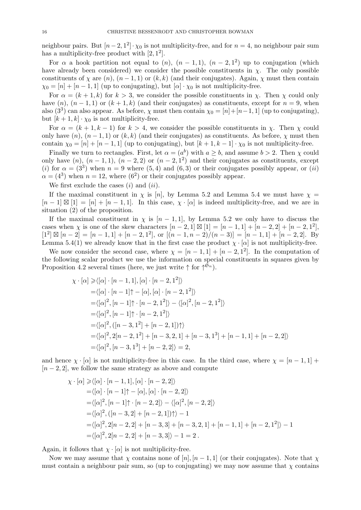neighbour pairs. But  $[n-2, 1^2] \cdot \chi_0$  is not multiplicity-free, and for  $n = 4$ , no neighbour pair sum has a multiplicity-free product with  $[2, 1^2]$ .

For  $\alpha$  a hook partition not equal to  $(n)$ ,  $(n-1,1)$ ,  $(n-2,1^2)$  up to conjugation (which have already been considered) we consider the possible constituents in  $\chi$ . The only possible constituents of  $\chi$  are  $(n)$ ,  $(n-1,1)$  or  $(k, k)$  (and their conjugates). Again,  $\chi$  must then contain  $\chi_0 = [n] + [n-1,1]$  (up to conjugating), but  $[\alpha] \cdot \chi_0$  is not multiplicity-free.

For  $\alpha = (k+1, k)$  for  $k > 3$ , we consider the possible constituents in  $\chi$ . Then  $\chi$  could only have  $(n)$ ,  $(n-1,1)$  or  $(k+1,k)$  (and their conjugates) as constituents, except for  $n=9$ , when also (3<sup>3</sup>) can also appear. As before,  $\chi$  must then contain  $\chi_0 = [n] + [n-1, 1]$  (up to conjugating), but  $[k+1, k] \cdot \chi_0$  is not multiplicity-free.

For  $\alpha = (k + 1, k - 1)$  for  $k > 4$ , we consider the possible constituents in  $\chi$ . Then  $\chi$  could only have  $(n)$ ,  $(n-1,1)$  or  $(k, k)$  (and their conjugates) as constituents. As before,  $\chi$  must then contain  $\chi_0 = [n] + [n-1, 1]$  (up to conjugating), but  $[k+1, k-1] \cdot \chi_0$  is not multiplicity-free.

Finally we turn to rectangles. First, let  $\alpha = (a^b)$  with  $a \geq b$ , and assume  $b > 2$ . Then  $\chi$  could only have  $(n)$ ,  $(n-1,1)$ ,  $(n-2,2)$  or  $(n-2,1^2)$  and their conjugates as constituents, except (i) for  $\alpha = (3^3)$  when  $n = 9$  where  $(5, 4)$  and  $(6, 3)$  or their conjugates possibly appear, or  $(ii)$  $\alpha = (4^3)$  when  $n = 12$ , where  $(6^2)$  or their conjugates possibly appear.

We first exclude the cases  $(i)$  and  $(ii)$ .

If the maximal constituent in  $\chi$  is [n], by Lemma 5.2 and Lemma 5.4 we must have  $\chi$  =  $[n-1] \boxtimes [1] = [n] + [n-1,1].$  In this case,  $\chi \cdot [\alpha]$  is indeed multiplicity-free, and we are in situation (2) of the proposition.

If the maximal constituent in  $\chi$  is  $[n-1,1]$ , by Lemma 5.2 we only have to discuss the cases when  $\chi$  is one of the skew characters  $[n-2,1] \boxtimes [1] = [n-1,1] + [n-2,2] + [n-2,1^2]$ ,  $[1^2] \boxtimes [n-2] = [n-1, 1] + [n-2, 1^2],$  or  $[(n-1, n-2)/(n-3)] = [n-1, 1] + [n-2, 2].$  By Lemma 5.4(1) we already know that in the first case the product  $\chi \cdot [\alpha]$  is not multiplicity-free.

We now consider the second case, where  $\chi = [n-1,1] + [n-2,1^2]$ . In the computation of the following scalar product we use the information on special constituents in squares given by Proposition 4.2 several times (here, we just write  $\uparrow$  for  $\uparrow^{\hat{\mathfrak{S}}_n}$ ).

$$
\chi \cdot [\alpha] \geq \langle [\alpha] \cdot [n-1,1], [\alpha] \cdot [n-2,1^2] \rangle
$$
  
\n=  $\langle [\alpha] \cdot [n-1]\uparrow - [\alpha], [\alpha] \cdot [n-2,1^2] \rangle$   
\n=  $\langle [\alpha]^2, [n-1]\uparrow \cdot [n-2,1^2] \rangle - \langle [\alpha]^2, [n-2,1^2] \rangle$   
\n=  $\langle [\alpha]^2, [n-1]\uparrow \cdot [n-2,1^2] \rangle$   
\n=  $\langle [\alpha]^2, ([n-3,1^2] + [n-2,1])\uparrow \rangle$   
\n=  $\langle [\alpha]^2, 2[n-2,1^2] + [n-3,2,1] + [n-3,1^3] + [n-1,1] + [n-2,2] \rangle$   
\n=  $\langle [\alpha]^2, [n-3,1^3] + [n-2,2] \rangle = 2$ ,

and hence  $\chi \cdot [\alpha]$  is not multiplicity-free in this case. In the third case, where  $\chi = [n-1,1] +$  $[n-2, 2]$ , we follow the same strategy as above and compute

$$
\chi \cdot [\alpha] \ge \langle [\alpha] \cdot [n-1, 1], [\alpha] \cdot [n-2, 2] \rangle
$$
  
=  $\langle [\alpha] \cdot [n-1] \uparrow - [\alpha], [\alpha] \cdot [n-2, 2] \rangle$   
=  $\langle [\alpha]^2, [n-1] \uparrow \cdot [n-2, 2] \rangle - \langle [\alpha]^2, [n-2, 2] \rangle$   
=  $\langle [\alpha]^2, ([n-3, 2] + [n-2, 1]) \uparrow \rangle - 1$   
=  $\langle [\alpha]^2, 2[n-2, 2] + [n-3, 3] + [n-3, 2, 1] + [n-1, 1] + [n-2, 1^2] \rangle - 1$   
=  $\langle [\alpha]^2, 2[n-2, 2] + [n-3, 3] \rangle - 1 = 2$ .

Again, it follows that  $\chi \cdot [\alpha]$  is not multiplicity-free.

Now we may assume that  $\chi$  contains none of  $[n], [n-1, 1]$  (or their conjugates). Note that  $\chi$ must contain a neighbour pair sum, so (up to conjugating) we may now assume that  $\chi$  contains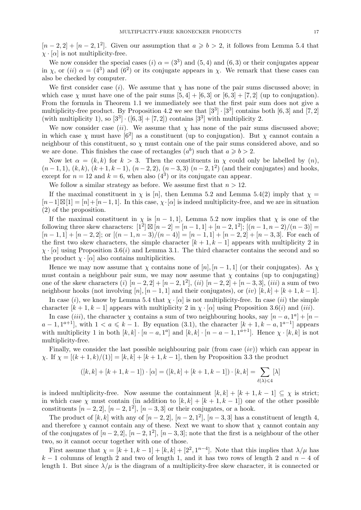$[n-2,2]+[n-2,1^2]$ . Given our assumption that  $a \geq b > 2$ , it follows from Lemma 5.4 that  $\chi \cdot [\alpha]$  is not multiplicity-free.

We now consider the special cases (i)  $\alpha = (3^3)$  and  $(5, 4)$  and  $(6, 3)$  or their conjugates appear in  $\chi$ , or (ii)  $\alpha = (4^3)$  and  $(6^2)$  or its conjugate appears in  $\chi$ . We remark that these cases can also be checked by computer.

We first consider case (i). We assume that  $\chi$  has none of the pair sums discussed above; in which case  $\chi$  must have one of the pair sums  $[5, 4] + [6, 3]$  or  $[6, 3] + [7, 2]$  (up to conjugation). From the formula in Theorem 1.1 we immediately see that the first pair sum does not give a multiplicity-free product. By Proposition 4.2 we see that  $[3^3] \cdot [3^3]$  contains both  $[6,3]$  and  $[7,2]$ (with multiplicity 1), so  $[3^3] \cdot ([6,3] + [7,2])$  contains  $[3^3]$  with multiplicity 2.

We now consider case (ii). We assume that  $\chi$  has none of the pair sums discussed above; in which case  $\chi$  must have  $[6^2]$  as a constituent (up to conjugation). But  $\chi$  cannot contain a neighbour of this constituent, so  $\chi$  must contain one of the pair sums considered above, and so we are done. This finishes the case of rectangles  $(a^b)$  such that  $a \geq b > 2$ .

Now let  $\alpha = (k, k)$  for  $k > 3$ . Then the constituents in  $\chi$  could only be labelled by  $(n)$ ,  $(n-1,1), (k,k), (k+1,k-1), (n-2,2), (n-3,3) (n-2,1^2)$  (and their conjugates) and hooks, except for  $n = 12$  and  $k = 6$ , when also  $(4^3)$  or its conjugate can appear.

We follow a similar strategy as before. We assume first that  $n > 12$ .

If the maximal constituent in  $\chi$  is [n], then Lemma 5.2 and Lemma 5.4(2) imply that  $\chi$  =  $[n-1]\boxtimes[1]=[n]+[n-1,1].$  In this case,  $\chi \cdot [\alpha]$  is indeed multiplicity-free, and we are in situation (2) of the proposition.

If the maximal constituent in  $\chi$  is  $[n-1,1]$ , Lemma 5.2 now implies that  $\chi$  is one of the following three skew characters:  $[1^2] \boxtimes [n-2] = [n-1, 1] + [n-2, 1^2]$ ;  $[(n-1, n-2)/(n-3)] =$  $[n-1,1] + [n-2,2]$ ; or  $[(n-1,n-3)/(n-4)] = [n-1,1] + [n-2,2] + [n-3,3]$ . For each of the first two skew characters, the simple character  $[k+1, k-1]$  appears with multiplicity 2 in  $\chi \cdot [\alpha]$  using Proposition 3.6(*i*) and Lemma 3.1. The third character contains the second and so the product  $\chi \cdot [\alpha]$  also contains multiplicities.

Hence we may now assume that  $\chi$  contains none of  $[n], [n-1, 1]$  (or their conjugates). As  $\chi$ must contain a neighbour pair sum, we may now assume that  $\chi$  contains (up to conjugating) one of the skew characters (i)  $[n-2, 2] + [n-2, 1^2]$ , (ii)  $[n-2, 2] + [n-3, 3]$ , (iii) a sum of two neighbour hooks (not involving [n],  $[n-1, 1]$  and their conjugates), or (iv)  $[k, k] + [k+1, k-1]$ .

In case (i), we know by Lemma 5.4 that  $\chi \cdot [\alpha]$  is not multiplicity-free. In case (ii) the simple character  $[k+1, k-1]$  appears with multiplicity 2 in  $\chi \cdot [\alpha]$  using Proposition 3.6(i) and (iii).

In case (iii), the character  $\chi$  contains a sum of two neighbouring hooks, say  $[n-a, 1^a] + [n-a, 1^a]$  $a-1,1^{a+1}$ , with  $1 < a \leq k-1$ . By equation (3.1), the character  $[k+1,k-a,1^{a-1}]$  appears with multiplicity 1 in both  $[k, k] \cdot [n - a, 1^a]$  and  $[k, k] \cdot [n - a - 1, 1^{a+1}]$ . Hence  $\chi \cdot [k, k]$  is not multiplicity-free.

Finally, we consider the last possible neighbouring pair (from case  $(iv)$ ) which can appear in  $\chi$ . If  $\chi = [(k+1, k)/(1)] = [k, k] + [k+1, k-1]$ , then by Proposition 3.3 the product

$$
([k,k] + [k+1,k-1]) \cdot [\alpha] = ([k,k] + [k+1,k-1]) \cdot [k,k] = \sum_{\ell(\lambda) \leq 4} [\lambda]
$$

is indeed multiplicity-free. Now assume the containment  $[k, k] + [k + 1, k - 1] \subseteq \chi$  is strict; in which case  $\chi$  must contain (in addition to  $[k, k] + [k + 1, k - 1]$ ) one of the other possible constituents  $[n-2, 2], [n-2, 1^2], [n-3, 3]$  or their conjugates, or a hook.

The product of  $[k, k]$  with any of  $[n-2, 2]$ ,  $[n-2, 1^2]$ ,  $[n-3, 3]$  has a constituent of length 4, and therefore  $\chi$  cannot contain any of these. Next we want to show that  $\chi$  cannot contain any of the conjugates of  $[n-2,2], [n-2,1^2], [n-3,3]$ ; note that the first is a neighbour of the other two, so it cannot occur together with one of those.

First assume that  $\chi = [k+1, k-1] + [k, k] + [2^2, 1^{n-4}]$ . Note that this implies that  $\lambda/\mu$  has  $k-1$  columns of length 2 and two of length 1, and it has two rows of length 2 and  $n-4$  of length 1. But since  $\lambda/\mu$  is the diagram of a multiplicity-free skew character, it is connected or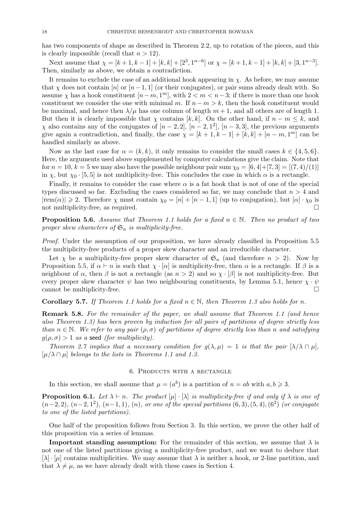has two components of shape as described in Theorem 2.2, up to rotation of the pieces, and this is clearly impossible (recall that  $n > 12$ ).

Next assume that  $\chi = [k+1, k-1] + [k, k] + [2^3, 1^{n-6}]$  or  $\chi = [k+1, k-1] + [k, k] + [3, 1^{n-3}]$ . Then, similarly as above, we obtain a contradiction.

It remains to exclude the case of an additional hook appearing in  $\chi$ . As before, we may assume that  $\chi$  does not contain [n] or [n - 1, 1] (or their conjugates), or pair sums already dealt with. So assume  $\chi$  has a hook constituent  $[n-m,1^m]$ , with  $2 < m < n-3$ ; if there is more than one hook constituent we consider the one with minimal m. If  $n - m > k$ , then the hook constituent would be maximal, and hence then  $\lambda/\mu$  has one column of length m + 1, and all others are of length 1. But then it is clearly impossible that  $\chi$  contains [k, k]. On the other hand, if  $n - m \leq k$ , and  $\chi$  also contains any of the conjugates of  $[n-2, 2]$ ,  $[n-2, 1^2]$ ,  $[n-3, 3]$ , the previous arguments give again a contradiction, and finally, the case  $\chi = [k+1, k-1] + [k, k] + [n-m, 1<sup>m</sup>]$  can be handled similarly as above.

Now as the last case for  $\alpha = (k, k)$ , it only remains to consider the small cases  $k \in \{4, 5, 6\}$ . Here, the arguments used above supplemented by computer calculations give the claim. Note that for  $n = 10$ ,  $k = 5$  we may also have the possible neighbour pair sum  $\chi_0 = [6, 4] + [7, 3] = [(7, 4)/(1)]$ in x, but  $\chi_0$  · [5, 5] is not multiplicity-free. This concludes the case in which  $\alpha$  is a rectangle.

Finally, it remains to consider the case where  $\alpha$  is a fat hook that is not of one of the special types discussed so far. Excluding the cases considered so far, we may conclude that  $n > 4$  and  $|\text{rem}(\alpha)| \geq 2$ . Therefore  $\chi$  must contain  $\chi_0 = [n] + [n-1, 1]$  (up to conjugation), but  $[\alpha] \cdot \chi_0$  is not multiplicity-free, as required.

**Proposition 5.6.** Assume that Theorem 1.1 holds for a fixed  $n \in \mathbb{N}$ . Then no product of two proper skew characters of  $\mathfrak{S}_n$  is multiplicity-free.

Proof. Under the assumption of our proposition, we have already classified in Proposition 5.5 the multiplicity-free products of a proper skew character and an irreducible character.

Let  $\chi$  be a multiplicity-free proper skew character of  $\mathfrak{S}_n$  (and therefore  $n > 2$ ). Now by Proposition 5.5, if  $\alpha \vdash n$  is such that  $\chi \cdot [\alpha]$  is multiplicity-free, then  $\alpha$  is a rectangle. If  $\beta$  is a neighbour of  $\alpha$ , then  $\beta$  is not a rectangle (as  $n > 2$ ) and so  $\chi \cdot [\beta]$  is not multiplicity-free. But every proper skew character  $\psi$  has two neighbouring constituents, by Lemma 5.1, hence  $\chi \cdot \psi$ cannot be multiplicity-free.  $\Box$ 

**Corollary 5.7.** If Theorem 1.1 holds for a fixed  $n \in \mathbb{N}$ , then Theorem 1.3 also holds for n.

**Remark 5.8.** For the remainder of the paper, we shall assume that Theorem 1.1 (and hence also Theorem 1.3) has been proven by induction for all pairs of partitions of degree strictly less than  $n \in \mathbb{N}$ . We refer to any pair  $(\rho, \sigma)$  of partitions of degree strictly less than n and satisfying  $g(\rho, \sigma) > 1$  as a seed (for multiplicity).

Theorem 2.7 implies that a necessary condition for  $g(\lambda,\mu) = 1$  is that the pair  $[\lambda/\lambda \cap \mu]$ ,  $[\mu/\lambda \cap \mu]$  belongs to the lists in Theorems 1.1 and 1.3.

#### 6. Products with a rectangle

In this section, we shall assume that  $\mu = (a^b)$  is a partition of  $n = ab$  with  $a, b \geq 3$ .

**Proposition 6.1.** Let  $\lambda \vdash n$ . The product  $[\mu] \cdot [\lambda]$  is multiplicity-free if and only if  $\lambda$  is one of  $(n-2, 2), (n-2, 1^2), (n-1, 1), (n),$  or one of the special partitions  $(6, 3), (5, 4), (6^2)$  (or conjugate to one of the listed partitions).

One half of the proposition follows from Section 3. In this section, we prove the other half of this proposition via a series of lemmas.

**Important standing assumption:** For the remainder of this section, we assume that  $\lambda$  is not one of the listed partitions giving a multiplicity-free product, and we want to deduce that  $[\lambda] \cdot [\mu]$  contains multiplicities. We may assume that  $\lambda$  is neither a hook, or 2-line partition, and that  $\lambda \neq \mu$ , as we have already dealt with these cases in Section 4.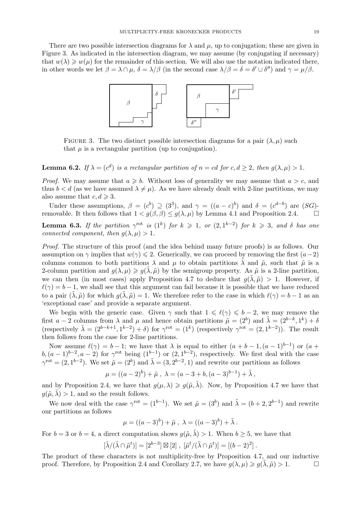There are two possible intersection diagrams for  $\lambda$  and  $\mu$ , up to conjugation; these are given in Figure 3. As indicated in the intersection diagram, we may assume (by conjugating if necessary) that  $w(\lambda) \geq w(\mu)$  for the remainder of this section. We will also use the notation indicated there, in other words we let  $\beta = \lambda \cap \mu$ ,  $\delta = \lambda/\beta$  (in the second case  $\lambda/\beta = \delta = \delta' \cup \delta''$ ) and  $\gamma = \mu/\beta$ .



FIGURE 3. The two distinct possible intersection diagrams for a pair  $(\lambda, \mu)$  such that  $\mu$  is a rectangular partition (up to conjugation).

**Lemma 6.2.** If  $\lambda = (c^d)$  is a rectangular partition of  $n = cd$  for  $c, d \geq 2$ , then  $g(\lambda, \mu) > 1$ .

*Proof.* We may assume that  $a \geq b$ . Without loss of generality we may assume that  $a > c$ , and thus  $b < d$  (as we have assumed  $\lambda \neq \mu$ ). As we have already dealt with 2-line partitions, we may also assume that  $c, d \geq 3$ .

Under these assumptions,  $\beta = (c^b) \supseteq (3^3)$ , and  $\gamma = ((a-c)^b)$  and  $\delta = (c^{d-b})$  are  $(SG)$ removable. It then follows that  $1 < g(\beta, \beta) \le g(\lambda, \mu)$  by Lemma 4.1 and Proposition 2.4.

**Lemma 6.3.** If the partition  $\gamma^{\rm rot}$  is  $(1^k)$  for  $k \geq 1$ , or  $(2, 1^{k-2})$  for  $k \geq 3$ , and  $\delta$  has one connected component, then  $g(\lambda, \mu) > 1$ .

Proof. The structure of this proof (and the idea behind many future proofs) is as follows. Our assumption on  $\gamma$  implies that  $w(\gamma) \leq 2$ . Generically, we can proceed by removing the first  $(a-2)$ columns common to both partitions  $\lambda$  and  $\mu$  to obtain partitions  $\lambda$  and  $\tilde{\mu}$ , such that  $\tilde{\mu}$  is a 2-column partition and  $g(\lambda, \mu) \geq g(\lambda, \tilde{\mu})$  by the semigroup property. As  $\tilde{\mu}$  is a 2-line partition, we can then (in most cases) apply Proposition 4.7 to deduce that  $g(\lambda, \tilde{\mu}) > 1$ . However, if  $\ell(\gamma) = b - 1$ , we shall see that this argument can fail because it is possible that we have reduced to a pair  $(\lambda, \tilde{\mu})$  for which  $q(\lambda, \tilde{\mu}) = 1$ . We therefore refer to the case in which  $\ell(\gamma) = b - 1$  as an 'exceptional case' and provide a separate argument.

We begin with the generic case. Given  $\gamma$  such that  $1 \leq \ell(\gamma) \leq b-2$ , we may remove the first  $a-2$  columns from  $\lambda$  and  $\mu$  and hence obtain partitions  $\tilde{\mu} = (2^b)$  and  $\tilde{\lambda} = (2^{b-k}, 1^k) + \delta$ (respectively  $\tilde{\lambda} = (2^{b-k+1}, 1^{k-2}) + \delta$ ) for  $\gamma^{\text{rot}} = (1^k)$  (respectively  $\gamma^{\text{rot}} = (2, 1^{k-2})$ ). The result then follows from the case for 2-line partitions.

Now assume  $\ell(\gamma) = b - 1$ ; we have that  $\lambda$  is equal to either  $(a + b - 1, (a - 1)^{b-1})$  or  $(a + b)$  $b, (a-1)^{b-2}, a-2$  for  $\gamma^{rot}$  being  $(1^{b-1})$  or  $(2, 1^{b-2})$ , respectively. We first deal with the case  $\gamma^{\rm rot} = (2, 1^{b-2})$ . We set  $\tilde{\mu} = (2^b)$  and  $\tilde{\lambda} = (3, 2^{b-2}, 1)$  and rewrite our partitions as follows

$$
\mu = ((a-2)^b) + \tilde{\mu} , \lambda = (a-3+b, (a-3)^{b-1}) + \tilde{\lambda} ,
$$

and by Proposition 2.4, we have that  $g(\mu, \lambda) \geq g(\tilde{\mu}, \tilde{\lambda})$ . Now, by Proposition 4.7 we have that  $g(\tilde{\mu}, \tilde{\lambda}) > 1$ , and so the result follows.

We now deal with the case  $\gamma^{\text{rot}} = (1^{b-1})$ . We set  $\tilde{\mu} = (3^b)$  and  $\tilde{\lambda} = (b+2, 2^{b-1})$  and rewrite our partitions as follows

$$
\mu = ((a-3)^{b}) + \tilde{\mu} , \lambda = ((a-3)^{b}) + \tilde{\lambda} .
$$

For  $b = 3$  or  $b = 4$ , a direct computation shows  $g(\tilde{\mu}, \tilde{\lambda}) > 1$ . When  $b \ge 5$ , we have that

$$
[\tilde{\lambda}/(\tilde{\lambda}\cap\tilde{\mu}^t)]=[2^{b-3}]\boxtimes[2], [\tilde{\mu}^t/(\tilde{\lambda}\cap\tilde{\mu}^t)]=[(b-2)^2].
$$

The product of these characters is not multiplicity-free by Proposition 4.7, and our inductive proof. Therefore, by Proposition 2.4 and Corollary 2.7, we have  $q(\lambda, \mu) \geq q(\lambda, \tilde{\mu}) > 1$ .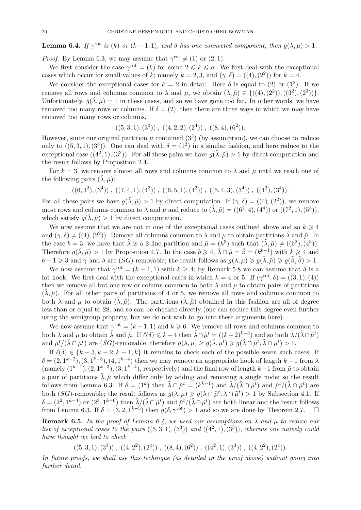**Lemma 6.4.** If  $\gamma^{\text{rot}}$  is (k) or (k - 1, 1), and  $\delta$  has one connected component, then  $g(\lambda, \mu) > 1$ .

*Proof.* By Lemma 6.3, we may assume that  $\gamma^{\text{rot}} \neq (1)$  or  $(2, 1)$ .

We first consider the case  $\gamma^{\rm rot} = (k)$  for some  $2 \leq k \leq a$ . We first deal with the exceptional cases which occur for small values of k; namely  $k = 2, 3$ , and  $(\gamma, \delta) = ((4), (2^2))$  for  $k = 4$ .

We consider the exceptional cases for  $k = 2$  in detail. Here  $\delta$  is equal to (2) or (1<sup>2</sup>). If we remove all rows and columns common to  $\lambda$  and  $\mu$ , we obtain  $(\tilde{\lambda}, \tilde{\mu}) \in \{((4), (2^2)), ((3^2), (2^3))\}.$ Unfortunately,  $g(\tilde{\lambda}, \tilde{\mu}) = 1$  in these cases, and so we have gone too far. In other words, we have removed too many rows or columns. If  $\delta = (2)$ , then there are three ways in which we may have removed too many rows or columns,

 $((5,3,1),(3^3))$ ,  $((4,2,2),(2^4))$ ,  $((8,4),(6^2))$ .

However, since our original partition  $\mu$  contained  $(3^3)$  (by assumption), we can choose to reduce only to  $((5,3,1),(3^3))$ . One can deal with  $\delta = (1^2)$  in a similar fashion, and here reduce to the exceptional case  $((4^2, 1), (3^3))$ . For all these pairs we have  $g(\tilde{\lambda}, \tilde{\mu}) > 1$  by direct computation and the result follows by Proposition 2.4.

For  $k = 3$ , we remove almost all rows and columns common to  $\lambda$  and  $\mu$  until we reach one of the following pairs  $(\lambda, \tilde{\mu})$ :

 $((6,3^2),(3^4))$ ,  $((7,4,1),(4^3))$ ,  $((6,5,1),(4^3))$ ,  $((5,4,3),(3^4))$ ,  $((4^3),(3^4))$ .

For all these pairs we have  $g(\tilde{\lambda}, \tilde{\mu}) > 1$  by direct computation. If  $(\gamma, \delta) = ((4), (2^2))$ , we remove most rows and columns common to  $\lambda$  and  $\mu$  and reduce to  $(\tilde{\lambda}, \tilde{\mu}) = ((6^2, 4), (4^4))$  or  $((7^2, 1), (5^3)),$ which satisfy  $q(\lambda, \tilde{\mu}) > 1$  by direct computation.

We now assume that we are not in one of the exceptional cases outlined above and so  $k \geq 4$ and  $(\gamma, \delta) \neq ((4), (2^2))$ . Remove all columns common to  $\lambda$  and  $\mu$  to obtain partitions  $\tilde{\lambda}$  and  $\tilde{\mu}$ . In the case  $b = 3$ , we have that  $\tilde{\lambda}$  is a 2-line partition and  $\tilde{\mu} = (k^3)$  such that  $(\tilde{\lambda}, \tilde{\mu}) \neq ((6^2), (4^3))$ . Therefore  $g(\tilde{\lambda}, \tilde{\mu}) > 1$  by Proposition 4.7. In the case  $b \geq 4$ ,  $\tilde{\lambda} \cap \tilde{\mu} = \tilde{\beta} = (k^{b-1})$  with  $k \geq 4$  and  $b - 1 \geq 3$  and  $\gamma$  and  $\delta$  are  $(SG)$ -removable; the result follows as  $g(\lambda, \mu) \geq g(\tilde{\lambda}, \tilde{\mu}) \geq g(\tilde{\beta}, \tilde{\beta}) > 1$ .

We now assume that  $\gamma^{\text{rot}} = (k - 1, 1)$  with  $k \geq 4$ ; by Remark 5.8 we can assume that  $\delta$  is a fat hook. We first deal with the exceptional cases in which  $k = 4$  or 5. If  $(\gamma^{\text{rot}}, \delta) = ((3, 1), (4))$ then we remove all but one row or column common to both  $\lambda$  and  $\mu$  to obtain pairs of partitions  $(\lambda, \tilde{\mu})$ . For all other pairs of partitions of 4 or 5, we remove all rows and columns common to both  $\lambda$  and  $\mu$  to obtain  $(\tilde{\lambda}, \tilde{\mu})$ . The partitions  $(\tilde{\lambda}, \tilde{\mu})$  obtained in this fashion are all of degree less than or equal to 28, and so can be checked directly (one can reduce this degree even further using the semigroup property, but we do not wish to go into these arguments here).

We now assume that  $\gamma^{\text{rot}} = (k-1, 1)$  and  $k \geq 6$ . We remove all rows and columns common to both  $\lambda$  and  $\mu$  to obtain  $\tilde{\lambda}$  and  $\tilde{\mu}$ . If  $\ell(\delta) \leq k-4$  then  $\tilde{\lambda} \cap \tilde{\mu}^t = ((k-2)^{k-3})$  and so both  $\tilde{\lambda}/(\tilde{\lambda} \cap \tilde{\mu}^t)$ and  $\tilde{\mu}^t/(\tilde{\lambda}\cap \tilde{\mu}^t)$  are  $(SG)$ -removable; therefore  $g(\lambda,\mu) \geq g(\tilde{\lambda},\tilde{\mu}^t) \geq g(\tilde{\lambda}\cap \tilde{\mu}^t, \tilde{\lambda}\cap \tilde{\mu}^t) > 1$ .

If  $\ell(\delta) \in \{k-3, k-2, k-1, k\}$  it remains to check each of the possible seven such cases. If  $\delta = (2, 1^{k-2}), (3, 1^{k-3}), (4, 1^{k-4})$  then we may remove an appropriate hook of length  $k-1$  from  $\tilde{\lambda}$ (namely  $(1^{k-1}), (2, 1^{k-3}), (3, 1^{k-4}),$  respectively) and the final row of length  $k-1$  from  $\tilde{\mu}$  to obtain a pair of partitions  $\hat{\lambda}, \hat{\mu}$  which differ only by adding and removing a single node; so the result follows from Lemma 6.3. If  $\delta = (1^k)$  then  $\tilde{\lambda} \cap \tilde{\mu}^t = (k^{k-1})$  and  $\tilde{\lambda}/(\tilde{\lambda} \cap \tilde{\mu}^t)$  and  $\tilde{\mu}^t/(\tilde{\lambda} \cap \tilde{\mu}^t)$  are both (SG)-removable; the result follows as  $g(\lambda, \mu) \geq g(\tilde{\lambda} \cap \tilde{\mu}^t, \tilde{\lambda} \cap \tilde{\mu}^t) > 1$  by Subsection 4.1. If  $\delta = (2^2, 1^{k-4})$  or  $(2^3, 1^{k-6})$  then  $\tilde{\lambda}/(\tilde{\lambda} \cap \tilde{\mu}^t)$  and  $\tilde{\mu}^t/(\tilde{\lambda} \cap \tilde{\mu}^t)$  are both linear and the result follows from Lemma 6.3. If  $\delta = (3, 2, 1^{k-5})$  then  $g(\delta, \gamma^{\text{rot}}) > 1$  and so we are done by Theorem 2.7.  $\Box$ 

**Remark 6.5.** In the proof of Lemma 6.4, we used our assumptions on  $\lambda$  and  $\mu$  to reduce our list of exceptional cases to the pairs  $((5,3,1),(3^3))$  and  $((4^2,1),(3^3))$ , whereas one naively could have thought we had to check

 $((5,3,1), (3^3))$ ,  $((4,2^2), (2^4))$ ,  $((8,4), (6^2))$ ,  $((4^2,1), (3^3))$ ,  $((4,2^2), (2^4))$ .

In future proofs, we shall use this technique (as detailed in the proof above) without going into further detail.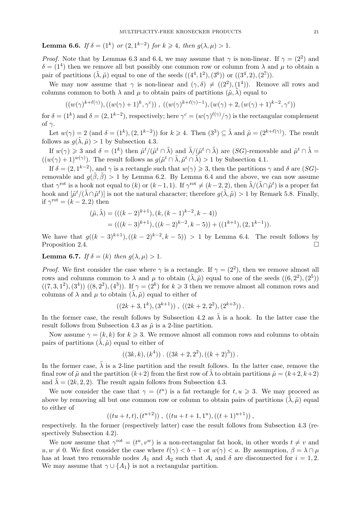**Lemma 6.6.** If  $\delta = (1^k)$  or  $(2, 1^{k-2})$  for  $k \geq 4$ , then  $g(\lambda, \mu) > 1$ .

*Proof.* Note that by Lemmas 6.3 and 6.4, we may assume that  $\gamma$  is non-linear. If  $\gamma = (2^2)$  and  $\delta = (1^4)$  then we remove all but possibly one common row or column from  $\lambda$  and  $\mu$  to obtain a pair of partitions  $(\tilde{\lambda}, \tilde{\mu})$  equal to one of the seeds  $((4^4, 1^2), (3^6))$  or  $((3^4, 2), (2^7))$ .

We may now assume that  $\gamma$  is non-linear and  $(\gamma, \delta) \neq ((2^2), (1^4))$ . Remove all rows and columns common to both  $\lambda$  and  $\mu$  to obtain pairs of partitions  $(\tilde{\mu}, \tilde{\lambda})$  equal to

$$
((w(\gamma)^{k+\ell(\gamma)}), ((w(\gamma)+1)^k, \gamma^c)), ((w(\gamma)^{k+\ell(\gamma)-1}), (w(\gamma)+2, (w(\gamma)+1)^{k-2}, \gamma^c))
$$

for  $\delta = (1^k)$  and  $\delta = (2, 1^{k-2})$ , respectively; here  $\gamma^c = (w(\gamma)^{\ell(\gamma)}/\gamma)$  is the rectangular complement of  $\gamma$ .

Let  $w(\gamma) = 2$  (and  $\delta = (1^k), (2, 1^{k-2})$ ) for  $k \geq 4$ . Then  $(3^3) \subseteq \tilde{\lambda}$  and  $\tilde{\mu} = (2^{k+\ell(\gamma)})$ . The result follows as  $g(\lambda, \tilde{\mu}) > 1$  by Subsection 4.3.

If  $w(\gamma) \geq 3$  and  $\delta = (1^k)$  then  $\tilde{\mu}^t/(\tilde{\mu}^t \cap \tilde{\lambda})$  and  $\tilde{\lambda}/(\tilde{\mu}^t \cap \tilde{\lambda})$  are  $(SG)$ -removable and  $\tilde{\mu}^t \cap \tilde{\lambda} =$  $((w(\gamma) + 1)^{w(\gamma)})$ . The result follows as  $g(\tilde{\mu}^t \cap \tilde{\lambda}, \tilde{\mu}^t \cap \tilde{\lambda}) > 1$  by Subsection 4.1.

If  $\delta = (2, 1^{k-2})$ , and  $\gamma$  is a rectangle such that  $w(\gamma) \geq 3$ , then the partitions  $\gamma$  and  $\delta$  are  $(SG)$ removable and  $g(\tilde{\beta}, \tilde{\beta}) > 1$  by Lemma 6.2. By Lemma 6.4 and the above, we can now assume that  $\gamma^{\text{rot}}$  is a hook not equal to  $(k)$  or  $(k-1,1)$ . If  $\gamma^{\text{rot}} \neq (k-2,2)$ , then  $\tilde{\lambda}/(\tilde{\lambda} \cap \tilde{\mu}^t)$  is a proper fat hook and  $[\tilde{\mu}^t/(\tilde{\lambda}\cap\tilde{\mu}^t)]$  is not the natural character; therefore  $g(\tilde{\lambda},\tilde{\mu})>1$  by Remark 5.8. Finally, if  $\gamma^{\rm rot} = (k-2, 2)$  then

$$
(\tilde{\mu}, \tilde{\lambda}) = (((k-2)^{k+1}), (k, (k-1)^{k-2}, k-4))
$$
  
= (((k-3)^{k+1}), ((k-2)^{k-2}, k-5)) + ((1^{k+1}), (2, 1^{k-1})).

We have that  $g((k-3)^{k+1}),((k-2)^{k-2},k-5)) > 1$  by Lemma 6.4. The result follows by Proposition 2.4.

**Lemma 6.7.** If  $\delta = (k)$  then  $g(\lambda, \mu) > 1$ .

*Proof.* We first consider the case where  $\gamma$  is a rectangle. If  $\gamma = (2^2)$ , then we remove almost all rows and columns common to  $\lambda$  and  $\mu$  to obtain  $(\tilde{\lambda}, \tilde{\mu})$  equal to one of the seeds  $((6, 2^2), (2^5))$  $((7,3,1^2),(3^4))((8,2^2),(4^3))$ . If  $\gamma=(2^k)$  for  $k\geq 3$  then we remove almost all common rows and columns of  $\lambda$  and  $\mu$  to obtain  $(\tilde{\lambda}, \tilde{\mu})$  equal to either of

$$
((2k+3,1^k),(3^{k+1}))
$$
,  $((2k+2,2^2),(2^{k+3}))$ .

In the former case, the result follows by Subsection 4.2 as  $\tilde{\lambda}$  is a hook. In the latter case the result follows from Subsection 4.3 as  $\tilde{\mu}$  is a 2-line partition.

Now assume  $\gamma = (k, k)$  for  $k \geq 3$ . We remove almost all common rows and columns to obtain pairs of partitions  $(\tilde{\lambda}, \tilde{\mu})$  equal to either of

$$
((3k, k), (k4))
$$
.  $((3k + 2, 22), ((k + 2)3))$ .

In the former case,  $\lambda$  is a 2-line partition and the result follows. In the latter case, remove the final row of  $\tilde{\mu}$  and the partition  $(k+2)$  from the first row of  $\lambda$  to obtain partitions  $\hat{\mu} = (k+2, k+2)$ and  $\lambda = (2k, 2, 2)$ . The result again follows from Subsection 4.3.

We now consider the case that  $\gamma = (t^u)$  is a fat rectangle for  $t, u \geq 3$ . We may proceed as above by removing all but one common row or column to obtain pairs of partitions  $(\lambda, \tilde{\mu})$  equal to either of

$$
((tu+t,t),(t^{u+2}))
$$
,  $((tu+t+1,1^u),((t+1)^{u+1}))$ ,

respectively. In the former (respectively latter) case the result follows from Subsection 4.3 (respectively Subsection 4.2).

We now assume that  $\gamma^{\text{rot}} = (t^u, v^w)$  is a non-rectangular fat hook, in other words  $t \neq v$  and  $u, w \neq 0$ . We first consider the case where  $\ell(\gamma) < b - 1$  or  $w(\gamma) < a$ . By assumption,  $\beta = \lambda \cap \mu$ has at least two removable nodes  $A_1$  and  $A_2$  such that  $A_i$  and  $\delta$  are disconnected for  $i = 1, 2$ . We may assume that  $\gamma \cup \{A_1\}$  is not a rectangular partition.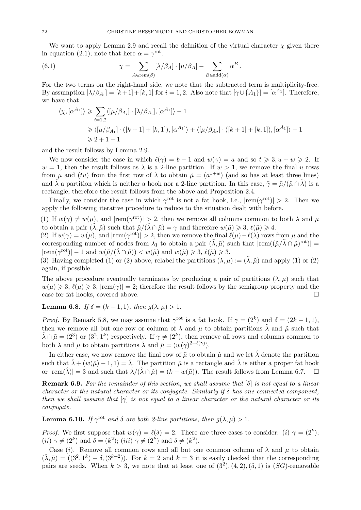We want to apply Lemma 2.9 and recall the definition of the virtual character  $\chi$  given there in equation (2.1); note that here  $\alpha = \gamma^{\rm rot}$ .

(6.1) 
$$
\chi = \sum_{A \in \text{rem}(\beta)} [\lambda/\beta_A] \cdot [\mu/\beta_A] - \sum_{B \in \text{add}(\alpha)} \alpha^B.
$$

For the two terms on the right-hand side, we note that the subtracted term is multiplicity-free. By assumption  $[\lambda/\beta_{A_i}] = [k+1] + [k, 1]$  for  $i = 1, 2$ . Also note that  $[\gamma \cup \{A_1\}] = [\alpha^{A_1}]$ . Therefore, we have that

$$
\langle \chi, [\alpha^{A_1}] \rangle \geq \sum_{i=1,2} \langle [\mu/\beta_{A_i}] \cdot [\lambda/\beta_{A_i}], [\alpha^{A_1}] \rangle - 1
$$
  
\n
$$
\geq \langle [\mu/\beta_{A_1}] \cdot ([k+1] + [k, 1]), [\alpha^{A_1}] \rangle + \langle [\mu/\beta_{A_2}] \cdot ([k+1] + [k, 1]), [\alpha^{A_1}] \rangle - 1
$$
  
\n
$$
\geq 2 + 1 - 1
$$

and the result follows by Lemma 2.9.

We now consider the case in which  $\ell(\gamma) = b - 1$  and  $w(\gamma) = a$  and so  $t \geq 3, u + w \geq 2$ . If  $w = 1$ , then the result follows as  $\lambda$  is a 2-line partition. If  $w > 1$ , we remove the final u rows from  $\mu$  and (tu) from the first row of  $\lambda$  to obtain  $\tilde{\mu} = (a^{1+w})$  (and so has at least three lines) and  $\tilde{\lambda}$  a partition which is neither a hook nor a 2-line partition. In this case,  $\tilde{\gamma} = \tilde{\mu}/(\tilde{\mu} \cap \tilde{\lambda})$  is a rectangle, therefore the result follows from the above and Proposition 2.4.

Finally, we consider the case in which  $\gamma^{\text{rot}}$  is not a fat hook, i.e.,  $|\text{rem}(\gamma^{\text{rot}})| > 2$ . Then we apply the following iterative procedure to reduce to the situation dealt with before.

(1) If  $w(\gamma) \neq w(\mu)$ , and  $|rem(\gamma^{rot})| > 2$ , then we remove all columns common to both  $\lambda$  and  $\mu$ to obtain a pair  $(\tilde{\lambda}, \tilde{\mu})$  such that  $\tilde{\mu}/(\tilde{\lambda} \cap \tilde{\mu}) = \gamma$  and therefore  $w(\tilde{\mu}) \geq 3$ ,  $\ell(\tilde{\mu}) \geq 4$ .

(2) If  $w(\gamma) = w(\mu)$ , and  $|rem(\gamma^{rot})| > 2$ , then we remove the final  $\ell(\mu) - \ell(\lambda)$  rows from  $\mu$  and the corresponding number of nodes from  $\lambda_1$  to obtain a pair  $(\tilde{\lambda}, \tilde{\mu})$  such that  $|rem((\tilde{\mu}/\tilde{\lambda} \cap \tilde{\mu})^{rot})|$  $|\text{rem}(\gamma^{\text{rot}})| - 1$  and  $w(\tilde{\mu}/(\tilde{\lambda} \cap \tilde{\mu})) < w(\tilde{\mu})$  and  $w(\tilde{\mu}) \geq 3$ ,  $\ell(\tilde{\mu}) \geq 3$ .

(3) Having completed (1) or (2) above, relabel the partitions  $(\lambda, \mu) := (\tilde{\lambda}, \tilde{\mu})$  and apply (1) or (2) again, if possible.

The above procedure eventually terminates by producing a pair of partitions  $(\lambda, \mu)$  such that  $w(\mu) \geqslant 3$ ,  $\ell(\mu) \geqslant 3$ ,  $\text{rem}(\gamma) = 2$ ; therefore the result follows by the semigroup property and the case for fat hooks, covered above.

#### **Lemma 6.8.** If  $\delta = (k-1,1)$ , then  $g(\lambda, \mu) > 1$ .

*Proof.* By Remark 5.8, we may assume that  $\gamma^{\text{rot}}$  is a fat hook. If  $\gamma = (2^k)$  and  $\delta = (2k - 1, 1)$ , then we remove all but one row or column of  $\lambda$  and  $\mu$  to obtain partitions  $\tilde{\lambda}$  and  $\tilde{\mu}$  such that  $\tilde{\lambda} \cap \tilde{\mu} = (2^3)$  or  $(3^2, 1^k)$  respectively. If  $\gamma \neq (2^k)$ , then remove all rows and columns common to both  $\lambda$  and  $\mu$  to obtain partitions  $\tilde{\lambda}$  and  $\tilde{\mu} = (w(\gamma)^{2+\ell(\gamma)})$ .

In either case, we now remove the final row of  $\tilde{\mu}$  to obtain  $\hat{\mu}$  and we let  $\tilde{\lambda}$  denote the partition such that  $\hat{\lambda} + (w(\hat{\mu}) - 1, 1) = \tilde{\lambda}$ . The partition  $\hat{\mu}$  is a rectangle and  $\tilde{\lambda}$  is either a proper fat hook or  $|rem(\hat{\lambda})| = 3$  and such that  $\hat{\lambda}/(\hat{\lambda} \cap \hat{\mu}) = (k - w(\tilde{\mu}))$ . The result follows from Lemma 6.7.  $\Box$ 

**Remark 6.9.** For the remainder of this section, we shall assume that  $[\delta]$  is not equal to a linear character or the natural character or its conjugate. Similarly if  $\delta$  has one connected component, then we shall assume that  $[\gamma]$  is not equal to a linear character or the natural character or its conjugate.

**Lemma 6.10.** If  $\gamma^{\text{rot}}$  and  $\delta$  are both 2-line partitions, then  $g(\lambda, \mu) > 1$ .

*Proof.* We first suppose that  $w(\gamma) = \ell(\delta) = 2$ . There are three cases to consider: (i)  $\gamma = (2^k)$ ; (*ii*)  $\gamma \neq (2^k)$  and  $\delta = (k^2)$ ; (*iii*)  $\gamma \neq (2^k)$  and  $\delta \neq (k^2)$ .

Case (i). Remove all common rows and all but one common column of  $\lambda$  and  $\mu$  to obtain  $(\tilde{\lambda}, \tilde{\mu}) = ((3^2, 1^k) + \delta, (3^{k+2}))$ . For  $k = 2$  and  $k = 3$  it is easily checked that the corresponding pairs are seeds. When  $k > 3$ , we note that at least one of  $(3^2), (4, 2), (5, 1)$  is  $(SG)$ -removable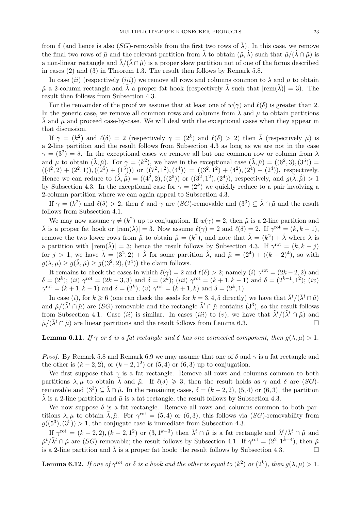from  $\delta$  (and hence is also (SG)-removable from the first two rows of  $\tilde{\lambda}$ ). In this case, we remove the final two rows of  $\tilde{\mu}$  and the relevant partition from  $\tilde{\lambda}$  to obtain  $(\hat{\mu}, \hat{\lambda})$  such that  $\hat{\mu}/(\hat{\lambda} \cap \hat{\mu})$  is a non-linear rectangle and  $\lambda/(\lambda \cap \hat{\mu})$  is a proper skew partition not of one of the forms described in cases (2) and (3) in Theorem 1.3. The result then follows by Remark 5.8.

In case (ii) (respectively (iii)) we remove all rows and columns common to  $\lambda$  and  $\mu$  to obtain  $\tilde{\mu}$  a 2-column rectangle and  $\tilde{\lambda}$  a proper fat hook (respectively  $\tilde{\lambda}$  such that  $|rem(\tilde{\lambda})| = 3$ ). The result then follows from Subsection 4.3.

For the remainder of the proof we assume that at least one of  $w(\gamma)$  and  $\ell(\delta)$  is greater than 2. In the generic case, we remove all common rows and columns from  $\lambda$  and  $\mu$  to obtain partitions  $\lambda$  and  $\tilde{\mu}$  and proceed case-by-case. We will deal with the exceptional cases when they appear in that discussion.

If  $\gamma = (k^2)$  and  $\ell(\delta) = 2$  (respectively  $\gamma = (2^k)$  and  $\ell(\delta) > 2$ ) then  $\tilde{\lambda}$  (respectively  $\tilde{\mu}$ ) is a 2-line partition and the result follows from Subsection 4.3 as long as we are not in the case  $\gamma = (3^2) = \delta$ . In the exceptional cases we remove all but one common row or column from  $\lambda$ and  $\mu$  to obtain  $(\tilde{\lambda}, \tilde{\mu})$ . For  $\gamma = (k^2)$ , we have in the exceptional case  $(\tilde{\lambda}, \tilde{\mu}) = ((6^2, 3), (3^5))$  $((4^2,2) + (2^2,1)),((2^5) + (1^5)))$  or  $((7^2,1^2),(4^4)) = ((3^2,1^2) + (4^2),(2^4) + (2^4))$ , respectively. Hence we can reduce to  $(\hat{\lambda}, \hat{\tilde{\mu}}) = ((4^2, 2), ((2^5))$  or  $((3^2, 1^2), (2^4))$ , respectively, and  $g(\hat{\lambda}, \hat{\tilde{\mu}}) > 1$ by Subsection 4.3. In the exceptional case for  $\gamma = (2^k)$  we quickly reduce to a pair involving a 2-column partition where we can again appeal to Subsection 4.3.

If  $\gamma = (k^2)$  and  $\ell(\delta) > 2$ , then  $\delta$  and  $\gamma$  are  $(SG)$ -removable and  $(3^3) \subseteq \tilde{\lambda} \cap \tilde{\mu}$  and the result follows from Subsection 4.1.

We may now assume  $\gamma \neq (k^2)$  up to conjugation. If  $w(\gamma) = 2$ , then  $\tilde{\mu}$  is a 2-line partition and  $\tilde{\lambda}$  is a proper fat hook or  $|\text{rem}(\tilde{\lambda})|=3$ . Now assume  $\ell(\gamma)=2$  and  $\ell(\delta)=2$ . If  $\gamma^{\text{rot}}=(k,k-1)$ , remove the two lower rows from  $\tilde{\mu}$  to obtain  $\hat{\mu} = (k^2)$ , and note that  $\tilde{\lambda} = (k^2) + \hat{\lambda}$  where  $\hat{\lambda}$  is a partition with  $|\text{rem}(\hat{\lambda})|=3$ ; hence the result follows by Subsection 4.3. If  $\gamma^{\text{rot}}=(k,k-j)$ for  $j > 1$ , we have  $\tilde{\lambda} = (3^2, 2) + \hat{\lambda}$  for some partition  $\hat{\lambda}$ , and  $\tilde{\mu} = (2^4) + ((k-2)^4)$ , so with  $g(\lambda,\mu) \ge g(\tilde{\lambda},\tilde{\mu}) \ge g((3^2,2),(2^4))$  the claim follows.

It remains to check the cases in which  $\ell(\gamma) = 2$  and  $\ell(\delta) > 2$ ; namely (i)  $\gamma^{\rm rot} = (2k - 2, 2)$  and  $\delta = (2^k); (ii) \gamma^{\text{rot}} = (2k-3,3) \text{ and } \delta = (2^k); (iii) \gamma^{\text{rot}} = (k+1,k-1) \text{ and } \delta = (2^{k-1},1^2); (iv)$  $\gamma^{\text{rot}} = (k+1, k-1)$  and  $\delta = (2^k); (v) \gamma^{\text{rot}} = (k+1, k)$  and  $\delta = (2^k, 1)$ .

In case (i), for  $k \geq 6$  (one can check the seeds for  $k = 3, 4, 5$  directly) we have that  $\tilde{\lambda}^t/(\tilde{\lambda}^t \cap \tilde{\mu})$ and  $\tilde{\mu}/(\tilde{\lambda}^t \cap \tilde{\mu})$  are  $(SG)$ -removable and the rectangle  $\tilde{\lambda}^t \cap \tilde{\mu}$  contains  $(3^3)$ , so the result follows from Subsection 4.1. Case (ii) is similar. In cases (iii) to (v), we have that  $\tilde{\lambda}^t/(\tilde{\lambda}^t \cap \tilde{\mu})$  and  $\tilde{\mu}/(\tilde{\lambda}^t \cap \tilde{\mu})$  are linear partitions and the result follows from Lemma 6.3.

**Lemma 6.11.** If  $\gamma$  or  $\delta$  is a fat rectangle and  $\delta$  has one connected component, then  $g(\lambda, \mu) > 1$ .

*Proof.* By Remark 5.8 and Remark 6.9 we may assume that one of  $\delta$  and  $\gamma$  is a fat rectangle and the other is  $(k-2, 2)$ , or  $(k-2, 1^2)$  or  $(5, 4)$  or  $(6, 3)$  up to conjugation.

We first suppose that  $\gamma$  is a fat rectangle. Remove all rows and columns common to both partitions  $\lambda, \mu$  to obtain  $\tilde{\lambda}$  and  $\tilde{\mu}$ . If  $\ell(\delta) \geq 3$ , then the result holds as  $\gamma$  and  $\delta$  are  $(SG)$ removable and  $(3^3) \subseteq \tilde{\lambda} \cap \tilde{\mu}$ . In the remaining cases,  $\delta = (k-2, 2)$ ,  $(5, 4)$  or  $(6, 3)$ , the partition  $\lambda$  is a 2-line partition and  $\tilde{\mu}$  is a fat rectangle; the result follows by Subsection 4.3.

We now suppose  $\delta$  is a fat rectangle. Remove all rows and columns common to both partitions  $\lambda, \mu$  to obtain  $\tilde{\lambda}, \tilde{\mu}$ . For  $\gamma^{\rm rot} = (5, 4)$  or  $(6, 3)$ , this follows via  $(SG)$ -removability from  $g((5^3), (3^5)) > 1$ , the conjugate case is immediate from Subsection 4.3.

If  $\gamma^{\text{rot}} = (k-2, 2), (k-2, 1^2)$  or  $(3, 1^{k-3})$  then  $\tilde{\lambda}^t \cap \tilde{\mu}$  is a fat rectangle and  $\tilde{\lambda}^t/\tilde{\lambda}^t \cap \tilde{\mu}$  and  $\tilde{\mu}^t/\tilde{\lambda}^t \cap \tilde{\mu}$  are  $(SG)$ -removable; the result follows by Subsection 4.1. If  $\gamma^{\text{rot}} = (2^2, 1^{k-4})$ , then  $\tilde{\mu}$ is a 2-line partition and  $\tilde{\lambda}$  is a proper fat hook; the result follows by Subsection 4.3.

**Lemma 6.12.** If one of  $\gamma^{\rm rot}$  or  $\delta$  is a hook and the other is equal to  $(k^2)$  or  $(2^k)$ , then  $g(\lambda,\mu) > 1$ .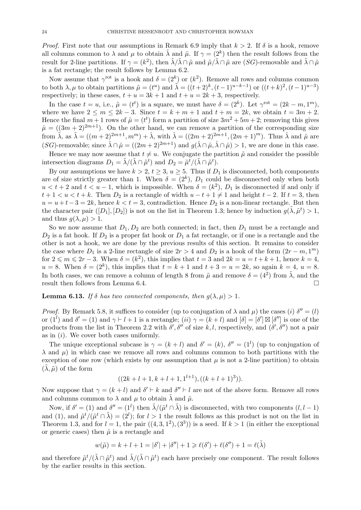*Proof.* First note that our assumptions in Remark 6.9 imply that  $k > 2$ . If  $\delta$  is a hook, remove all columns common to  $\lambda$  and  $\mu$  to obtain  $\tilde{\lambda}$  and  $\tilde{\mu}$ . If  $\gamma = (2^k)$  then the result follows from the result for 2-line partitions. If  $\gamma = (k^2)$ , then  $\tilde{\lambda}/\tilde{\lambda} \cap \tilde{\mu}$  and  $\tilde{\mu}/\tilde{\lambda} \cap \tilde{\mu}$  are  $(SG)$ -removable and  $\tilde{\lambda} \cap \tilde{\mu}$ is a fat rectangle; the result follows by Lemma 6.2.

Now assume that  $\gamma^{\rm rot}$  is a hook and  $\delta = (2^k)$  or  $(k^2)$ . Remove all rows and columns common to both  $\lambda, \mu$  to obtain partitions  $\tilde{\mu} = (t^u)$  and  $\tilde{\lambda} = ((t+2)^k, (t-1)^{u-k-1})$  or  $((t+k)^2, (t-1)^{u-3})$ respectively; in these cases,  $t + u = 3k + 1$  and  $t + u = 2k + 3$ , respectively.

In the case  $t = u$ , i.e.,  $\tilde{\mu} = (t^t)$  is a square, we must have  $\delta = (2^k)$ . Let  $\gamma^{\text{rot}} = (2k - m, 1^m)$ , where we have  $2 \le m \le 2k - 3$ . Since  $t = k + m + 1$  and  $t + m = 2k$ , we obtain  $t = 3m + 2$ . Hence the final  $m+1$  rows of  $\tilde{\mu} = (t^t)$  form a partition of size  $3m^2 + 5m + 2$ ; removing this gives  $\hat{\mu} = ((3m+2)^{2m+1})$ . On the other hand, we can remove a partition of the corresponding size from  $\tilde{\lambda}$ , as  $\tilde{\lambda} = ((m+2)^{2m+1}, m^m) + \hat{\lambda}$ , with  $\hat{\lambda} = ((2m+2)^{2m+1}, (2m+1)^m)$ . Thus  $\hat{\lambda}$  and  $\hat{\mu}$  are  $(SG)$ -removable; since  $\hat{\lambda} \cap \hat{\mu} = ((2m+2)^{2m+1})$  and  $q(\hat{\lambda} \cap \hat{\mu}, \hat{\lambda} \cap \hat{\mu}) > 1$ , we are done in this case.

Hence we may now assume that  $t \neq u$ . We conjugate the partition  $\tilde{\mu}$  and consider the possible intersection diagrams  $D_1 = \tilde{\lambda}/(\tilde{\lambda} \cap \tilde{\mu}^t)$  and  $D_2 = \tilde{\mu}^{\tilde{t}}/(\tilde{\lambda} \cap \tilde{\mu}^t)$ .

By our assumptions we have  $k > 2$ ,  $t \geq 3$ ,  $u \geq 5$ . Thus if  $D_1$  is disconnected, both components are of size strictly greater than 1. When  $\delta = (2^k)$ ,  $D_1$  could be disconnected only when both  $u < t + 2$  and  $t < u - 1$ , which is impossible. When  $\delta = (k^2)$ ,  $D_1$  is disconnected if and only if  $t+1 < u < t+k$ . Then  $D_2$  is a rectangle of width  $u-t+1 \neq 1$  and height  $t-2$ . If  $t=3$ , then  $u = u + t - 3 = 2k$ , hence  $k < t = 3$ , contradiction. Hence  $D_2$  is a non-linear rectangle. But then the character pair  $([D_1], [D_2])$  is not on the list in Theorem 1.3; hence by induction  $g(\tilde{\lambda}, \tilde{\mu}^t) > 1$ , and thus  $g(\lambda, \mu) > 1$ .

So we now assume that  $D_1, D_2$  are both connected; in fact, then  $D_1$  must be a rectangle and  $D_2$  is a fat hook. If  $D_2$  is a proper fat hook or  $D_1$  a fat rectangle, or if one is a rectangle and the other is not a hook, we are done by the previous results of this section. It remains to consider the case where  $D_1$  is a 2-line rectangle of size  $2r > 4$  and  $D_2$  is a hook of the form  $(2r - m, 1^m)$ for  $2 \le m \le 2r - 3$ . When  $\delta = (k^2)$ , this implies that  $t = 3$  and  $2k = u = t + k + 1$ , hence  $k = 4$ ,  $u = 8$ . When  $\delta = (2^k)$ , this implies that  $t = k + 1$  and  $t + 3 = u = 2k$ , so again  $k = 4$ ,  $u = 8$ . In both cases, we can remove a column of length 8 from  $\tilde{\mu}$  and remove  $\delta = (4^2)$  from  $\tilde{\lambda}$ , and the result then follows from Lemma 6.4.

**Lemma 6.13.** If  $\delta$  has two connected components, then  $q(\lambda, \mu) > 1$ .

*Proof.* By Remark 5.8, it suffices to consider (up to conjugation of  $\lambda$  and  $\mu$ ) the cases (i)  $\delta'' = (l)$ or  $(1^l)$  and  $\delta' = (1)$  and  $\gamma \vdash l + 1$  is a rectangle;  $(ii)$   $\gamma = (k+l)$  and  $[\delta] = [\delta'] \boxtimes [\delta'']$  is one of the products from the list in Theorem 2.2 with  $\delta', \delta''$  of size k, l, respectively, and  $(\delta', \delta'')$  not a pair as in  $(i)$ . We cover both cases uniformly.

The unique exceptional subcase is  $\gamma = (k+l)$  and  $\delta' = (k)$ ,  $\delta'' = (1^l)$  (up to conjugation of  $\lambda$  and  $\mu$ ) in which case we remove all rows and columns common to both partitions with the exception of one row (which exists by our assumption that  $\mu$  is not a 2-line partition) to obtain  $(\lambda, \tilde{\mu})$  of the form

$$
((2k+l+1,k+l+1,1^{l+1}),((k+l+1)^3)).
$$

Now suppose that  $\gamma = (k+l)$  and  $\delta' \vdash k$  and  $\delta'' \vdash l$  are not of the above form. Remove all rows and columns common to  $\lambda$  and  $\mu$  to obtain  $\lambda$  and  $\tilde{\mu}$ .

Now, if  $\delta' = (1)$  and  $\delta'' = (1^l)$  then  $\tilde{\lambda}/(\tilde{\mu}^t \cap \tilde{\lambda})$  is disconnected, with two components  $(l, l-1)$ and (1), and  $\tilde{\mu}^t/(\tilde{\mu}^t \cap \tilde{\lambda}) = (2^l)$ ; for  $l > 1$  the result follows as this product is not on the list in Theorem 1.3, and for  $l = 1$ , the pair  $((4, 3, 1^2), (3^3))$  is a seed. If  $k > 1$  (in either the exceptional or generic cases) then  $\tilde{\mu}$  is a rectangle and

$$
w(\tilde{\mu}) = k + l + 1 = |\delta'| + |\delta''| + 1 \geq \ell(\delta') + \ell(\delta'') + 1 = \ell(\tilde{\lambda})
$$

and therefore  $\tilde{\mu}^t/(\tilde{\lambda} \cap \tilde{\mu}^t)$  and  $\tilde{\lambda}/(\tilde{\lambda} \cap \tilde{\mu}^t)$  each have precisely one component. The result follows by the earlier results in this section.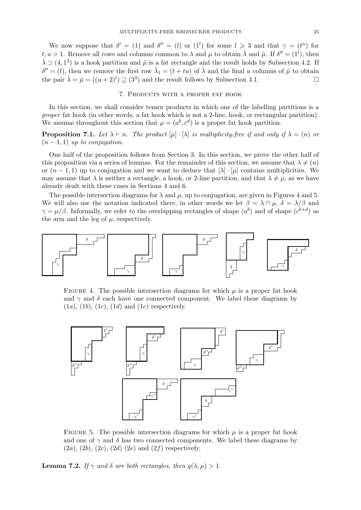We now suppose that  $\delta' = (1)$  and  $\delta'' = (l)$  or  $(1^l)$  for some  $l \geq 3$  and that  $\gamma = (t^u)$  for t,  $u > 1$ . Remove all rows and columns common to  $\lambda$  and  $\mu$  to obtain  $\tilde{\lambda}$  and  $\tilde{\mu}$ . If  $\delta'' = (1^l)$ , then  $\tilde{\lambda} \supset (4, 1^3)$  is a hook partition and  $\tilde{\mu}$  is a fat rectangle and the result holds by Subsection 4.2. If  $\delta'' = (l)$ , then we remove the first row  $\tilde{\lambda}_1 = (t + tu)$  of  $\tilde{\lambda}$  and the final u columns of  $\tilde{\mu}$  to obtain the pair  $\hat{\lambda} = \hat{\mu} = ((u+2)^l) \supseteq (3^3)$  and the result follows by Subsection 4.1.

## 7. Products with a proper fat hook

In this section, we shall consider tensor products in which one of the labelling partitions is a proper fat hook (in other words, a fat hook which is not a 2-line, hook, or rectangular partition). We assume throughout this section that  $\mu = (a^b, c^d)$  is a proper fat hook partition.

**Proposition 7.1.** Let  $\lambda \vdash n$ . The product  $[\mu] \cdot [\lambda]$  is multiplicity-free if and only if  $\lambda = (n)$  or  $(n-1,1)$  up to conjugation.

One half of the proposition follows from Section 3. In this section, we prove the other half of this proposition via a series of lemmas. For the remainder of this section, we assume that  $\lambda \neq (n)$ or  $(n-1,1)$  up to conjugation and we want to deduce that  $[\lambda] \cdot [\mu]$  contains multiplicities. We may assume that  $\lambda$  is neither a rectangle, a hook, or 2-line partition, and that  $\lambda \neq \mu$ , as we have already dealt with these cases in Sections 4 and 6.

The possible intersection diagrams for  $\lambda$  and  $\mu$ , up to conjugation, are given in Figures 4 and 5. We will also use the notation indicated there, in other words we let  $\beta = \lambda \cap \mu$ ,  $\delta = \lambda/\beta$  and  $\gamma = \mu/\beta$ . Informally, we refer to the overlapping rectangles of shape  $(a^b)$  and of shape  $(c^{b+d})$  as the arm and the leg of  $\mu$ , respectively.



FIGURE 4. The possible intersection diagrams for which  $\mu$  is a proper fat hook and  $\gamma$  and  $\delta$  each have one connected component. We label these diagrams by  $(1a)$ ,  $(1b)$ ,  $(1c)$ ,  $(1d)$  and  $(1e)$  respectively.



FIGURE 5. The possible intersection diagrams for which  $\mu$  is a proper fat hook and one of  $\gamma$  and  $\delta$  has two connected components. We label these diagrams by  $(2a)$ ,  $(2b)$ ,  $(2c)$ ,  $(2d)$   $(2e)$  and  $(2f)$  respectively.

**Lemma 7.2.** If  $\gamma$  and  $\delta$  are both rectangles, then  $g(\lambda, \mu) > 1$ .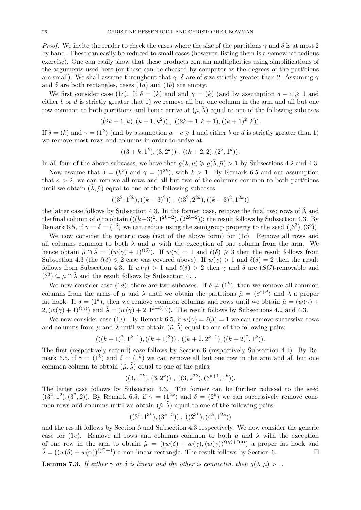*Proof.* We invite the reader to check the cases where the size of the partitions  $\gamma$  and  $\delta$  is at most 2 by hand. These can easily be reduced to small cases (however, listing them is a somewhat tedious exercise). One can easily show that these products contain multiplicities using simplifications of the arguments used here (or these can be checked by computer as the degrees of the partitions are small). We shall assume throughout that  $\gamma$ ,  $\delta$  are of size strictly greater than 2. Assuming  $\gamma$ and  $\delta$  are both rectangles, cases  $(1a)$  and  $(1b)$  are empty.

We first consider case (1c). If  $\delta = (k)$  and and  $\gamma = (k)$  (and by assumption  $a - c \geq 1$  and either  $b$  or  $d$  is strictly greater that 1) we remove all but one column in the arm and all but one row common to both partitions and hence arrive at  $(\tilde{\mu}, \tilde{\lambda})$  equal to one of the following subcases

$$
((2k+1,k),(k+1,k^2))
$$
,  $((2k+1,k+1),((k+1)^2,k)).$ 

If  $\delta = (k)$  and  $\gamma = (1^k)$  (and by assumption  $a - c \geq 1$  and either b or d is strictly greater than 1) we remove most rows and columns in order to arrive at

$$
((3 + k, 1k), (3, 2k)), ((k + 2, 2), (22, 1k)).
$$

In all four of the above subcases, we have that  $g(\lambda, \mu) \geq g(\tilde{\lambda}, \tilde{\mu}) > 1$  by Subsections 4.2 and 4.3.

Now assume that  $\delta = (k^2)$  and  $\gamma = (1^{2k})$ , with  $k > 1$ . By Remark 6.5 and our assumption that  $a > 2$ , we can remove all rows and all but two of the columns common to both partitions until we obtain  $(\lambda, \tilde{\mu})$  equal to one of the following subcases

$$
((3^2,1^{2k}),((k+3)^2)), ((3^2,2^{2k}),((k+3)^2,1^{2k}))
$$

the latter case follows by Subsection 4.3. In the former case, remove the final two rows of  $\tilde{\lambda}$  and the final column of  $\tilde{\mu}$  to obtain  $(((k+3)^2, 1^{2k-2}), (2^{2k+2}))$ ; the result follows by Subsection 4.3. By Remark 6.5, if  $\gamma = \delta = (1^3)$  we can reduce using the semigroup property to the seed  $((3^3), (3^3))$ .

We now consider the generic case (not of the above form) for  $(1c)$ . Remove all rows and all columns common to both  $\lambda$  and  $\mu$  with the exception of one column from the arm. We hence obtain  $\tilde{\mu} \cap \tilde{\lambda} = ((w(\gamma) + 1)^{\ell(\delta)})$ . If  $w(\gamma) = 1$  and  $\ell(\delta) \geq 3$  then the result follows from Subsection 4.3 (the  $\ell(\delta) \leq 2$  case was covered above). If  $w(\gamma) > 1$  and  $\ell(\delta) = 2$  then the result follows from Subsection 4.3. If  $w(\gamma) > 1$  and  $\ell(\delta) > 2$  then  $\gamma$  and  $\delta$  are (SG)-removable and  $(3^3) \subseteq \tilde{\mu} \cap \tilde{\lambda}$  and the result follows by Subsection 4.1.

We now consider case (1d); there are two subcases. If  $\delta \neq (1^k)$ , then we remove all common columns from the arms of  $\mu$  and  $\lambda$  until we obtain the partitions  $\tilde{\mu} = (c^{b+d})$  and  $\tilde{\lambda}$  a proper fat hook. If  $\delta = (1^k)$ , then we remove common columns and rows until we obtain  $\tilde{\mu} = (w(\gamma) +$  $2, (w(\gamma) + 1)^{\ell(\gamma)}$  and  $\tilde{\lambda} = (w(\gamma) + 2, 1^{k+\ell(\gamma)})$ . The result follows by Subsections 4.2 and 4.3.

We now consider case (1e). By Remark 6.5, if  $w(\gamma) = \ell(\delta) = 1$  we can remove successive rows and columns from  $\mu$  and  $\lambda$  until we obtain  $(\tilde{\mu}, \tilde{\lambda})$  equal to one of the following pairs:

$$
(( (k+1)^2, 1^{k+1}), ((k+1)^3))
$$
.  $((k+2, 2^{k+1}), ((k+2)^2, 1^k))$ .

The first (respectively second) case follows by Section 6 (respectively Subsection 4.1). By Remark 6.5, if  $\gamma = (1^k)$  and  $\delta = (1^k)$  we can remove all but one row in the arm and all but one common column to obtain  $(\tilde{\mu}, \tilde{\lambda})$  equal to one of the pairs:

$$
((3,1^{2k}), (3,2^k)), ((3,2^{2k}), (3^{k+1},1^k)).
$$

The latter case follows by Subsection 4.3. The former can be further reduced to the seed  $((3^2,1^2),(3^2,2))$ . By Remark 6.5, if  $\gamma = (1^{2k})$  and  $\delta = (2^k)$  we can successively remove common rows and columns until we obtain  $(\tilde{\mu}, \tilde{\lambda})$  equal to one of the following pairs:

$$
((3^2,1^{3k}), (3^{k+2}))
$$
,  $((2^{3k}), (4^k,1^{2k}))$ 

and the result follows by Section 6 and Subsection 4.3 respectively. We now consider the generic case for (1e). Remove all rows and columns common to both  $\mu$  and  $\lambda$  with the exception of one row in the arm to obtain  $\tilde{\mu} = ((w(\delta) + w(\gamma), (w(\gamma))^{\ell(\gamma) + \ell(\delta)})$  a proper fat hook and  $\tilde{\lambda} = ((w(\delta) + w(\gamma))^{\ell(\delta)+1})$  a non-linear rectangle. The result follows by Section 6.

**Lemma 7.3.** If either  $\gamma$  or  $\delta$  is linear and the other is connected, then  $q(\lambda, \mu) > 1$ .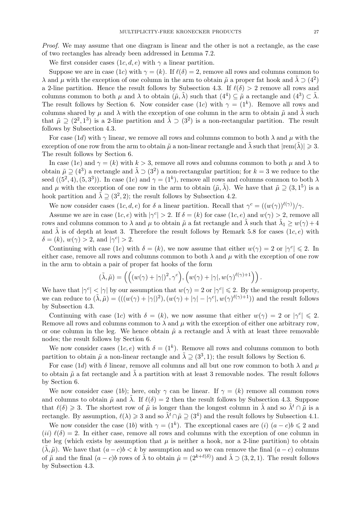Proof. We may assume that one diagram is linear and the other is not a rectangle, as the case of two rectangles has already been addressed in Lemma 7.2.

We first consider cases  $(1c, d, e)$  with  $\gamma$  a linear partition.

Suppose we are in case (1c) with  $\gamma = (k)$ . If  $\ell(\delta) = 2$ , remove all rows and columns common to  $\lambda$  and  $\mu$  with the exception of one column in the arm to obtain  $\tilde{\mu}$  a proper fat hook and  $\tilde{\lambda} \supset (4^2)$ a 2-line partition. Hence the result follows by Subsection 4.3. If  $\ell(\delta) > 2$  remove all rows and columns common to both  $\mu$  and  $\lambda$  to obtain  $(\tilde{\mu}, \tilde{\lambda})$  such that  $(4^4) \subseteq \tilde{\mu}$  a rectangle and  $(4^3) \subset \tilde{\lambda}$ . The result follows by Section 6. Now consider case (1c) with  $\gamma = (1^k)$ . Remove all rows and columns shared by  $\mu$  and  $\lambda$  with the exception of one column in the arm to obtain  $\tilde{\mu}$  and  $\tilde{\lambda}$  such that  $\tilde{\mu} \supseteq (2^2, 1^3)$  is a 2-line partition and  $\tilde{\lambda} \supseteq (3^2)$  is a non-rectangular partition. The result follows by Subsection 4.3.

For case (1d) with  $\gamma$  linear, we remove all rows and columns common to both  $\lambda$  and  $\mu$  with the exception of one row from the arm to obtain  $\tilde{\mu}$  a non-linear rectangle and  $\lambda$  such that  $|rem(\lambda)| \geq 3$ . The result follows by Section 6.

In case (1e) and  $\gamma = (k)$  with  $k > 3$ , remove all rows and columns common to both  $\mu$  and  $\lambda$  to obtain  $\tilde{\mu} \supseteq (4^3)$  a rectangle and  $\tilde{\lambda} \supseteq (3^2)$  a non-rectangular partition; for  $k = 3$  we reduce to the seed  $((5^2, 4), (5, 3^3))$ . In case  $(1e)$  and  $\gamma = (1^k)$ , remove all rows and columns common to both  $\lambda$ and  $\mu$  with the exception of one row in the arm to obtain  $(\tilde{\mu}, \tilde{\lambda})$ . We have that  $\tilde{\mu} \supseteq (3, 1^5)$  is a hook partition and  $\tilde{\lambda} \supseteq (3^2, 2)$ ; the result follows by Subsection 4.2.

We now consider cases  $(1c, d, e)$  for  $\delta$  a linear partition. Recall that  $\gamma^c = ((w(\gamma))^{\ell(\gamma)})/\gamma$ .

Assume we are in case  $(1c, e)$  with  $|\gamma^{c}| > 2$ . If  $\delta = (k)$  for case  $(1c, e)$  and  $w(\gamma) > 2$ , remove all rows and columns common to  $\lambda$  and  $\mu$  to obtain  $\tilde{\mu}$  a fat rectangle and  $\tilde{\lambda}$  such that  $\tilde{\lambda}_1 \geq w(\gamma) + 4$ and  $\tilde{\lambda}$  is of depth at least 3. Therefore the result follows by Remark 5.8 for cases  $(1c, e)$  with  $\delta = (k), w(\gamma) > 2, \text{ and } |\gamma^c| > 2.$ 

Continuing with case (1e) with  $\delta = (k)$ , we now assume that either  $w(\gamma) = 2$  or  $|\gamma^c| \leq 2$ . In either case, remove all rows and columns common to both  $\lambda$  and  $\mu$  with the exception of one row in the arm to obtain a pair of proper fat hooks of the form

$$
(\tilde{\lambda}, \tilde{\mu}) = \left( \left( (w(\gamma) + |\gamma|)^2, \gamma^c \right), \left( w(\gamma) + |\gamma|, w(\gamma)^{\ell(\gamma)+1} \right) \right).
$$

We have that  $|\gamma^c| < |\gamma|$  by our assumption that  $w(\gamma) = 2$  or  $|\gamma^c| \leq 2$ . By the semigroup property, we can reduce to  $(\tilde{\lambda}, \tilde{\mu}) = (((w(\gamma) + |\gamma|)^2), (w(\gamma) + |\gamma| - |\gamma^c|, w(\gamma)^{\ell(\gamma)+1}))$  and the result follows by Subsection 4.3.

Continuing with case (1c) with  $\delta = (k)$ , we now assume that either  $w(\gamma) = 2$  or  $|\gamma^c| \leq 2$ . Remove all rows and columns common to  $\lambda$  and  $\mu$  with the exception of either one arbitrary row, or one column in the leg. We hence obtain  $\tilde{\mu}$  a rectangle and  $\lambda$  with at least three removable nodes; the result follows by Section 6.

We now consider cases  $(1c, e)$  with  $\delta = (1^k)$ . Remove all rows and columns common to both partition to obtain  $\tilde{\mu}$  a non-linear rectangle and  $\tilde{\lambda} \supseteq (3^3, 1)$ ; the result follows by Section 6.

For case (1d) with  $\delta$  linear, remove all columns and all but one row common to both  $\lambda$  and  $\mu$ to obtain  $\tilde{\mu}$  a fat rectangle and  $\tilde{\lambda}$  a partition with at least 3 removable nodes. The result follows by Section 6.

We now consider case (1b); here, only  $\gamma$  can be linear. If  $\gamma = (k)$  remove all common rows and columns to obtain  $\tilde{\mu}$  and  $\lambda$ . If  $\ell(\delta) = 2$  then the result follows by Subsection 4.3. Suppose that  $\ell(\delta) \geq 3$ . The shortest row of  $\tilde{\mu}$  is longer than the longest column in  $\tilde{\lambda}$  and so  $\tilde{\lambda}^t \cap \tilde{\mu}$  is a rectangle. By assumption,  $\ell(\lambda) \geq 3$  and so  $\tilde{\lambda}^t \cap \tilde{\mu} \supseteq (3^4)$  and the result follows by Subsection 4.1.

We now consider the case (1b) with  $\gamma = (1^k)$ . The exceptional cases are (i)  $(a - c)b \leq 2$  and  $(ii) \ell(\delta) = 2$ . In either case, remove all rows and columns with the exception of one column in the leg (which exists by assumption that  $\mu$  is neither a hook, nor a 2-line partition) to obtain  $(\tilde{\lambda}, \tilde{\mu})$ . We have that  $(a - c)b < k$  by assumption and so we can remove the final  $(a - c)$  columns of  $\tilde{\mu}$  and the final  $(a-c)b$  rows of  $\tilde{\lambda}$  to obtain  $\hat{\mu} = (2^{k+\ell(\delta)})$  and  $\hat{\lambda} \supset (3,2,1)$ . The result follows by Subsection 4.3.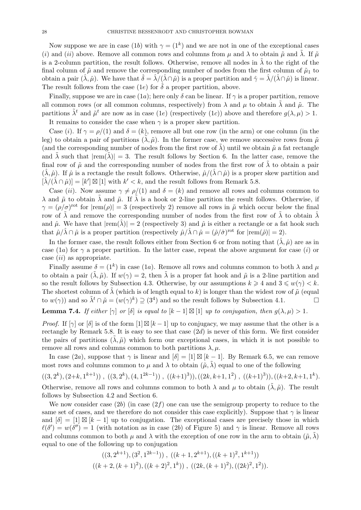Now suppose we are in case (1b) with  $\gamma = (1^k)$  and we are not in one of the exceptional cases (i) and (ii) above. Remove all common rows and columns from  $\mu$  and  $\lambda$  to obtain  $\tilde{\mu}$  and  $\tilde{\lambda}$ . If  $\tilde{\mu}$ is a 2-column partition, the result follows. Otherwise, remove all nodes in  $\lambda$  to the right of the final column of  $\tilde{\mu}$  and remove the corresponding number of nodes from the first column of  $\tilde{\mu}_1$  to obtain a pair  $(\hat{\lambda}, \hat{\mu})$ . We have that  $\hat{\delta} = \hat{\lambda}/(\hat{\lambda} \cap \hat{\mu})$  is a proper partition and  $\hat{\gamma} = \hat{\lambda}/(\hat{\lambda} \cap \hat{\mu})$  is linear. The result follows from the case (1e) for  $\delta$  a proper partition, above.

Finally, suppose we are in case (1a); here only  $\delta$  can be linear. If  $\gamma$  is a proper partition, remove all common rows (or all common columns, respectively) from  $\lambda$  and  $\mu$  to obtain  $\lambda$  and  $\tilde{\mu}$ . The partitions  $\tilde{\lambda}^t$  and  $\tilde{\mu}^t$  are now as in case (1e) (respectively (1c)) above and therefore  $g(\lambda, \mu) > 1$ . It remains to consider the case when  $\gamma$  is a proper skew partition.

Case (i). If  $\gamma = \rho/(1)$  and  $\delta = (k)$ , remove all but one row (in the arm) or one column (in the leg) to obtain a pair of partitions  $(\lambda, \tilde{\mu})$ . In the former case, we remove successive rows from  $\tilde{\mu}$ (and the corresponding number of nodes from the first row of  $\lambda$ ) until we obtain  $\tilde{\mu}$  a fat rectangle and  $\lambda$  such that  $|rem(\lambda)| = 3$ . The result follows by Section 6. In the latter case, remove the final row of  $\tilde{\mu}$  and the corresponding number of nodes from the first row of  $\lambda$  to obtain a pair  $(\lambda, \hat{\mu})$ . If  $\hat{\mu}$  is a rectangle the result follows. Otherwise,  $\hat{\mu}/(\lambda \cap \hat{\mu})$  is a proper skew partition and  $[\hat{\lambda}/(\hat{\lambda} \cap \hat{\mu})] = [k'] \boxtimes [1]$  with  $k' < k$ , and the result follows from Remark 5.8.

Case (ii). Now assume  $\gamma \neq \rho/(1)$  and  $\delta = (k)$  and remove all rows and columns common to  $\lambda$  and  $\tilde{\mu}$  to obtain  $\tilde{\lambda}$  and  $\tilde{\mu}$ . If  $\tilde{\lambda}$  is a hook or 2-line partition the result follows. Otherwise, if  $\gamma = (\rho/\sigma)^{\text{rot}}$  for  $|\text{rem}(\rho)| = 3$  (respectively 2) remove all rows in  $\tilde{\mu}$  which occur below the final row of  $\tilde{\lambda}$  and remove the corresponding number of nodes from the first row of  $\tilde{\lambda}$  to obtain  $\hat{\lambda}$ and  $\hat{\mu}$ . We have that  $|rem(\hat{\lambda})| = 2$  (respectively 3) and  $\hat{\mu}$  is either a rectangle or a fat hook such that  $\hat{\mu}/\hat{\lambda} \cap \hat{\mu}$  is a proper partition (respectively  $\hat{\mu}/\hat{\lambda} \cap \hat{\mu} = (\hat{\rho}/\hat{\sigma})^{\text{rot}}$  for  $|\text{rem}(\hat{\rho})| = 2$ ).

In the former case, the result follows either from Section 6 or from noting that  $(\hat{\lambda}, \hat{\mu})$  are as in case (1a) for  $\gamma$  a proper partition. In the latter case, repeat the above argument for case (i) or case  $(ii)$  as appropriate.

Finally assume  $\delta = (1^k)$  in case  $(1a)$ . Remove all rows and columns common to both  $\lambda$  and  $\mu$ to obtain a pair  $(\lambda, \tilde{\mu})$ . If  $w(\gamma) = 2$ , then  $\lambda$  is a proper fat hook and  $\tilde{\mu}$  is a 2-line partition and so the result follows by Subsection 4.3. Otherwise, by our assumptions  $k \geq 4$  and  $3 \leq w(\gamma) < k$ . The shortest column of  $\tilde{\lambda}$  (which is of length equal to k) is longer than the widest row of  $\tilde{\mu}$  (equal to  $w(\gamma)$  and so  $\tilde{\lambda}^t \cap \tilde{\mu} = (w(\gamma)^k) \supseteq (3^4)$  and so the result follows by Subsection 4.1.

**Lemma 7.4.** If either  $[\gamma]$  or  $[\delta]$  is equal to  $[k-1] \boxtimes [1]$  up to conjugation, then  $g(\lambda, \mu) > 1$ .

*Proof.* If  $[\gamma]$  or  $[\delta]$  is of the form  $[1] \boxtimes [k-1]$  up to conjugacy, we may assume that the other is a rectangle by Remark 5.8. It is easy to see that case  $(2d)$  is never of this form. We first consider the pairs of partitions  $(\lambda, \tilde{\mu})$  which form our exceptional cases, in which it is not possible to remove all rows and columns common to both partitions  $\lambda, \mu$ .

In case (2a), suppose that  $\gamma$  is linear and  $[\delta] = [1] \boxtimes [k-1]$ . By Remark 6.5, we can remove most rows and columns common to  $\mu$  and  $\lambda$  to obtain  $(\tilde{\mu}, \tilde{\lambda})$  equal to one of the following

 $((3,2^k),(2+k,1^{k+1}))$ ,  $((3,2^k),(4,1^{2k-1}))$ ,  $((k+1)^3))$ ,  $((2k,k+1,1^2)$ ,  $((k+1)^3))$ ,  $((k+2,k+1,1^k)$ . Otherwise, remove all rows and columns common to both  $\lambda$  and  $\mu$  to obtain  $(\tilde{\lambda}, \tilde{\mu})$ . The result follows by Subsection 4.2 and Section 6.

We now consider case  $(2b)$  (in case  $(2f)$  one can use the semigroup property to reduce to the same set of cases, and we therefore do not consider this case explicitly). Suppose that  $\gamma$  is linear and  $[\delta] = [1] \boxtimes [k-1]$  up to conjugation. The exceptional cases are precisely those in which  $\ell(\delta') = w(\delta'') = 1$  (with notation as in case (2b) of Figure 5) and  $\gamma$  is linear. Remove all rows and columns common to both  $\mu$  and  $\lambda$  with the exception of one row in the arm to obtain  $(\tilde{\mu}, \lambda)$ equal to one of the following up to conjugation

$$
((3, 2^{k+1}), (3^2, 1^{2k-1}))
$$
,  $((k+1, 2^{k+1}), ((k+1)^2, 1^{k+1}))$   
 $((k+2, (k+1)^2), ((k+2)^2, 1^k))$ ,  $((2k, (k+1)^2), ((2k)^2, 1^2))$ .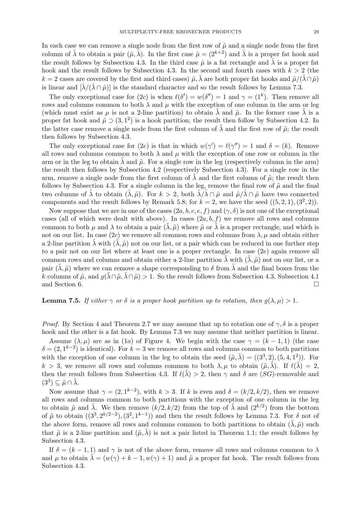In each case we can remove a single node from the first row of  $\tilde{\mu}$  and a single node from the first column of  $\tilde{\lambda}$  to obtain a pair  $(\hat{\mu}, \hat{\lambda})$ . In the first case  $\hat{\mu} = (2^{k+2})$  and  $\hat{\lambda}$  is a proper fat hook and the result follows by Subsection 4.3. In the third case  $\hat{\mu}$  is a fat rectangle and  $\hat{\lambda}$  is a proper fat hook and the result follows by Subsection 4.3. In the second and fourth cases with  $k > 2$  (the  $k = 2$  cases are covered by the first and third cases)  $\hat{\mu}, \hat{\lambda}$  are both proper fat hooks and  $\hat{\mu}/(\hat{\lambda} \cap \hat{\mu})$ is linear and  $[\hat{\lambda}/(\hat{\lambda} \cap \hat{\mu})]$  is the standard character and so the result follows by Lemma 7.3.

The only exceptional case for  $(2c)$  is when  $\ell(\delta') = w(\delta'') = 1$  and  $\gamma = (1^k)$ . Then remove all rows and columns common to both  $\lambda$  and  $\mu$  with the exception of one column in the arm or leg (which must exist as  $\mu$  is not a 2-line partition) to obtain  $\tilde{\lambda}$  and  $\tilde{\mu}$ . In the former case  $\tilde{\lambda}$  is a proper fat hook and  $\tilde{\mu} \supset (3, 1^2)$  is a hook partition; the result then follow by Subsection 4.2. In the latter case remove a single node from the first column of  $\tilde{\lambda}$  and the first row of  $\tilde{\mu}$ ; the result then follows by Subsection 4.3.

The only exceptional case for (2e) is that in which  $w(\gamma') = \ell(\gamma'') = 1$  and  $\delta = (k)$ . Remove all rows and columns common to both  $\lambda$  and  $\mu$  with the exception of one row or column in the arm or in the leg to obtain  $\lambda$  and  $\tilde{\mu}$ . For a single row in the leg (respectively column in the arm) the result then follows by Subsection 4.2 (respectively Subsection 4.3). For a single row in the arm, remove a single node from the first column of  $\lambda$  and the first column of  $\tilde{\mu}$ ; the result then follows by Subsection 4.3. For a single column in the leg, remove the final row of  $\tilde{\mu}$  and the final two columns of  $\lambda$  to obtain  $(\lambda, \hat{\mu})$ . For  $k > 2$ , both  $\lambda/\lambda \cap \hat{\mu}$  and  $\hat{\mu}/\lambda \cap \hat{\mu}$  have two connected components and the result follows by Remark 5.8; for  $k = 2$ , we have the seed  $((5, 2, 1), (3^2, 2))$ .

Now suppose that we are in one of the cases  $(2a, b, c, e, f)$  and  $(\gamma, \delta)$  is not one of the exceptional cases (all of which were dealt with above). In cases  $(2a, b, f)$  we remove all rows and columns common to both  $\mu$  and  $\lambda$  to obtain a pair  $(\tilde{\lambda}, \tilde{\mu})$  where  $\tilde{\mu}$  or  $\tilde{\lambda}$  is a proper rectangle, and which is not on our list. In case (2c) we remove all common rows and columns from  $\lambda$ ,  $\mu$  and obtain either a 2-line partition  $\lambda$  with  $(\lambda, \tilde{\mu})$  not on our list, or a pair which can be reduced in one further step to a pair not on our list where at least one is a proper rectangle. In case (2e) again remove all common rows and columns and obtain either a 2-line partition  $\lambda$  with  $(\lambda, \tilde{\mu})$  not on our list, or a pair  $(\tilde{\lambda}, \tilde{\mu})$  where we can remove a shape corresponding to  $\delta$  from  $\tilde{\lambda}$  and the final boxes from the k columns of  $\tilde{\mu}$ , and  $q(\tilde{\lambda} \cap \tilde{\mu}, \tilde{\lambda} \cap \tilde{\mu}) > 1$ . So the result follows from Subsection 4.3, Subsection 4.1 and Section 6.

## **Lemma 7.5.** If either  $\gamma$  or  $\delta$  is a proper hook partition up to rotation, then  $q(\lambda, \mu) > 1$ .

*Proof.* By Section 4 and Theorem 2.7 we may assume that up to rotation one of  $\gamma$ ,  $\delta$  is a proper hook and the other is a fat hook. By Lemma 7.3 we may assume that neither partition is linear.

Assume  $(\lambda, \mu)$  are as in (1a) of Figure 4. We begin with the case  $\gamma = (k-1, 1)$  (the case  $\delta = (2, 1^{k-2})$  is identical). For  $k = 3$  we remove all rows and columns common to both partitions with the exception of one column in the leg to obtain the seed  $(\tilde{\mu}, \tilde{\lambda}) = ((3^3, 2), (5, 4, 1^2))$ . For  $k > 3$ , we remove all rows and columns common to both  $\lambda, \mu$  to obtain  $(\tilde{\mu}, \tilde{\lambda})$ . If  $\ell(\tilde{\lambda}) = 2$ , then the result follows from Subsection 4.3. If  $\ell(\tilde{\lambda}) > 2$ , then  $\gamma$  and  $\delta$  are (SG)-removable and  $(3^3) \subseteq \tilde{\mu} \cap \tilde{\lambda}.$ 

Now assume that  $\gamma = (2, 1^{k-2})$ , with  $k > 3$ . If k is even and  $\delta = (k/2, k/2)$ , then we remove all rows and columns common to both partitions with the exception of one column in the leg to obtain  $\tilde{\mu}$  and  $\tilde{\lambda}$ . We then remove  $(k/2, k/2)$  from the top of  $\tilde{\lambda}$  and  $(2^{k/2})$  from the bottom of  $\tilde{\mu}$  to obtain  $((3^3, 2^{k/2-2}), (3^2, 1^{k-1}))$  and then the result follows by Lemma 7.3. For  $\delta$  not of the above form, remove all rows and columns common to both partitions to obtain  $(\tilde{\lambda}, \tilde{\mu})$  such that  $\tilde{\mu}$  is a 2-line partition and  $(\tilde{\mu}, \lambda)$  is not a pair listed in Theorem 1.1; the result follows by Subsection 4.3.

If  $\delta = (k-1,1)$  and  $\gamma$  is not of the above form, remove all rows and columns common to  $\lambda$ and  $\mu$  to obtain  $\lambda = (w(\gamma) + k - 1, w(\gamma) + 1)$  and  $\tilde{\mu}$  a proper fat hook. The result follows from Subsection 4.3.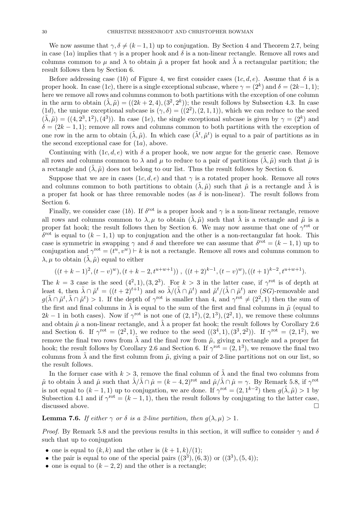We now assume that  $\gamma, \delta \neq (k-1, 1)$  up to conjugation. By Section 4 and Theorem 2.7, being in case (1a) implies that  $\gamma$  is a proper hook and  $\delta$  is a non-linear rectangle. Remove all rows and columns common to  $\mu$  and  $\lambda$  to obtain  $\tilde{\mu}$  a proper fat hook and  $\tilde{\lambda}$  a rectangular partition; the result follows then by Section 6.

Before addressing case (1b) of Figure 4, we first consider cases (1c, d, e). Assume that  $\delta$  is a proper hook. In case (1c), there is a single exceptional subcase, where  $\gamma = (2^k)$  and  $\delta = (2k-1, 1)$ ; here we remove all rows and columns common to both partitions with the exception of one column in the arm to obtain  $(\tilde{\lambda}, \tilde{\mu}) = ((2k + 2, 4), (3^2, 2^k))$ ; the result follows by Subsection 4.3. In case (1d), the unique exceptional subcase is  $(\gamma, \delta) = ((2^2), (2, 1, 1))$ , which we can reduce to the seed  $(\tilde{\lambda}, \tilde{\mu}) = ((4, 2^3, 1^2), (4^3))$ . In case (1e), the single exceptional subcase is given by  $\gamma = (2^k)$  and  $\delta = (2k-1,1)$ ; remove all rows and columns common to both partitions with the exception of one row in the arm to obtain  $(\tilde{\lambda}, \tilde{\mu})$ . In which case  $(\tilde{\lambda}^t, \tilde{\mu}^t)$  is equal to a pair of partitions as in the second exceptional case for  $(1a)$ , above.

Continuing with  $(1c, d, e)$  with  $\delta$  a proper hook, we now argue for the generic case. Remove all rows and columns common to  $\lambda$  and  $\mu$  to reduce to a pair of partitions  $(\lambda, \tilde{\mu})$  such that  $\tilde{\mu}$  is a rectangle and  $(\tilde{\lambda}, \tilde{\mu})$  does not belong to our list. Thus the result follows by Section 6.

Suppose that we are in cases  $(1c, d, e)$  and that  $\gamma$  is a rotated proper hook. Remove all rows and columns common to both partitions to obtain  $(\lambda, \tilde{\mu})$  such that  $\tilde{\mu}$  is a rectangle and  $\tilde{\lambda}$  is a proper fat hook or has three removable nodes (as  $\delta$  is non-linear). The result follows from Section 6.

Finally, we consider case (1b). If  $\delta^{\text{rot}}$  is a proper hook and  $\gamma$  is a non-linear rectangle, remove all rows and columns common to  $\lambda, \mu$  to obtain  $(\tilde{\lambda}, \tilde{\mu})$  such that  $\tilde{\lambda}$  is a rectangle and  $\tilde{\mu}$  is a proper fat hook; the result follows then by Section 6. We may now assume that one of  $\gamma^{\text{rot}}$  or  $\delta^{\rm rot}$  is equal to  $(k-1,1)$  up to conjugation and the other is a non-rectangular fat hook. This case is symmetric in swapping  $\gamma$  and  $\delta$  and therefore we can assume that  $\delta^{\rm rot} = (k-1, 1)$  up to conjugation and  $\gamma^{\text{rot}} = (t^u, v^w) \vdash k$  is not a rectangle. Remove all rows and columns common to  $\lambda, \mu$  to obtain  $(\lambda, \tilde{\mu})$  equal to either

$$
((t+k-1)^2, (t-v)^w), (t+k-2, t^{u+w+1}))
$$
,  $((t+2)^{k-1}, (t-v)^w), ((t+1)^{k-2}, t^{u+w+1}).$ 

The  $k = 3$  case is the seed  $(4^2, 1), (3, 2^3)$ . For  $k > 3$  in the latter case, if  $\gamma^{\rm rot}$  is of depth at least 4, then  $\tilde{\lambda} \cap \tilde{\mu}^t = ((t+2)^{t+1})$  and so  $\tilde{\lambda}/(\tilde{\lambda} \cap \tilde{\mu}^t)$  and  $\tilde{\mu}^t/(\tilde{\lambda} \cap \tilde{\mu}^t)$  are  $(SG)$ -removable and  $g(\tilde{\lambda}\cap\tilde{\mu}^t, \tilde{\lambda}\cap\tilde{\mu}^t) > 1$ . If the depth of  $\gamma^{\rm rot}$  is smaller than 4, and  $\gamma^{\rm rot} \neq (2^2, 1)$  then the sum of the first and final columns in  $\tilde{\lambda}$  is equal to the sum of the first and final columns in  $\tilde{\mu}$  (equal to  $2k-1$  in both cases). Now if  $\gamma^{\text{rot}}$  is not one of  $(2, 1^2), (2, 1^3), (2^2, 1)$ , we remove these columns and obtain  $\hat{\mu}$  a non-linear rectangle, and  $\hat{\lambda}$  a proper fat hook; the result follows by Corollary 2.6 and Section 6. If  $\gamma^{\rm rot} = (2^2, 1)$ , we reduce to the seed  $((3^4, 1), (3^3, 2^2))$ . If  $\gamma^{\rm rot} = (2, 1^2)$ , we remove the final two rows from  $\lambda$  and the final row from  $\tilde{\mu}$ , giving a rectangle and a proper fat hook; the result follows by Corollary 2.6 and Section 6. If  $\gamma^{\text{rot}} = (2, 1^3)$ , we remove the final two columns from  $\tilde{\lambda}$  and the first column from  $\tilde{\mu}$ , giving a pair of 2-line partitions not on our list, so the result follows.

In the former case with  $k > 3$ , remove the final column of  $\lambda$  and the final two columns from  $\tilde{\mu}$  to obtain  $\hat{\lambda}$  and  $\hat{\mu}$  such that  $\hat{\lambda}/\hat{\lambda} \cap \hat{\mu} = (k-4, 2)^{rot}$  and  $\hat{\mu}/\hat{\lambda} \cap \hat{\mu} = \gamma$ . By Remark 5.8, if  $\gamma^{rot}$ is not equal to  $(k-1,1)$  up to conjugation, we are done. If  $\gamma^{\text{rot}} = (2,1^{k-2})$  then  $g(\tilde{\lambda}, \tilde{\mu}) > 1$  by Subsection 4.1 and if  $\gamma^{\text{rot}} = (k-1,1)$ , then the result follows by conjugating to the latter case, discussed above.

**Lemma 7.6.** If either  $\gamma$  or  $\delta$  is a 2-line partition, then  $q(\lambda, \mu) > 1$ .

*Proof.* By Remark 5.8 and the previous results in this section, it will suffice to consider  $\gamma$  and  $\delta$ such that up to conjugation

- one is equal to  $(k, k)$  and the other is  $(k + 1, k)/(1)$ ;
- the pair is equal to one of the special pairs  $((3^3), (6, 3))$  or  $((3^3), (5, 4))$ ;
- one is equal to  $(k-2, 2)$  and the other is a rectangle;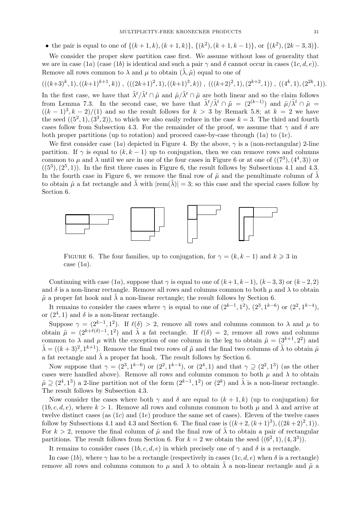• the pair is equal to one of  $\{(k+1,k), (k+1,k)\}, \{(k^2), (k+1,k-1)\}, \text{ or } \{(k^2), (2k-3,3)\}.$ 

We consider the proper skew partition case first. We assume without loss of generality that we are in case (1a) (case (1b) is identical and such a pair  $\gamma$  and  $\delta$  cannot occur in cases (1c, d, e)). Remove all rows common to  $\lambda$  and  $\mu$  to obtain  $(\lambda, \tilde{\mu})$  equal to one of

 $(((k+3)^k, 1), ((k+1)^{k+1}, k))$ ,  $(((2k+1)^2, 1), ((k+1)^3, k))$ ,  $(((k+2)^2, 1), (2^{k+2}, 1))$ ,  $((4^k, 1), (2^{2k}, 1))$ . In the first case, we have that  $\tilde{\lambda}^t/\tilde{\lambda}^t \cap \tilde{\mu}$  and  $\tilde{\mu}/\tilde{\lambda}^t \cap \tilde{\mu}$  are both linear and so the claim follows

from Lemma 7.3. In the second case, we have that  $\tilde{\lambda}^t/\tilde{\lambda}^t \cap \tilde{\mu} = (2^{(k-1)})$  and  $\tilde{\mu}/\tilde{\lambda}^t \cap \tilde{\mu} =$  $((k-1)^3, k-2)/(1)$  and so the result follows for  $k > 3$  by Remark 5.8; at  $k = 2$  we have the seed  $((5^2,1),(3^3,2))$ , to which we also easily reduce in the case  $k=3$ . The third and fourth cases follow from Subsection 4.3. For the remainder of the proof, we assume that  $\gamma$  and  $\delta$  are both proper partitions (up to rotation) and proceed case-by-case through  $(1a)$  to  $(1e)$ .

We first consider case  $(1a)$  depicted in Figure 4. By the above,  $\gamma$  is a (non-rectangular) 2-line partition. If  $\gamma$  is equal to  $(k, k - 1)$  up to conjugation, then we can remove rows and columns common to  $\mu$  and  $\lambda$  until we are in one of the four cases in Figure 6 or at one of  $((7^3),(4^4,3))$  or  $((5^3), (2^5, 1))$ . In the first three cases in Figure 6, the result follows by Subsections 4.1 and 4.3. In the fourth case in Figure 6, we remove the final row of  $\tilde{\mu}$  and the penultimate column of  $\tilde{\lambda}$ to obtain  $\hat{\mu}$  a fat rectangle and  $\lambda$  with  $|rem(\lambda)| = 3$ ; so this case and the special cases follow by Section 6.



FIGURE 6. The four families, up to conjugation, for  $\gamma = (k, k - 1)$  and  $k \geq 3$  in case  $(1a)$ .

Continuing with case (1a), suppose that  $\gamma$  is equal to one of  $(k+1, k-1)$ ,  $(k-3, 3)$  or  $(k-2, 2)$ and  $\delta$  is a non-linear rectangle. Remove all rows and columns common to both  $\mu$  and  $\lambda$  to obtain  $\tilde{\mu}$  a proper fat hook and  $\tilde{\lambda}$  a non-linear rectangle; the result follows by Section 6.

It remains to consider the cases where  $\gamma$  is equal to one of  $(2^{k-1}, 1^2)$ ,  $(2^3, 1^{k-6})$  or  $(2^2, 1^{k-4})$ , or  $(2^4, 1)$  and  $\delta$  is a non-linear rectangle.

Suppose  $\gamma = (2^{k-1}, 1^2)$ . If  $\ell(\delta) > 2$ , remove all rows and columns common to  $\lambda$  and  $\mu$  to obtain  $\tilde{\mu} = (2^{k+\ell(\delta)-1}, 1^2)$  and  $\tilde{\lambda}$  a fat rectangle. If  $\ell(\delta) = 2$ , remove all rows and columns common to  $\lambda$  and  $\mu$  with the exception of one column in the leg to obtain  $\tilde{\mu} = (3^{k+1}, 2^2)$  and  $\tilde{\lambda} = ((k+3)^2, 1^{k+1})$ . Remove the final two rows of  $\tilde{\mu}$  and the final two columns of  $\tilde{\lambda}$  to obtain  $\hat{\mu}$ a fat rectangle and  $\hat{\lambda}$  a proper fat hook. The result follows by Section 6.

Now suppose that  $\gamma = (2^3, 1^{k-6})$  or  $(2^2, 1^{k-4})$ , or  $(2^4, 1)$  and that  $\gamma \supseteq (2^2, 1^3)$  (as the other cases were handled above). Remove all rows and columns common to both  $\mu$  and  $\lambda$  to obtain  $\tilde{\mu} \supseteq (2^4, 1^3)$  a 2-line partition not of the form  $(2^{k-1}, 1^2)$  or  $(2^k)$  and  $\tilde{\lambda}$  is a non-linear rectangle. The result follows by Subsection 4.3.

Now consider the cases where both  $\gamma$  and  $\delta$  are equal to  $(k+1, k)$  (up to conjugation) for  $(1b, c, d, e)$ , where  $k > 1$ . Remove all rows and columns common to both  $\mu$  and  $\lambda$  and arrive at twelve distinct cases (as  $(1c)$  and  $(1e)$  produce the same set of cases). Eleven of the twelve cases follow by Subsections 4.1 and 4.3 and Section 6. The final case is  $((k+2, (k+1)^3), ((2k+2)^2, 1)).$ For  $k > 2$ , remove the final column of  $\tilde{\mu}$  and the final row of  $\tilde{\lambda}$  to obtain a pair of rectangular partitions. The result follows from Section 6. For  $k = 2$  we obtain the seed  $((6^2, 1), (4, 3^3))$ .

It remains to consider cases (1b, c, d, e) in which precisely one of  $\gamma$  and  $\delta$  is a rectangle.

In case (1b), where  $\gamma$  has to be a rectangle (respectively in cases (1c, d, e) when  $\delta$  is a rectangle) remove all rows and columns common to  $\mu$  and  $\lambda$  to obtain  $\lambda$  a non-linear rectangle and  $\tilde{\mu}$  a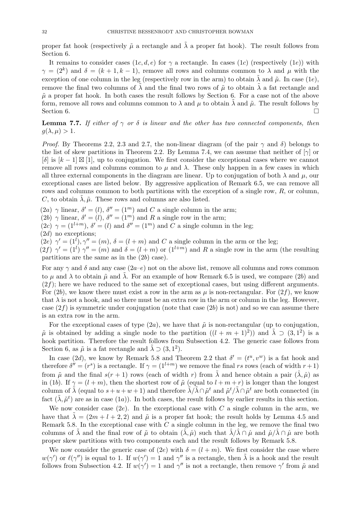proper fat hook (respectively  $\tilde{\mu}$  a rectangle and  $\lambda$  a proper fat hook). The result follows from Section 6.

It remains to consider cases  $(1c, d, e)$  for  $\gamma$  a rectangle. In cases  $(1c)$  (respectively  $(1e)$ ) with  $\gamma = (2^k)$  and  $\delta = (k+1, k-1)$ , remove all rows and columns common to  $\lambda$  and  $\mu$  with the exception of one column in the leg (respectively row in the arm) to obtain  $\tilde{\lambda}$  and  $\tilde{\mu}$ . In case (1e), remove the final two columns of  $\tilde{\lambda}$  and the final two rows of  $\tilde{\mu}$  to obtain  $\tilde{\lambda}$  a fat rectangle and  $\tilde{\mu}$  a proper fat hook. In both cases the result follows by Section 6. For a case not of the above form, remove all rows and columns common to  $\lambda$  and  $\mu$  to obtain  $\lambda$  and  $\tilde{\mu}$ . The result follows by Section 6.

**Lemma 7.7.** If either of  $\gamma$  or  $\delta$  is linear and the other has two connected components, then  $q(\lambda, \mu) > 1.$ 

*Proof.* By Theorems 2.2, 2.3 and 2.7, the non-linear diagram (of the pair  $\gamma$  and  $\delta$ ) belongs to the list of skew partitions in Theorem 2.2. By Lemma 7.4, we can assume that neither of  $[\gamma]$  or  $[\delta]$  is  $[k-1] \boxtimes [1]$ , up to conjugation. We first consider the exceptional cases where we cannot remove all rows and columns common to  $\mu$  and  $\lambda$ . These only happen in a few cases in which all three external components in the diagram are linear. Up to conjugation of both  $\lambda$  and  $\mu$ , our exceptional cases are listed below. By aggressive application of Remark 6.5, we can remove all rows and columns common to both partitions with the exception of a single row, R, or column, C, to obtain  $\lambda$ ,  $\tilde{\mu}$ . These rows and columns are also listed.

(2a)  $\gamma$  linear,  $\delta' = (l)$ ,  $\delta'' = (1^m)$  and C a single column in the arm;

(2b)  $\gamma$  linear,  $\delta' = (l)$ ,  $\delta'' = (1^m)$  and R a single row in the arm;

 $(2c)$   $\gamma = (1^{l+m})$ ,  $\delta' = (l)$  and  $\delta'' = (1^m)$  and C a single column in the leg;  $(2d)$  no exceptions;

 $(2e)$   $\gamma' = (1^l), \gamma'' = (m), \delta = (l+m)$  and C a single column in the arm or the leg;

 $(2f)$   $\gamma' = (1^l)$   $\gamma'' = (m)$  and  $\delta = (l+m)$  or  $(1^{l+m})$  and R a single row in the arm (the resulting partitions are the same as in the  $(2b)$  case).

For any  $\gamma$  and  $\delta$  and any case (2a–e) not on the above list, remove all columns and rows common to  $\mu$  and  $\lambda$  to obtain  $\tilde{\mu}$  and  $\lambda$ . For an example of how Remark 6.5 is used, we compare (2b) and  $(2f)$ ; here we have reduced to the same set of exceptional cases, but using different arguments. For (2b), we know there must exist a row in the arm as  $\mu$  is non-rectangular. For (2f), we know that  $\lambda$  is not a hook, and so there must be an extra row in the arm or column in the leg. However, case  $(2f)$  is symmetric under conjugation (note that case  $(2b)$  is not) and so we can assume there is an extra row in the arm.

For the exceptional cases of type  $(2a)$ , we have that  $\tilde{\mu}$  is non-rectangular (up to conjugation,  $\tilde{\mu}$  is obtained by adding a single node to the partition  $((l + m + 1)^2)$  and  $\tilde{\lambda} \supset (3, 1^2)$  is a hook partition. Therefore the result follows from Subsection 4.2. The generic case follows from Section 6, as  $\tilde{\mu}$  is a fat rectangle and  $\tilde{\lambda} \supset (3, 1^2)$ .

In case (2d), we know by Remark 5.8 and Theorem 2.2 that  $\delta' = (t^u, v^w)$  is a fat hook and therefore  $\delta'' = (r^s)$  is a rectangle. If  $\gamma = (1^{l+m})$  we remove the final rs rows (each of width  $r+1$ ) from  $\tilde{\mu}$  and the final  $s(r + 1)$  rows (each of width r) from  $\tilde{\lambda}$  and hence obtain a pair  $(\hat{\lambda}, \hat{\mu})$  as in (1b). If  $\gamma = (l+m)$ , then the shortest row of  $\tilde{\mu}$  (equal to  $l+m+r$ ) is longer than the longest column of  $\tilde{\lambda}$  (equal to  $s+u+w+1$ ) and therefore  $\tilde{\lambda}/\tilde{\lambda}\cap\tilde{\mu}^t$  and  $\tilde{\mu}^t/\tilde{\lambda}\cap\tilde{\mu}^t$  are both connected (in fact  $(\tilde{\lambda}, \tilde{\mu}^t)$  are as in case  $(1a)$ ). In both cases, the result follows by earlier results in this section.

We now consider case  $(2e)$ . In the exceptional case with C a single column in the arm, we have that  $\lambda = (2m + l + 2, 2)$  and  $\tilde{\mu}$  is a proper fat hook; the result holds by Lemma 4.5 and Remark 5.8. In the exceptional case with  $C$  a single column in the leg, we remove the final two columns of  $\lambda$  and the final row of  $\tilde{\mu}$  to obtain  $(\lambda, \hat{\mu})$  such that  $\lambda/\lambda \cap \hat{\mu}$  and  $\hat{\mu}/\lambda \cap \hat{\mu}$  are both proper skew partitions with two components each and the result follows by Remark 5.8.

We now consider the generic case of (2e) with  $\delta = (l + m)$ . We first consider the case where  $w(\gamma')$  or  $\ell(\gamma'')$  is equal to 1. If  $w(\gamma') = 1$  and  $\gamma''$  is a rectangle, then  $\tilde{\lambda}$  is a hook and the result follows from Subsection 4.2. If  $w(\gamma') = 1$  and  $\gamma''$  is not a rectangle, then remove  $\gamma'$  from  $\tilde{\mu}$  and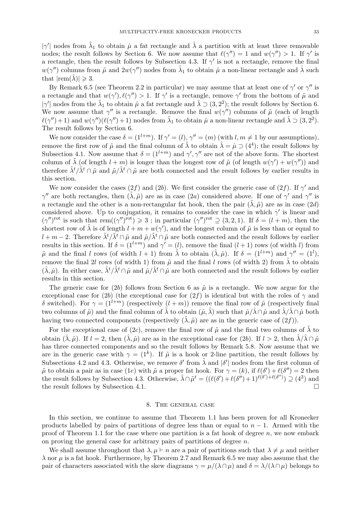| $\gamma'$ | nodes from  $\tilde{\lambda}_1$  to obtain  $\hat{\mu}$  a fat rectangle and  $\hat{\lambda}$  a partition with at least three removable nodes; the result follows by Section 6. We now assume that  $\ell(\gamma'') = 1$  and  $w(\gamma'') > 1$ . If  $\gamma'$  is a rectangle, then the result follows by Subsection 4.3. If  $\gamma'$  is not a rectangle, remove the final  $w(\gamma'')$  columns from  $\tilde{\mu}$  and  $2w(\gamma'')$  nodes from  $\tilde{\lambda}_1$  to obtain  $\hat{\mu}$  a non-linear rectangle and  $\hat{\lambda}$  such that  $|rem(\lambda)| \geqslant 3$ .

By Remark 6.5 (see Theorem 2.2 in particular) we may assume that at least one of  $\gamma'$  or  $\gamma''$  is a rectangle and that  $w(\gamma'), \ell(\gamma'') > 1$ . If  $\gamma'$  is a rectangle, remove  $\gamma'$  from the bottom of  $\tilde{\mu}$  and | $\gamma'$ | nodes from the  $\tilde{\lambda}_1$  to obtain  $\hat{\mu}$  a fat rectangle and  $\hat{\lambda} \supset (3, 2^2)$ ; the result follows by Section 6. We now assume that  $\gamma''$  is a rectangle. Remove the final  $w(\gamma'')$  columns of  $\tilde{\mu}$  (each of length  $\ell(\gamma'') + 1$  and  $w(\gamma'')(\ell(\gamma'') + 1)$  nodes from  $\tilde{\lambda}_1$  to obtain  $\hat{\mu}$  a non-linear rectangle and  $\hat{\lambda} \supset (3, 2^2)$ . The result follows by Section 6.

We now consider the case  $\delta = (1^{l+m})$ . If  $\gamma' = (l)$ ,  $\gamma'' = (m)$  (with  $l, m \neq 1$  by our assumptions), remove the first row of  $\tilde{\mu}$  and the final column of  $\tilde{\lambda}$  to obtain  $\hat{\lambda} = \hat{\mu} \supset (4^4)$ ; the result follows by Subsection 4.1. Now assume that  $\delta = (1^{l+m})$  and  $\gamma', \gamma''$  are not of the above form. The shortest column of  $\tilde{\lambda}$  (of length  $l + m$ ) is longer than the longest row of  $\tilde{\mu}$  (of length  $w(\gamma') + w(\gamma'')$ ) and therefore  $\tilde{\lambda}^t/\tilde{\lambda}^t \cap \tilde{\mu}$  and  $\tilde{\mu}/\tilde{\lambda}^t \cap \tilde{\mu}$  are both connected and the result follows by earlier results in this section.

We now consider the cases (2f) and (2b). We first consider the generic case of (2f). If  $\gamma'$  and  $\gamma''$  are both rectangles, then  $(\tilde{\lambda}, \tilde{\mu})$  are as in case  $(2a)$  considered above. If one of  $\gamma'$  and  $\gamma''$  is a rectangle and the other is a non-rectangular fat hook, then the pair  $(\lambda, \tilde{\mu})$  are as in case  $(2d)$ considered above. Up to conjugation, it remains to consider the case in which  $\gamma'$  is linear and  $(\gamma'')^{\text{rot}}$  is such that rem $((\gamma'')^{\text{rot}}) \geq 3$ ; in particular  $(\gamma'')^{\text{rot}} \supseteq (3, 2, 1)$ . If  $\delta = (l+m)$ , then the shortest row of  $\tilde{\lambda}$  is of length  $l + m + w(\gamma')$ , and the longest column of  $\tilde{\mu}$  is less than or equal to  $l + m - 2$ . Therefore  $\tilde{\lambda}^t/\tilde{\lambda}^t \cap \tilde{\mu}$  and  $\tilde{\mu}/\tilde{\lambda}^t \cap \tilde{\mu}$  are both connected and the result follows by earlier results in this section. If  $\delta = (1^{l+m})$  and  $\gamma' = (l)$ , remove the final  $(l+1)$  rows (of width l) from  $\tilde{\mu}$  and the final l rows (of width  $l + 1$ ) from  $\tilde{\lambda}$  to obtain  $(\hat{\lambda}, \hat{\mu})$ . If  $\delta = (1^{l+m})$  and  $\gamma'' = (1^l)$ , remove the final 2l rows (of width 1) from  $\tilde{\mu}$  and the final l rows (of width 2) from  $\tilde{\lambda}$  to obtain  $(\hat{\lambda}, \hat{\mu})$ . In either case,  $\hat{\lambda}^t/\hat{\lambda}^t \cap \hat{\mu}$  and  $\hat{\mu}/\hat{\lambda}^t \cap \hat{\mu}$  are both connected and the result follows by earlier results in this section.

The generic case for (2b) follows from Section 6 as  $\tilde{\mu}$  is a rectangle. We now argue for the exceptional case for (2b) (the exceptional case for (2f) is identical but with the roles of  $\gamma$  and δ switched). For  $\gamma = (1^{l+m})$  (respectively  $(l+m)$ ) remove the final row of  $\tilde{\mu}$  (respectively final two columns of  $\tilde{\mu}$ ) and the final column of  $\tilde{\lambda}$  to obtain  $(\hat{\mu}, \hat{\lambda})$  such that  $\hat{\mu}/\hat{\lambda} \cap \hat{\mu}$  and  $\hat{\lambda}/\hat{\lambda} \cap \hat{\mu}$  both having two connected components (respectively  $(\lambda, \tilde{\mu})$  are as in the generic case of  $(2f)$ ).

For the exceptional case of (2c), remove the final row of  $\tilde{\mu}$  and the final two columns of  $\tilde{\lambda}$  to obtain  $(\hat{\lambda}, \hat{\mu})$ . If  $l = 2$ , then  $(\hat{\lambda}, \hat{\mu})$  are as in the exceptional case for (2b). If  $l > 2$ , then  $\hat{\lambda}/\hat{\lambda} \cap \hat{\mu}$ has three connected components and so the result follows by Remark 5.8. Now assume that we are in the generic case with  $\gamma = (1^k)$ . If  $\tilde{\mu}$  is a hook or 2-line partition, the result follows by Subsections 4.2 and 4.3. Otherwise, we remove  $\delta'$  from  $\tilde{\lambda}$  and  $|\delta'|$  nodes from the first column of  $\tilde{\mu}$  to obtain a pair as in case (1e) with  $\tilde{\mu}$  a proper fat hook. For  $\gamma = (k)$ , if  $\ell(\delta') + \ell(\delta'') = 2$  then the result follows by Subsection 4.3. Otherwise,  $\tilde{\lambda} \cap \tilde{\mu}^t = ((\ell(\delta') + \ell(\delta'') + 1)^{\ell(\delta') + \ell(\delta'')}) \supseteq (4^3)$  and the result follows by Subsection 4.1.

#### 8. The general case

In this section, we continue to assume that Theorem 1.1 has been proven for all Kronecker products labelled by pairs of partitions of degree less than or equal to  $n - 1$ . Armed with the proof of Theorem 1.1 for the case where one partition is a fat hook of degree  $n$ , we now embark on proving the general case for arbitrary pairs of partitions of degree  $n$ .

We shall assume throughout that  $\lambda, \mu \vdash n$  are a pair of partitions such that  $\lambda \neq \mu$  and neither  $\lambda$  nor  $\mu$  is a fat hook. Furthermore, by Theorem 2.7 and Remark 6.5 we may also assume that the pair of characters associated with the skew diagrams  $\gamma = \mu/(\lambda \cap \mu)$  and  $\delta = \lambda/(\lambda \cap \mu)$  belongs to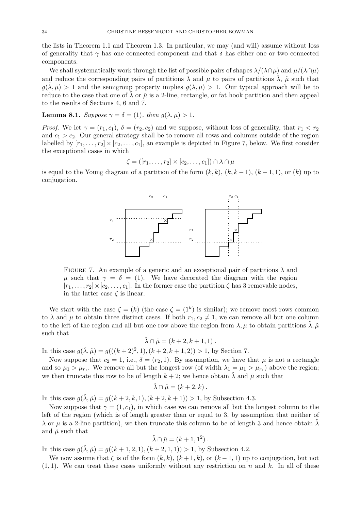the lists in Theorem 1.1 and Theorem 1.3. In particular, we may (and will) assume without loss of generality that  $\gamma$  has one connected component and that  $\delta$  has either one or two connected components.

We shall systematically work through the list of possible pairs of shapes  $\lambda/(\lambda\cap\mu)$  and  $\mu/(\lambda\cap\mu)$ and reduce the corresponding pairs of partitions  $\lambda$  and  $\mu$  to pairs of partitions  $\lambda$ ,  $\tilde{\mu}$  such that  $g(\tilde{\lambda}, \tilde{\mu}) > 1$  and the semigroup property implies  $g(\lambda, \mu) > 1$ . Our typical approach will be to reduce to the case that one of  $\lambda$  or  $\tilde{\mu}$  is a 2-line, rectangle, or fat hook partition and then appeal to the results of Sections 4, 6 and 7.

**Lemma 8.1.** Suppose  $\gamma = \delta = (1)$ , then  $g(\lambda, \mu) > 1$ .

*Proof.* We let  $\gamma = (r_1, c_1), \delta = (r_2, c_2)$  and we suppose, without loss of generality, that  $r_1 < r_2$ and  $c_1 > c_2$ . Our general strategy shall be to remove all rows and columns outside of the region labelled by  $[r_1, \ldots, r_2] \times [c_2, \ldots, c_1]$ , an example is depicted in Figure 7, below. We first consider the exceptional cases in which

$$
\zeta = ([r_1, \ldots, r_2] \times [c_2, \ldots, c_1]) \cap \lambda \cap \mu
$$

is equal to the Young diagram of a partition of the form  $(k, k)$ ,  $(k, k - 1)$ ,  $(k - 1, 1)$ , or  $(k)$  up to conjugation.



FIGURE 7. An example of a generic and an exceptional pair of partitions  $\lambda$  and  $\mu$  such that  $\gamma = \delta = (1)$ . We have decorated the diagram with the region  $[r_1, \ldots, r_2] \times [c_2, \ldots, c_1]$ . In the former case the partition  $\zeta$  has 3 removable nodes, in the latter case  $\zeta$  is linear.

We start with the case  $\zeta = (k)$  (the case  $\zeta = (1^k)$  is similar); we remove most rows common to  $\lambda$  and  $\mu$  to obtain three distinct cases. If both  $r_1, c_2 \neq 1$ , we can remove all but one column to the left of the region and all but one row above the region from  $\lambda, \mu$  to obtain partitions  $\lambda, \tilde{\mu}$ such that

$$
\tilde{\lambda} \cap \tilde{\mu} = (k+2, k+1, 1) .
$$

In this case  $g(\tilde{\lambda}, \tilde{\mu}) = g(((k+2)^2, 1), (k+2, k+1, 2)) > 1$ , by Section 7.

Now suppose that  $c_2 = 1$ , i.e.,  $\delta = (r_2, 1)$ . By assumption, we have that  $\mu$  is not a rectangle and so  $\mu_1 > \mu_{r_1}$ . We remove all but the longest row (of width  $\lambda_1 = \mu_1 > \mu_{r_1}$ ) above the region; we then truncate this row to be of length  $k + 2$ ; we hence obtain  $\tilde{\lambda}$  and  $\tilde{\mu}$  such that

$$
\tilde{\lambda} \cap \tilde{\mu} = (k+2, k) .
$$

In this case  $q(\tilde{\lambda}, \tilde{\mu}) = q((k + 2, k, 1), (k + 2, k + 1)) > 1$ , by Subsection 4.3.

Now suppose that  $\gamma = (1, c_1)$ , in which case we can remove all but the longest column to the left of the region (which is of length greater than or equal to 3, by assumption that neither of  $\lambda$  or  $\mu$  is a 2-line partition), we then truncate this column to be of length 3 and hence obtain  $\lambda$ and  $\tilde{\mu}$  such that

$$
\tilde{\lambda} \cap \tilde{\mu} = (k+1, 1^2) \, .
$$

In this case  $g(\tilde{\lambda}, \tilde{\mu}) = g((k + 1, 2, 1), (k + 2, 1, 1)) > 1$ , by Subsection 4.2.

We now assume that  $\zeta$  is of the form  $(k, k)$ ,  $(k + 1, k)$ , or  $(k - 1, 1)$  up to conjugation, but not  $(1, 1)$ . We can treat these cases uniformly without any restriction on n and k. In all of these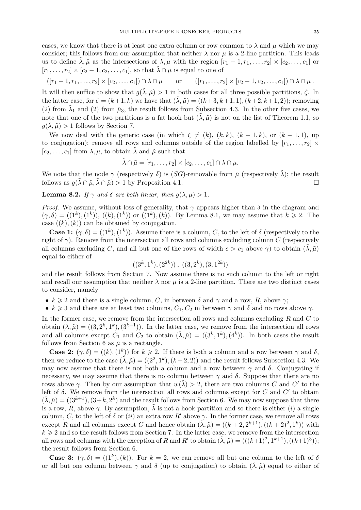cases, we know that there is at least one extra column or row common to  $\lambda$  and  $\mu$  which we may consider; this follows from our assumption that neither  $\lambda$  nor  $\mu$  is a 2-line partition. This leads us to define  $\tilde{\lambda}, \tilde{\mu}$  as the intersections of  $\lambda, \mu$  with the region  $[r_1 - 1, r_1, \ldots, r_2] \times [c_2, \ldots, c_1]$  or  $[r_1, \ldots, r_2] \times [c_2 - 1, c_2, \ldots, c_1]$ , so that  $\tilde{\lambda} \cap \tilde{\mu}$  is equal to one of

$$
([r_1-1,r_1,\ldots,r_2]\times[c_2,\ldots,c_1])\cap\lambda\cap\mu\qquad\text{or}\qquad ([r_1,\ldots,r_2]\times[c_2-1,c_2,\ldots,c_1])\cap\lambda\cap\mu\ .
$$

It will then suffice to show that  $g(\lambda, \tilde{\mu}) > 1$  in both cases for all three possible partitions,  $\zeta$ . In the latter case, for  $\zeta = (k+1, k)$  we have that  $(\lambda, \tilde{\mu}) = ((k+3, k+1, 1), (k+2, k+1, 2))$ ; removing (2) from  $\tilde{\lambda}_1$  and (2) from  $\tilde{\mu}_3$ , the result follows from Subsection 4.3. In the other five cases, we note that one of the two partitions is a fat hook but  $(\lambda, \tilde{\mu})$  is not on the list of Theorem 1.1, so  $g(\lambda, \tilde{\mu}) > 1$  follows by Section 7.

We now deal with the generic case (in which  $\zeta \neq (k)$ ,  $(k, k)$ ,  $(k + 1, k)$ , or  $(k - 1, 1)$ , up to conjugation); remove all rows and columns outside of the region labelled by  $[r_1, \ldots, r_2] \times$  $[c_2, \ldots, c_1]$  from  $\lambda, \mu$ , to obtain  $\lambda$  and  $\tilde{\mu}$  such that

$$
\tilde{\lambda} \cap \tilde{\mu} = [r_1, \ldots, r_2] \times [c_2, \ldots, c_1] \cap \lambda \cap \mu.
$$

We note that the node  $\gamma$  (respectively  $\delta$ ) is (SG)-removable from  $\tilde{\mu}$  (respectively  $\tilde{\lambda}$ ); the result follows as  $g(\lambda \cap \tilde{\mu}, \lambda \cap \tilde{\mu}) > 1$  by Proposition 4.1.

**Lemma 8.2.** If  $\gamma$  and  $\delta$  are both linear, then  $q(\lambda, \mu) > 1$ .

*Proof.* We assume, without loss of generality, that  $\gamma$  appears higher than  $\delta$  in the diagram and  $(\gamma, \delta) = ((1^k), (1^k)), ((k), (1^k))$  or  $((1^k), (k))$ . By Lemma 8.1, we may assume that  $k \geq 2$ . The case  $((k), (k))$  can be obtained by conjugation.

**Case 1:**  $(\gamma, \delta) = ((1^k), (1^k))$ . Assume there is a column, C, to the left of  $\delta$  (respectively to the right of  $\gamma$ ). Remove from the intersection all rows and columns excluding column C (respectively all columns excluding C, and all but one of the rows of width  $c > c_1$  above  $\gamma$ ) to obtain  $(\tilde{\lambda}, \tilde{\mu})$ equal to either of

$$
((3^k,1^k),(2^{2k}))
$$
,  $((3,2^k),(3,1^{2k}))$ 

and the result follows from Section 7. Now assume there is no such column to the left or right and recall our assumption that neither  $\lambda$  nor  $\mu$  is a 2-line partition. There are two distinct cases to consider, namely

- $k \geq 2$  and there is a single column, C, in between  $\delta$  and  $\gamma$  and a row, R, above  $\gamma$ ;
- $k \geq 3$  and there are at least two columns,  $C_1, C_2$  in between  $\gamma$  and  $\delta$  and no rows above  $\gamma$ .

In the former case, we remove from the intersection all rows and columns excluding  $R$  and  $C$  to obtain  $(\tilde{\lambda}, \tilde{\mu}) = ((3, 2^k, 1^k), (3^{k+1}))$ . In the latter case, we remove from the intersection all rows and all columns except  $C_1$  and  $C_2$  to obtain  $(\tilde{\lambda}, \tilde{\mu}) = ((3^k, 1^k), (4^k))$ . In both cases the result follows from Section 6 as  $\tilde{\mu}$  is a rectangle.

**Case 2:**  $(\gamma, \delta) = ((k), (1^k))$  for  $k \ge 2$ . If there is both a column and a row between  $\gamma$  and  $\delta$ , then we reduce to the case  $(\tilde{\lambda}, \tilde{\mu}) = ((2^2, 1^k), (k+2, 2))$  and the result follows Subsection 4.3. We may now assume that there is not both a column and a row between  $\gamma$  and  $\delta$ . Conjugating if necessary, we may assume that there is no column between  $\gamma$  and  $\delta$ . Suppose that there are no rows above  $\gamma$ . Then by our assumption that  $w(\tilde{\lambda}) > 2$ , there are two columns C and C' to the left of  $\delta$ . We remove from the intersection all rows and columns except for  $C$  and  $C'$  to obtain  $(\tilde{\lambda}, \tilde{\mu}) = ((3^{k+1}), (3+k, 2^k)$  and the result follows from Section 6. We may now suppose that there is a row, R, above  $\gamma$ . By assumption,  $\tilde{\lambda}$  is not a hook partition and so there is either (i) a single column, C, to the left of  $\delta$  or  $(ii)$  an extra row R' above  $\gamma$ . In the former case, we remove all rows except R and all columns except C and hence obtain  $(\tilde{\lambda}, \tilde{\mu}) = ((k+2, 2^{k+1}), ((k+2)^2, 1^k))$  with  $k \geq 2$  and so the result follows from Section 7. In the latter case, we remove from the intersection all rows and columns with the exception of R and R' to obtain  $(\tilde{\lambda}, \tilde{\mu}) = (((k+1)^2, 1^{k+1}), ((k+1)^3));$ the result follows from Section 6.

**Case 3:**  $(\gamma, \delta) = ((1^k), (k))$ . For  $k = 2$ , we can remove all but one column to the left of  $\delta$ or all but one column between  $\gamma$  and  $\delta$  (up to conjugation) to obtain  $(\tilde{\lambda}, \tilde{\mu})$  equal to either of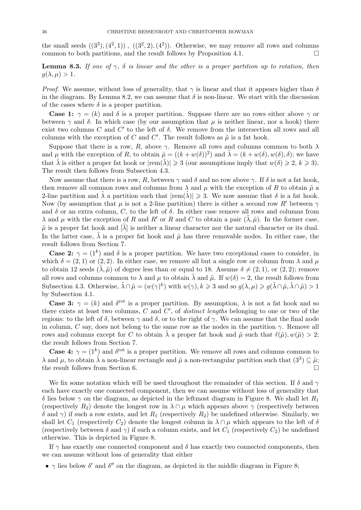the small seeds  $((3^3), (4^2, 1))$ ,  $((3^2, 2), (4^2))$ . Otherwise, we may remove all rows and columns common to both partitions, and the result follows by Proposition 4.1.  $\Box$ 

**Lemma 8.3.** If one of  $\gamma$ ,  $\delta$  is linear and the other is a proper partition up to rotation, then  $q(\lambda, \mu) > 1$ .

*Proof.* We assume, without loss of generality, that  $\gamma$  is linear and that it appears higher than  $\delta$ in the diagram. By Lemma 8.2, we can assume that  $\delta$  is non-linear. We start with the discussion of the cases where  $\delta$  is a proper partition.

**Case 1:**  $\gamma = (k)$  and  $\delta$  is a proper partition. Suppose there are no rows either above  $\gamma$  or between  $\gamma$  and  $\delta$ . In which case (by our assumption that  $\mu$  is neither linear, nor a hook) there exist two columns C and C' to the left of  $\delta$ . We remove from the intersection all rows and all columns with the exception of C and C'. The result follows as  $\tilde{\mu}$  is a fat hook.

Suppose that there is a row, R, above  $\gamma$ . Remove all rows and columns common to both  $\lambda$ and  $\mu$  with the exception of R, to obtain  $\tilde{\mu} = ((k + w(\delta))^2)$  and  $\tilde{\lambda} = (k + w(\delta), w(\delta), \delta)$ ; we have that  $\tilde{\lambda}$  is either a proper fat hook or  $|rem(\tilde{\lambda})| \geq 3$  (our assumptions imply that  $w(\delta) \geq 2, k \geq 3$ ). The result then follows from Subsection 4.3.

Now assume that there is a row, R, between  $\gamma$  and  $\delta$  and no row above  $\gamma$ . If  $\delta$  is not a fat hook, then remove all common rows and columns from  $\lambda$  and  $\mu$  with the exception of R to obtain  $\tilde{\mu}$  a 2-line partition and  $\tilde{\lambda}$  a partition such that  $|rem(\tilde{\lambda})| \geq 3$ . We now assume that  $\delta$  is a fat hook. Now (by assumption that  $\mu$  is not a 2-line partition) there is either a second row R' between  $\gamma$ and  $\delta$  or an extra column, C, to the left of  $\delta$ . In either case remove all rows and columns from  $\lambda$  and  $\mu$  with the exception of R and R' or R and C to obtain a pair  $(\lambda, \tilde{\mu})$ . In the former case,  $\tilde{\mu}$  is a proper fat hook and  $|\tilde{\lambda}|$  is neither a linear character nor the natural character or its dual. In the latter case,  $\lambda$  is a proper fat hook and  $\tilde{\mu}$  has three removable nodes. In either case, the result follows from Section 7.

**Case 2:**  $\gamma = (1^k)$  and  $\delta$  is a proper partition. We have two exceptional cases to consider, in which  $\delta = (2, 1)$  or  $(2, 2)$ . In either case, we remove all but a single row or column from  $\lambda$  and  $\mu$ to obtain 12 seeds  $(\tilde{\lambda}, \tilde{\mu})$  of degree less than or equal to 18. Assume  $\delta \neq (2, 1)$ , or  $(2, 2)$ ; remove all rows and columns common to  $\lambda$  and  $\mu$  to obtain  $\tilde{\lambda}$  and  $\tilde{\mu}$ . If  $w(\delta) = 2$ , the result follows from Subsection 4.3. Otherwise,  $\tilde{\lambda} \cap \tilde{\mu} = (w(\gamma)^k)$  with  $w(\gamma), k \geq 3$  and so  $g(\lambda, \mu) \geq g(\tilde{\lambda} \cap \tilde{\mu}, \tilde{\lambda} \cap \tilde{\mu}) > 1$ by Subsection 4.1.

**Case 3:**  $\gamma = (k)$  and  $\delta^{\text{rot}}$  is a proper partition. By assumption,  $\lambda$  is not a fat hook and so there exists at least two columns,  $C$  and  $C'$ , of *distinct lengths* belonging to one or two of the regions: to the left of  $\delta$ , between  $\gamma$  and  $\delta$ , or to the right of  $\gamma$ . We can assume that the final node in column, C say, does not belong to the same row as the nodes in the partition  $\gamma$ . Remove all rows and columns except for C to obtain  $\lambda$  a proper fat hook and  $\tilde{\mu}$  such that  $\ell(\tilde{\mu}), w(\tilde{\mu}) > 2$ ; the result follows from Section 7.

**Case 4:**  $\gamma = (1^k)$  and  $\delta^{\text{rot}}$  is a proper partition. We remove all rows and columns common to  $\lambda$  and  $\mu$ , to obtain  $\tilde{\lambda}$  a non-linear rectangle and  $\tilde{\mu}$  a non-rectangular partition such that  $(3^3) \subseteq \tilde{\mu}$ ; the result follows from Section 6.

We fix some notation which will be used throughout the remainder of this section. If  $\delta$  and  $\gamma$ each have exactly one connected component, then we can assume without loss of generality that δ lies below  $\gamma$  on the diagram, as depicted in the leftmost diagram in Figure 8. We shall let  $R_1$ (respectively  $R_2$ ) denote the longest row in  $\lambda \cap \mu$  which appears above  $\gamma$  (respectively between  $δ$  and  $γ$ ) if such a row exists, and let  $R_1$  (respectively  $R_2$ ) be undefined otherwise. Similarly, we shall let  $C_1$  (respectively  $C_2$ ) denote the longest column in  $\lambda \cap \mu$  which appears to the left of  $\delta$ (respectively between  $\delta$  and  $\gamma$ ) if such a column exists, and let  $C_1$  (respectively  $C_2$ ) be undefined otherwise. This is depicted in Figure 8.

If  $\gamma$  has exactly one connected component and  $\delta$  has exactly two connected components, then we can assume without loss of generality that either

•  $\gamma$  lies below  $\delta'$  and  $\delta''$  on the diagram, as depicted in the middle diagram in Figure 8;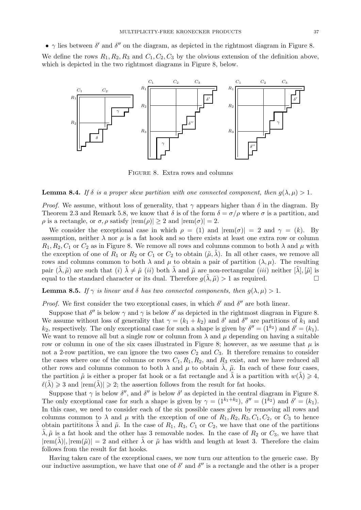•  $\gamma$  lies between  $\delta'$  and  $\delta''$  on the diagram, as depicted in the rightmost diagram in Figure 8.

We define the rows  $R_1, R_2, R_3$  and  $C_1, C_2, C_3$  by the obvious extension of the definition above, which is depicted in the two rightmost diagrams in Figure 8, below.



Figure 8. Extra rows and columns

#### **Lemma 8.4.** If  $\delta$  is a proper skew partition with one connected component, then  $q(\lambda, \mu) > 1$ .

*Proof.* We assume, without loss of generality, that  $\gamma$  appears higher than  $\delta$  in the diagram. By Theorem 2.3 and Remark 5.8, we know that  $\delta$  is of the form  $\delta = \sigma/\rho$  where  $\sigma$  is a partition, and  $\rho$  is a rectangle, or  $\sigma$ ,  $\rho$  satisfy  $|\text{rem}(\rho)| \geq 2$  and  $|\text{rem}(\sigma)| = 2$ .

We consider the exceptional case in which  $\rho = (1)$  and  $|rem(\sigma)| = 2$  and  $\gamma = (k)$ . By assumption, neither  $\lambda$  nor  $\mu$  is a fat hook and so there exists at least one extra row or column  $R_1, R_2, C_1$  or  $C_2$  as in Figure 8. We remove all rows and columns common to both  $\lambda$  and  $\mu$  with the exception of one of  $R_1$  or  $R_2$  or  $C_1$  or  $C_2$  to obtain  $(\tilde{\mu}, \tilde{\lambda})$ . In all other cases, we remove all rows and columns common to both  $\lambda$  and  $\mu$  to obtain a pair of partition  $(\lambda, \mu)$ . The resulting pair  $(\lambda, \tilde{\mu})$  are such that  $(i)$   $\lambda \neq \tilde{\mu}$  (ii) both  $\lambda$  and  $\tilde{\mu}$  are non-rectangular (iii) neither  $[\lambda], [\tilde{\mu}]$  is equal to the standard character or its dual. Therefore  $q(\lambda, \tilde{\mu}) > 1$  as required.

## **Lemma 8.5.** If  $\gamma$  is linear and  $\delta$  has two connected components, then  $g(\lambda, \mu) > 1$ .

*Proof.* We first consider the two exceptional cases, in which  $\delta'$  and  $\delta''$  are both linear.

Suppose that  $\delta''$  is below  $\gamma$  and  $\gamma$  is below  $\delta'$  as depicted in the rightmost diagram in Figure 8. We assume without loss of generality that  $\gamma = (k_1 + k_2)$  and  $\delta'$  and  $\delta''$  are partitions of  $k_1$  and  $k_2$ , respectively. The only exceptional case for such a shape is given by  $\delta'' = (1^{k_2})$  and  $\delta' = (k_1)$ . We want to remove all but a single row or column from  $\lambda$  and  $\mu$  depending on having a suitable row or column in one of the six cases illustrated in Figure 8; however, as we assume that  $\mu$  is not a 2-row partition, we can ignore the two cases  $C_2$  and  $C_3$ . It therefore remains to consider the cases where one of the columns or rows  $C_1, R_1, R_2$ , and  $R_3$  exist, and we have reduced all other rows and columns common to both  $\lambda$  and  $\mu$  to obtain  $\lambda$ ,  $\tilde{\mu}$ . In each of these four cases, the partition  $\tilde{\mu}$  is either a proper fat hook or a fat rectangle and  $\lambda$  is a partition with  $w(\lambda) \geq 4$ ,  $\ell(\lambda) \geq 3$  and  $|rem(\lambda)| \geq 2$ ; the assertion follows from the result for fat hooks.

Suppose that  $\gamma$  is below  $\delta''$ , and  $\delta''$  is below  $\delta'$  as depicted in the central diagram in Figure 8. The only exceptional case for such a shape is given by  $\gamma = (1^{k_1+k_2})$ ,  $\delta'' = (1^{k_2})$  and  $\delta' = (k_1)$ . In this case, we need to consider each of the six possible cases given by removing all rows and columns common to  $\lambda$  and  $\mu$  with the exception of one of  $R_1, R_2, R_3, C_1, C_2$ , or  $C_3$  to hence obtain partitions  $\lambda$  and  $\tilde{\mu}$ . In the case of  $R_1$ ,  $R_3$ ,  $C_1$  or  $C_2$ , we have that one of the partitions  $\tilde{\lambda}, \tilde{\mu}$  is a fat hook and the other has 3 removable nodes. In the case of  $R_2$  or  $C_3$ , we have that  $|rem(\lambda)|, |rem(\tilde{\mu})| = 2$  and either  $\lambda$  or  $\tilde{\mu}$  has width and length at least 3. Therefore the claim follows from the result for fat hooks.

Having taken care of the exceptional cases, we now turn our attention to the generic case. By our inductive assumption, we have that one of  $\delta'$  and  $\delta''$  is a rectangle and the other is a proper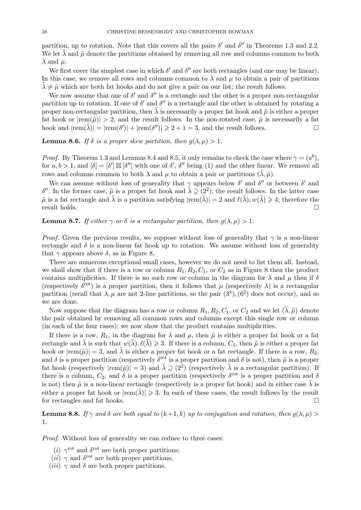partition, up to rotation. Note that this covers all the pairs  $\delta'$  and  $\delta''$  in Theorems 1.3 and 2.2. We let  $\tilde{\lambda}$  and  $\tilde{\mu}$  denote the partitions obtained by removing all row and columns common to both  $\lambda$  and  $\mu$ .

We first cover the simplest case in which  $\delta'$  and  $\delta''$  are both rectangles (and one may be linear). In this case, we remove all rows and columns common to  $\lambda$  and  $\mu$  to obtain a pair of partitions  $\lambda \neq \tilde{\mu}$  which are both fat hooks and do not give a pair on our list; the result follows.

We now assume that one of  $\delta'$  and  $\delta''$  is a rectangle and the other is a proper non-rectangular partition up to rotation. If one of  $\delta'$  and  $\delta''$  is a rectangle and the other is obtained by rotating a proper non-rectangular partition, then  $\tilde{\lambda}$  is necessarily a proper fat hook and  $\tilde{\mu}$  is either a proper fat hook or  $|rem(\tilde{\mu})| > 2$ , and the result follows. In the non-rotated case,  $\tilde{\mu}$  is necessarily a fat hook and  $|\text{rem}(\tilde{\lambda})| = |\text{rem}(\delta')| + |\text{rem}(\delta'')| \ge 2 + 1 = 3$ , and the result follows.

**Lemma 8.6.** If  $\delta$  is a proper skew partition, then  $g(\lambda, \mu) > 1$ .

*Proof.* By Theorem 1.3 and Lemmas 8.4 and 8.5, it only remains to check the case where  $\gamma = (a^b)$ , for  $a, b > 1$ , and  $[\delta] = [\delta'] \boxtimes [\delta'']$  with one of  $\delta', \delta''$  being (1) and the other linear. We remove all rows and columns common to both  $\lambda$  and  $\mu$  to obtain a pair or partitions  $(\lambda, \tilde{\mu})$ .

We can assume without loss of generality that  $\gamma$  appears below  $\delta'$  and  $\delta''$  or between  $\delta'$  and δ''. In the former case,  $\tilde{\mu}$  is a proper fat hook and  $\tilde{\lambda} \supseteq (2^2)$ ; the result follows. In the latter case  $\tilde{\mu}$  is a fat rectangle and  $\tilde{\lambda}$  is a partition satisfying  $|rem(\tilde{\lambda})| = 2$  and  $\ell(\tilde{\lambda}), w(\tilde{\lambda}) \geq 4$ ; therefore the result holds.  $\Box$ 

**Lemma 8.7.** If either  $\gamma$  or  $\delta$  is a rectangular partition, then  $q(\lambda, \mu) > 1$ .

*Proof.* Given the previous results, we suppose without loss of generality that  $\gamma$  is a non-linear rectangle and  $\delta$  is a non-linear fat hook up to rotation. We assume without loss of generality that  $\gamma$  appears above  $\delta$ , as in Figure 8.

There are numerous exceptional small cases, however we do not need to list them all. Instead, we shall show that if there is a row or column  $R_1, R_2, C_1$ , or  $C_2$  as in Figure 8 then the product contains multiplicities. If there is no such row or column in the diagram for  $\lambda$  and  $\mu$  then if  $\delta$ (respectively  $\delta^{\rm rot}$ ) is a proper partition, then it follows that  $\mu$  (respectively  $\lambda$ ) is a rectangular partition (recall that  $\lambda, \mu$  are not 2-line partitions, so the pair  $(3^4), (6^2)$  does not occur), and so we are done.

Now suppose that the diagram has a row or column  $R_1, R_2, C_1$ , or  $C_2$  and we let  $(\tilde{\lambda}, \tilde{\mu})$  denote the pair obtained by removing all common rows and columns except this single row or column (in each of the four cases); we now show that the product contains multiplicities.

If there is a row,  $R_1$ , in the diagram for  $\lambda$  and  $\mu$ , then  $\tilde{\mu}$  is either a proper fat hook or a fat rectangle and  $\tilde{\lambda}$  is such that  $w(\tilde{\lambda}), \ell(\tilde{\lambda}) \geq 3$ . If there is a column,  $C_1$ , then  $\tilde{\mu}$  is either a proper fat hook or  $|rem(\tilde{\mu})| = 3$ , and  $\tilde{\lambda}$  is either a proper fat hook or a fat rectangle. If there is a row,  $R_2$ , and  $\delta$  is a proper partition (respectively  $\delta^{\rm rot}$  is a proper partition and  $\delta$  is not), then  $\tilde{\mu}$  is a proper fat hook (respectively  $|\text{rem}(\tilde{\mu})| = 3$ ) and  $\tilde{\lambda} \supseteq (2^2)$  (respectively  $\tilde{\lambda}$  is a rectangular partition). If there is a column,  $C_2$ , and  $\delta$  is a proper partition (respectively  $\delta^{\rm rot}$  is a proper partition and  $\delta$ is not) then  $\tilde{\mu}$  is a non-linear rectangle (respectively is a proper fat hook) and in either case  $\tilde{\lambda}$  is either a proper fat hook or  $|rem(\lambda)| \geq 3$ . In each of these cases, the result follows by the result for rectangles and fat hooks.

**Lemma 8.8.** If  $\gamma$  and  $\delta$  are both equal to  $(k+1, k)$  up to conjugation and rotation, then  $q(\lambda, \mu)$ 1.

Proof. Without loss of generality we can reduce to three cases:

- (*i*)  $\gamma^{\text{rot}}$  and  $\delta^{\text{rot}}$  are both proper partitions;
- (*ii*)  $\gamma$  and  $\delta^{\rm rot}$  are both proper partitions;
- (*iii*)  $\gamma$  and  $\delta$  are both proper partitions.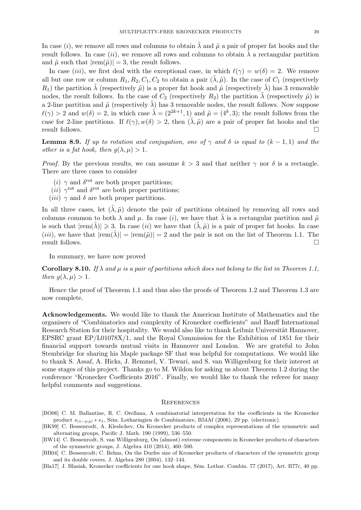In case (i), we remove all rows and columns to obtain  $\lambda$  and  $\tilde{\mu}$  a pair of proper fat hooks and the result follows. In case (ii), we remove all rows and columns to obtain  $\lambda$  a rectangular partition and  $\tilde{\mu}$  such that  $|rem(\tilde{\mu})| = 3$ , the result follows.

In case *(iii)*, we first deal with the exceptional case, in which  $\ell(\gamma) = w(\delta) = 2$ . We remove all but one row or column  $R_1, R_2, C_1, C_2$  to obtain a pair  $(\lambda, \tilde{\mu})$ . In the case of  $C_1$  (respectively  $R_1$ ) the partition  $\lambda$  (respectively  $\tilde{\mu}$ ) is a proper fat hook and  $\tilde{\mu}$  (respectively  $\lambda$ ) has 3 removable nodes, the result follows. In the case of  $C_2$  (respectively  $R_2$ ) the partition  $\tilde{\lambda}$  (respectively  $\tilde{\mu}$ ) is a 2-line partition and  $\tilde{\mu}$  (respectively  $\tilde{\lambda}$ ) has 3 removable nodes, the result follows. Now suppose  $\ell(\gamma) > 2$  and  $w(\delta) = 2$ , in which case  $\tilde{\lambda} = (2^{2k+1}, 1)$  and  $\tilde{\mu} = (4^k, 3)$ ; the result follows from the case for 2-line partitions. If  $\ell(\gamma)$ ,  $w(\delta) > 2$ , then  $(\lambda, \tilde{\mu})$  are a pair of proper fat hooks and the result follows.

**Lemma 8.9.** If up to rotation and conjugation, one of  $\gamma$  and  $\delta$  is equal to  $(k - 1, 1)$  and the other is a fat hook, then  $q(\lambda, \mu) > 1$ .

*Proof.* By the previous results, we can assume  $k > 3$  and that neither  $\gamma$  nor  $\delta$  is a rectangle. There are three cases to consider

- (*i*)  $\gamma$  and  $\delta^{\text{rot}}$  are both proper partitions;
- (*ii*)  $\gamma^{\text{rot}}$  and  $\delta^{\text{rot}}$  are both proper partitions;
- (*iii*)  $\gamma$  and  $\delta$  are both proper partitions.

In all three cases, let  $(\tilde{\lambda}, \tilde{\mu})$  denote the pair of partitions obtained by removing all rows and columns common to both  $\lambda$  and  $\mu$ . In case (*i*), we have that  $\lambda$  is a rectangular partition and  $\tilde{\mu}$ is such that  $|rem(\lambda)| \geq 3$ . In case (ii) we have that  $(\lambda, \tilde{\mu})$  is a pair of proper fat hooks. In case (iii), we have that  $|rem(\tilde{\lambda})| = |rem(\tilde{\mu})| = 2$  and the pair is not on the list of Theorem 1.1. The result follows.

In summary, we have now proved

Corollary 8.10. If  $\lambda$  and  $\mu$  is a pair of partitions which does not belong to the list in Theorem 1.1, then  $q(\lambda, \mu) > 1$ .

Hence the proof of Theorem 1.1 and thus also the proofs of Theorem 1.2 and Theorem 1.3 are now complete.

Acknowledgements. We would like to thank the American Institute of Mathematics and the organisers of "Combinatorics and complexity of Kronecker coefficients" and Banff International Research Station for their hospitality. We would also like to thank Leibniz Universität Hannover, EPSRC grant EP/L01078X/1, and the Royal Commission for the Exhibition of 1851 for their financial support towards mutual visits in Hannover and London. We are grateful to John Stembridge for sharing his Maple package SF that was helpful for computations. We would like to thank S. Assaf, A. Hicks, J. Remmel, V. Tewari, and S. van Willigenburg for their interest at some stages of this project. Thanks go to M. Wildon for asking us about Theorem 1.2 during the conference "Kronecker Coefficients 2016". Finally, we would like to thank the referee for many helpful comments and suggestions.

#### **REFERENCES**

- [BO06] C. M. Ballantine, R. C. Orellana, A combinatorial interpretation for the coefficients in the Kronecker product  $s_{(n-p,p)} * s_\lambda$ , Sém. Lotharingien de Combinatoire, B54Af (2006), 29 pp. (electronic).
- [BK99] C. Bessenrodt, A. Kleshchev, On Kronecker products of complex representations of the symmetric and alternating groups, Pacific J. Math. 190 (1999), 536–550.
- [BW14] C. Bessenrodt, S. van Willigenburg, On (almost) extreme components in Kronecker products of characters of the symmetric groups, J. Algebra 410 (2014), 460–500.
- [BB04] C. Bessenrodt; C. Behns, On the Durfee size of Kronecker products of characters of the symmetric group and its double covers, J. Algebra 280 (2004), 132–144.
- [Bla17] J. Blasiak, Kronecker coefficients for one hook shape, Sém. Lothar. Combin. 77 (2017), Art. B77c, 40 pp.